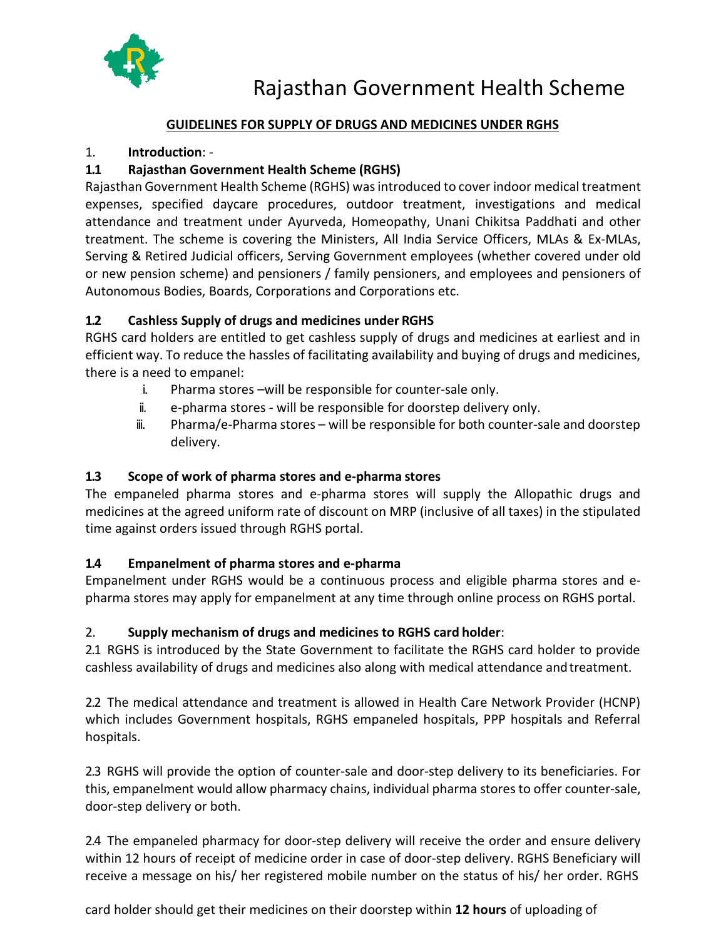

## **GUIDELINES FOR SUPPLY OF DRUGS AND MEDICINES UNDER RGHS**

#### 1. **Introduction**: -

#### **1.1 Rajasthan Government Health Scheme (RGHS)**

Rajasthan Government Health Scheme (RGHS) wasintroduced to cover indoor medical treatment expenses, specified daycare procedures, outdoor treatment, investigations and medical attendance and treatment under Ayurveda, Homeopathy, Unani Chikitsa Paddhati and other treatment. The scheme is covering the Ministers, All India Service Officers, MLAs & Ex-MLAs, Serving & Retired Judicial officers, Serving Government employees (whether covered under old or new pension scheme) and pensioners / family pensioners, and employees and pensioners of Autonomous Bodies, Boards, Corporations and Corporations etc.

#### **1.2 Cashless Supply of drugs and medicines under RGHS**

RGHS card holders are entitled to get cashless supply of drugs and medicines at earliest and in efficient way. To reduce the hassles of facilitating availability and buying of drugs and medicines, there is a need to empanel:

- i. Pharma stores –will be responsible for counter-sale only.
- ii. e-pharma stores will be responsible for doorstep delivery only.
- iii. Pharma/e-Pharma stores will be responsible for both counter-sale and doorstep delivery.

#### **1.3 Scope of work of pharma stores and e-pharma stores**

The empaneled pharma stores and e-pharma stores will supply the Allopathic drugs and medicines at the agreed uniform rate of discount on MRP (inclusive of all taxes) in the stipulated time against orders issued through RGHS portal.

## **1.4 Empanelment of pharma stores and e-pharma**

Empanelment under RGHS would be a continuous process and eligible pharma stores and epharma stores may apply for empanelment at any time through online process on RGHS portal.

#### 2. **Supply mechanism of drugs and medicines to RGHS card holder**:

2.1 RGHS is introduced by the State Government to facilitate the RGHS card holder to provide cashless availability of drugs and medicines also along with medical attendance andtreatment.

2.2 The medical attendance and treatment is allowed in Health Care Network Provider (HCNP) which includes Government hospitals, RGHS empaneled hospitals, PPP hospitals and Referral hospitals.

2.3 RGHS will provide the option of counter-sale and door-step delivery to its beneficiaries. For this, empanelment would allow pharmacy chains, individual pharma stores to offer counter-sale, door-step delivery or both.

2.4 The empaneled pharmacy for door-step delivery will receive the order and ensure delivery within 12 hours of receipt of medicine order in case of door-step delivery. RGHS Beneficiary will receive a message on his/ her registered mobile number on the status of his/ her order. RGHS

card holder should get their medicines on their doorstep within **12 hours** of uploading of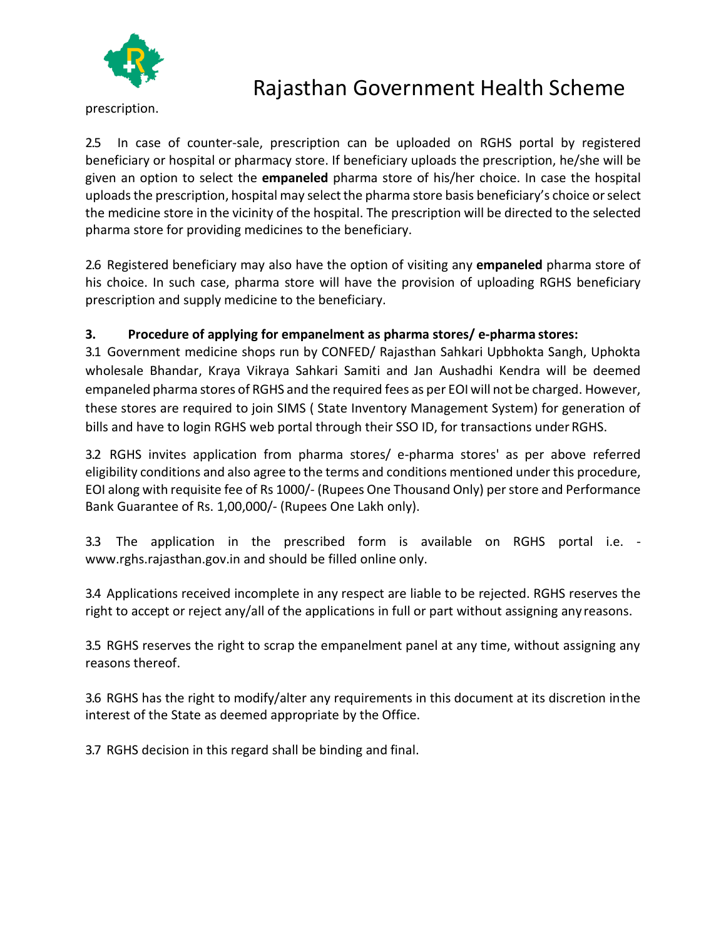

prescription.

2.5 In case of counter-sale, prescription can be uploaded on RGHS portal by registered beneficiary or hospital or pharmacy store. If beneficiary uploads the prescription, he/she will be given an option to select the **empaneled** pharma store of his/her choice. In case the hospital uploads the prescription, hospital may select the pharma store basis beneficiary's choice or select the medicine store in the vicinity of the hospital. The prescription will be directed to the selected pharma store for providing medicines to the beneficiary.

2.6 Registered beneficiary may also have the option of visiting any **empaneled** pharma store of his choice. In such case, pharma store will have the provision of uploading RGHS beneficiary prescription and supply medicine to the beneficiary.

## **3. Procedure of applying for empanelment as pharma stores/ e-pharma stores:**

3.1 Government medicine shops run by CONFED/ Rajasthan Sahkari Upbhokta Sangh, Uphokta wholesale Bhandar, Kraya Vikraya Sahkari Samiti and Jan Aushadhi Kendra will be deemed empaneled pharma stores of RGHS and the required fees as per EOI will not be charged. However, these stores are required to join SIMS ( State Inventory Management System) for generation of bills and have to login RGHS web portal through their SSO ID, for transactions under RGHS.

3.2 RGHS invites application from pharma stores/ e-pharma stores' as per above referred eligibility conditions and also agree to the terms and conditions mentioned under this procedure, EOI along with requisite fee of Rs 1000/- (Rupees One Thousand Only) perstore and Performance Bank Guarantee of Rs. 1,00,000/- (Rupees One Lakh only).

3.3 The application in the prescribed form is available on RGHS portal i.e.  [www.rghs.rajasthan.gov.in a](http://www.rghs.rajasthan.gov.in/)nd should be filled online only.

3.4 Applications received incomplete in any respect are liable to be rejected. RGHS reserves the right to accept or reject any/all of the applications in full or part without assigning any reasons.

3.5 RGHS reserves the right to scrap the empanelment panel at any time, without assigning any reasons thereof.

3.6 RGHS has the right to modify/alter any requirements in this document at its discretion inthe interest of the State as deemed appropriate by the Office.

3.7 RGHS decision in this regard shall be binding and final.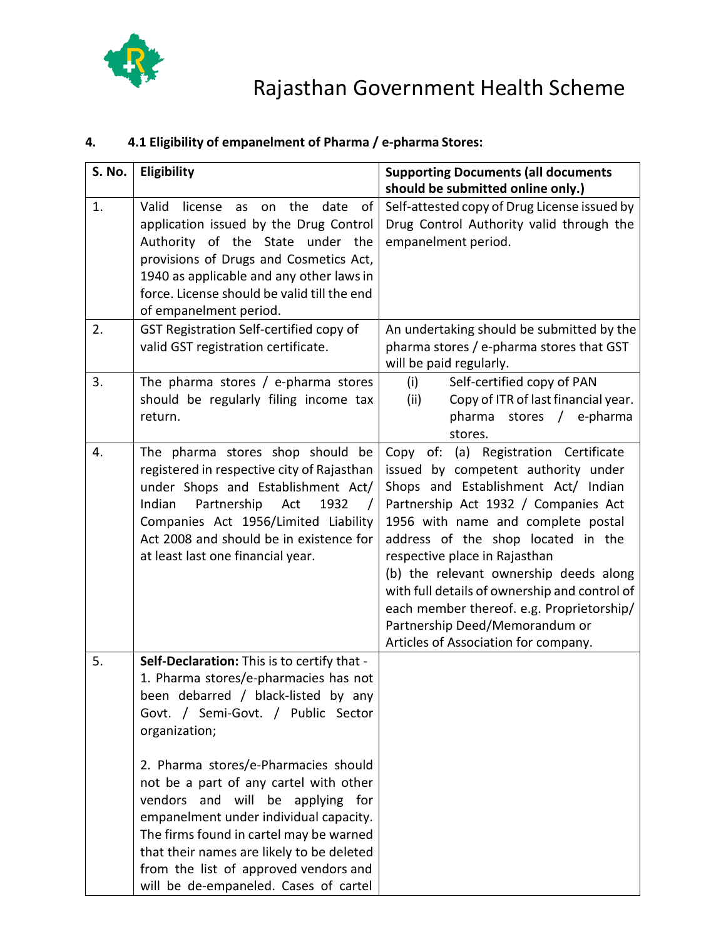

#### **S. No. Eligibility Supporting Documents (all documents should be submitted online only.)** 1. Valid license as on the date of application issued by the Drug Control Authority of the State under the provisions of Drugs and Cosmetics Act, 1940 as applicable and any other lawsin force. License should be valid till the end of empanelment period. Self-attested copy of Drug License issued by Drug Control Authority valid through the empanelment period. 2. GST Registration Self-certified copy of valid GST registration certificate. An undertaking should be submitted by the pharma stores / e-pharma stores that GST will be paid regularly. 3.  $\Box$  The pharma stores / e-pharma stores should be regularly filing income tax return. (i) Self-certified copy of PAN (ii) Copy of ITR of last financial year. pharma stores / e-pharma stores. 4. The pharma stores shop should be registered in respective city of Rajasthan under Shops and Establishment Act/ Indian Partnership Act 1932 / Companies Act 1956/Limited Liability Act 2008 and should be in existence for at least last one financial year. Copy of: (a) Registration Certificate issued by competent authority under Shops and Establishment Act/ Indian Partnership Act 1932 / Companies Act 1956 with name and complete postal address of the shop located in the respective place in Rajasthan (b) the relevant ownership deeds along with full details of ownership and control of each member thereof. e.g. Proprietorship/ Partnership Deed/Memorandum or Articles of Association for company. 5. **Self-Declaration:** This is to certify that - 1. Pharma stores/e-pharmacies has not been debarred / black-listed by any Govt. / Semi-Govt. / Public Sector organization; 2. Pharma stores/e-Pharmacies should not be a part of any cartel with other vendors and will be applying for empanelment under individual capacity. The firms found in cartel may be warned that their names are likely to be deleted from the list of approved vendors and will be de-empaneled. Cases of cartel

#### **4. 4.1 Eligibility of empanelment of Pharma / e-pharma Stores:**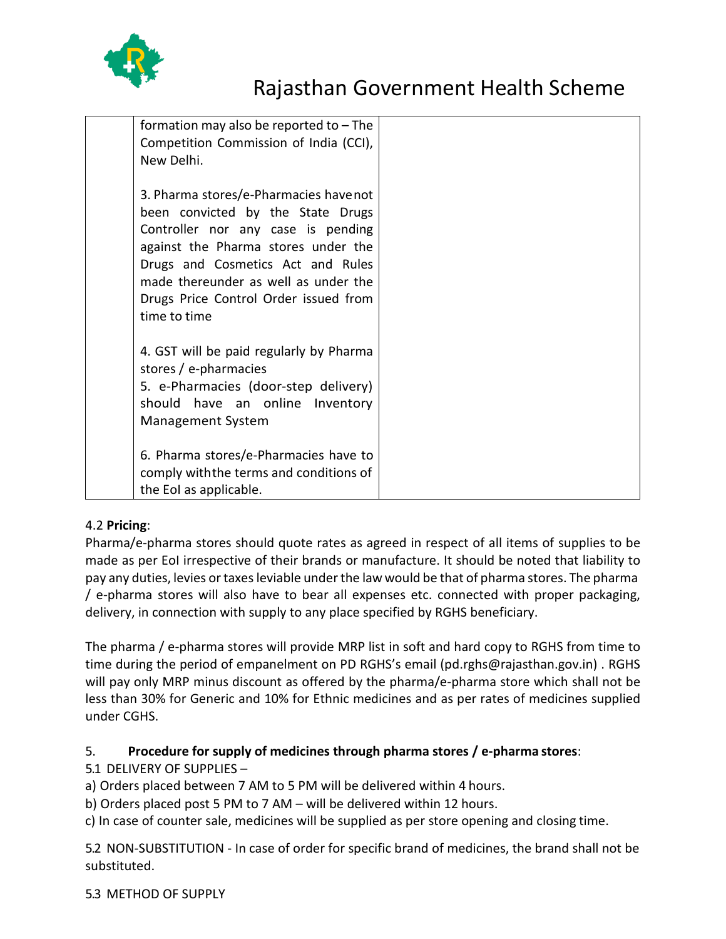

| formation may also be reported to $-$ The<br>Competition Commission of India (CCI),<br>New Delhi.                                                                                                                                                                                             |  |
|-----------------------------------------------------------------------------------------------------------------------------------------------------------------------------------------------------------------------------------------------------------------------------------------------|--|
| 3. Pharma stores/e-Pharmacies havenot<br>been convicted by the State Drugs<br>Controller nor any case is pending<br>against the Pharma stores under the<br>Drugs and Cosmetics Act and Rules<br>made thereunder as well as under the<br>Drugs Price Control Order issued from<br>time to time |  |
| 4. GST will be paid regularly by Pharma<br>stores / e-pharmacies<br>5. e-Pharmacies (door-step delivery)<br>should have an online Inventory<br><b>Management System</b>                                                                                                                       |  |
| 6. Pharma stores/e-Pharmacies have to<br>comply with the terms and conditions of<br>the EoI as applicable.                                                                                                                                                                                    |  |

#### 4.2 **Pricing**:

Pharma/e-pharma stores should quote rates as agreed in respect of all items of supplies to be made as per EoI irrespective of their brands or manufacture. It should be noted that liability to pay any duties, levies or taxes leviable under the law would be that of pharma stores. The pharma / e-pharma stores will also have to bear all expenses etc. connected with proper packaging, delivery, in connection with supply to any place specified by RGHS beneficiary.

The pharma / e-pharma stores will provide MRP list in soft and hard copy to RGHS from time to time during the period of empanelment on PD RGHS's email (pd.rghs@rajasthan.gov.in) . RGHS will pay only MRP minus discount as offered by the pharma/e-pharma store which shall not be less than 30% for Generic and 10% for Ethnic medicines and as per rates of medicines supplied under CGHS.

#### 5. **Procedure for supply of medicines through pharma stores / e-pharma stores**:

## 5.1 DELIVERY OF SUPPLIES –

a) Orders placed between 7 AM to 5 PM will be delivered within 4 hours.

b) Orders placed post 5 PM to 7 AM – will be delivered within 12 hours.

c) In case of counter sale, medicines will be supplied as per store opening and closing time.

5.2 NON-SUBSTITUTION - In case of order for specific brand of medicines, the brand shall not be substituted.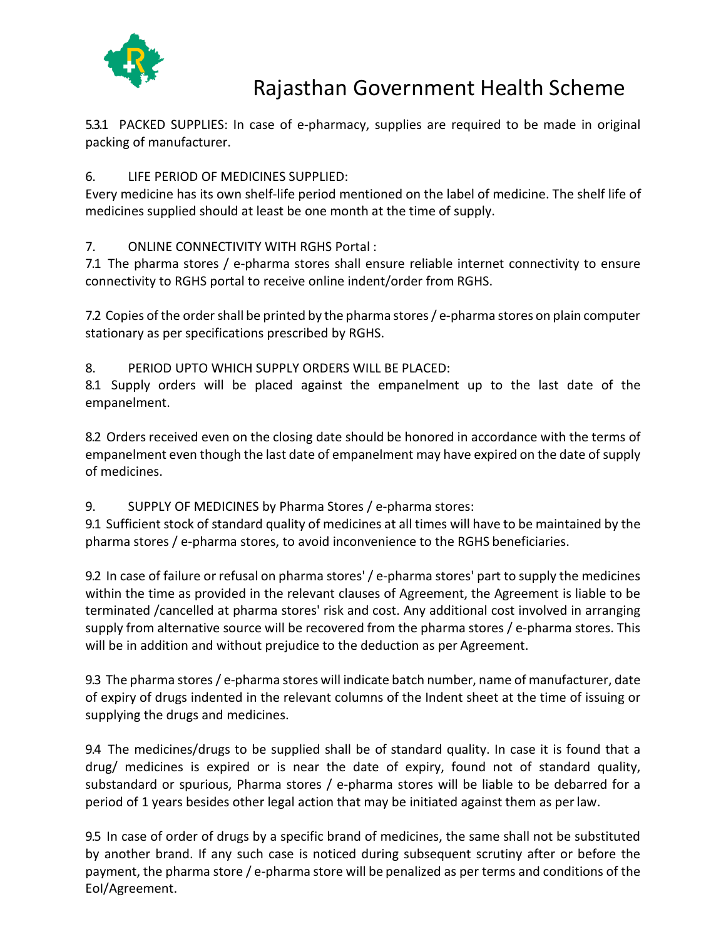

5.3.1 PACKED SUPPLIES: In case of e-pharmacy, supplies are required to be made in original packing of manufacturer.

#### 6. LIFE PERIOD OF MEDICINES SUPPLIED:

Every medicine has its own shelf-life period mentioned on the label of medicine. The shelf life of medicines supplied should at least be one month at the time of supply.

#### 7. ONLINE CONNECTIVITY WITH RGHS Portal :

7.1 The pharma stores / e-pharma stores shall ensure reliable internet connectivity to ensure connectivity to RGHS portal to receive online indent/order from RGHS.

7.2 Copies of the order shall be printed by the pharma stores / e-pharma stores on plain computer stationary as per specifications prescribed by RGHS.

#### 8. PERIOD UPTO WHICH SUPPLY ORDERS WILL BE PLACED:

8.1 Supply orders will be placed against the empanelment up to the last date of the empanelment.

8.2 Orders received even on the closing date should be honored in accordance with the terms of empanelment even though the last date of empanelment may have expired on the date of supply of medicines.

## 9. SUPPLY OF MEDICINES by Pharma Stores / e-pharma stores:

9.1 Sufficient stock of standard quality of medicines at all times will have to be maintained by the pharma stores / e-pharma stores, to avoid inconvenience to the RGHS beneficiaries.

9.2 In case of failure or refusal on pharma stores'/ e-pharma stores' part to supply the medicines within the time as provided in the relevant clauses of Agreement, the Agreement is liable to be terminated /cancelled at pharma stores' risk and cost. Any additional cost involved in arranging supply from alternative source will be recovered from the pharma stores / e-pharma stores. This will be in addition and without prejudice to the deduction as per Agreement.

9.3 The pharma stores/ e-pharma stores will indicate batch number, name of manufacturer, date of expiry of drugs indented in the relevant columns of the Indent sheet at the time of issuing or supplying the drugs and medicines.

9.4 The medicines/drugs to be supplied shall be of standard quality. In case it is found that a drug/ medicines is expired or is near the date of expiry, found not of standard quality, substandard or spurious, Pharma stores / e-pharma stores will be liable to be debarred for a period of 1 years besides other legal action that may be initiated against them as perlaw.

9.5 In case of order of drugs by a specific brand of medicines, the same shall not be substituted by another brand. If any such case is noticed during subsequent scrutiny after or before the payment, the pharma store / e-pharma store will be penalized as per terms and conditions of the EoI/Agreement.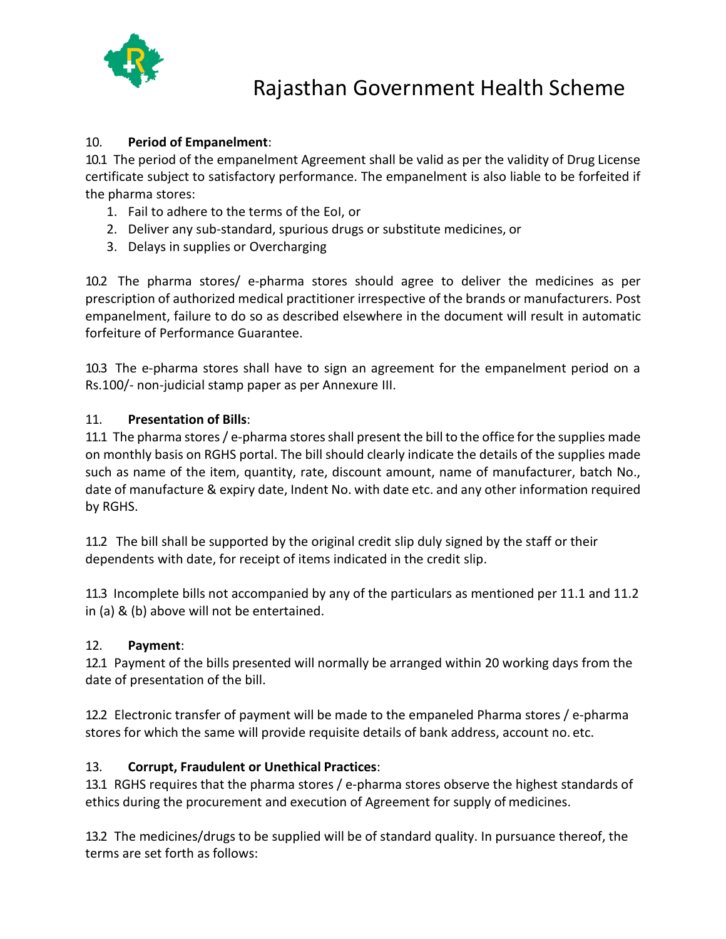

#### 10. **Period of Empanelment**:

10.1 The period of the empanelment Agreement shall be valid as per the validity of Drug License certificate subject to satisfactory performance. The empanelment is also liable to be forfeited if the pharma stores:

- 1. Fail to adhere to the terms of the EoI, or
- 2. Deliver any sub-standard, spurious drugs or substitute medicines, or
- 3. Delays in supplies or Overcharging

10.2 The pharma stores/ e-pharma stores should agree to deliver the medicines as per prescription of authorized medical practitioner irrespective of the brands or manufacturers. Post empanelment, failure to do so as described elsewhere in the document will result in automatic forfeiture of Performance Guarantee.

10.3 The e-pharma stores shall have to sign an agreement for the empanelment period on a Rs.100/- non-judicial stamp paper as per Annexure III.

#### 11. **Presentation of Bills**:

11.1 The pharma stores / e-pharma stores shall present the bill to the office for the supplies made on monthly basis on RGHS portal. The bill should clearly indicate the details of the supplies made such as name of the item, quantity, rate, discount amount, name of manufacturer, batch No., date of manufacture & expiry date, Indent No. with date etc. and any other information required by RGHS.

11.2 The bill shall be supported by the original credit slip duly signed by the staff or their dependents with date, for receipt of items indicated in the credit slip.

11.3 Incomplete bills not accompanied by any of the particulars as mentioned per 11.1 and 11.2 in (a) & (b) above will not be entertained.

#### 12. **Payment**:

12.1 Payment of the bills presented will normally be arranged within 20 working days from the date of presentation of the bill.

12.2 Electronic transfer of payment will be made to the empaneled Pharma stores / e-pharma stores for which the same will provide requisite details of bank address, account no. etc.

#### 13. **Corrupt, Fraudulent or Unethical Practices**:

13.1 RGHS requires that the pharma stores / e-pharma stores observe the highest standards of ethics during the procurement and execution of Agreement for supply of medicines.

13.2 The medicines/drugs to be supplied will be of standard quality. In pursuance thereof, the terms are set forth as follows: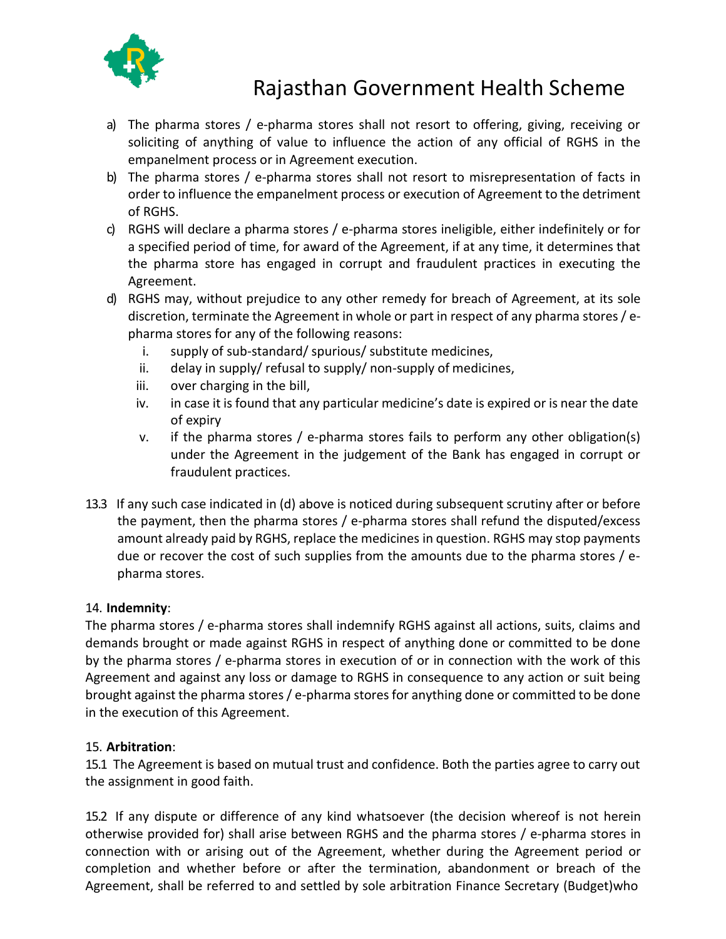

- a) The pharma stores / e-pharma stores shall not resort to offering, giving, receiving or soliciting of anything of value to influence the action of any official of RGHS in the empanelment process or in Agreement execution.
- b) The pharma stores / e-pharma stores shall not resort to misrepresentation of facts in order to influence the empanelment process or execution of Agreement to the detriment of RGHS.
- c) RGHS will declare a pharma stores / e-pharma stores ineligible, either indefinitely or for a specified period of time, for award of the Agreement, if at any time, it determines that the pharma store has engaged in corrupt and fraudulent practices in executing the Agreement.
- d) RGHS may, without prejudice to any other remedy for breach of Agreement, at its sole discretion, terminate the Agreement in whole or part in respect of any pharma stores/ epharma stores for any of the following reasons:
	- i. supply of sub-standard/ spurious/ substitute medicines,
	- ii. delay in supply/ refusal to supply/ non-supply of medicines,
	- iii. over charging in the bill,
	- iv. in case it is found that any particular medicine's date is expired or is near the date of expiry
	- v. if the pharma stores / e-pharma stores fails to perform any other obligation(s) under the Agreement in the judgement of the Bank has engaged in corrupt or fraudulent practices.
- 13.3 If any such case indicated in (d) above is noticed during subsequent scrutiny after or before the payment, then the pharma stores / e-pharma stores shall refund the disputed/excess amount already paid by RGHS, replace the medicines in question. RGHS may stop payments due or recover the cost of such supplies from the amounts due to the pharma stores / epharma stores.

#### 14. **Indemnity**:

The pharma stores / e-pharma stores shall indemnify RGHS against all actions, suits, claims and demands brought or made against RGHS in respect of anything done or committed to be done by the pharma stores / e-pharma stores in execution of or in connection with the work of this Agreement and against any loss or damage to RGHS in consequence to any action or suit being brought against the pharma stores / e-pharma storesfor anything done or committed to be done in the execution of this Agreement.

#### 15. **Arbitration**:

15.1 The Agreement is based on mutual trust and confidence. Both the parties agree to carry out the assignment in good faith.

15.2 If any dispute or difference of any kind whatsoever (the decision whereof is not herein otherwise provided for) shall arise between RGHS and the pharma stores / e-pharma stores in connection with or arising out of the Agreement, whether during the Agreement period or completion and whether before or after the termination, abandonment or breach of the Agreement, shall be referred to and settled by sole arbitration Finance Secretary (Budget)who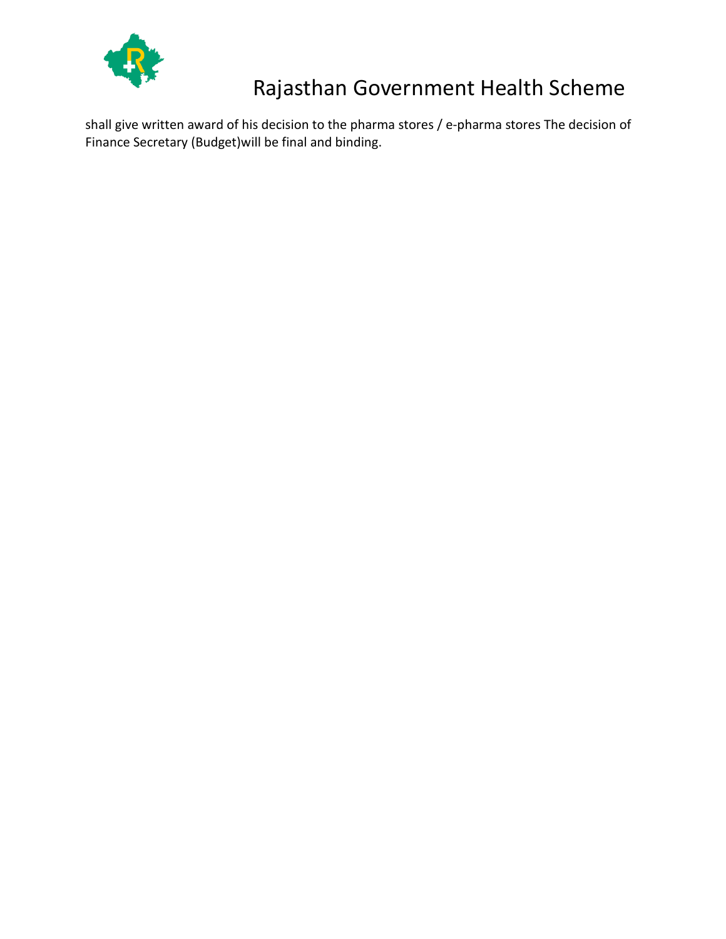

shall give written award of his decision to the pharma stores / e-pharma stores The decision of Finance Secretary (Budget)will be final and binding.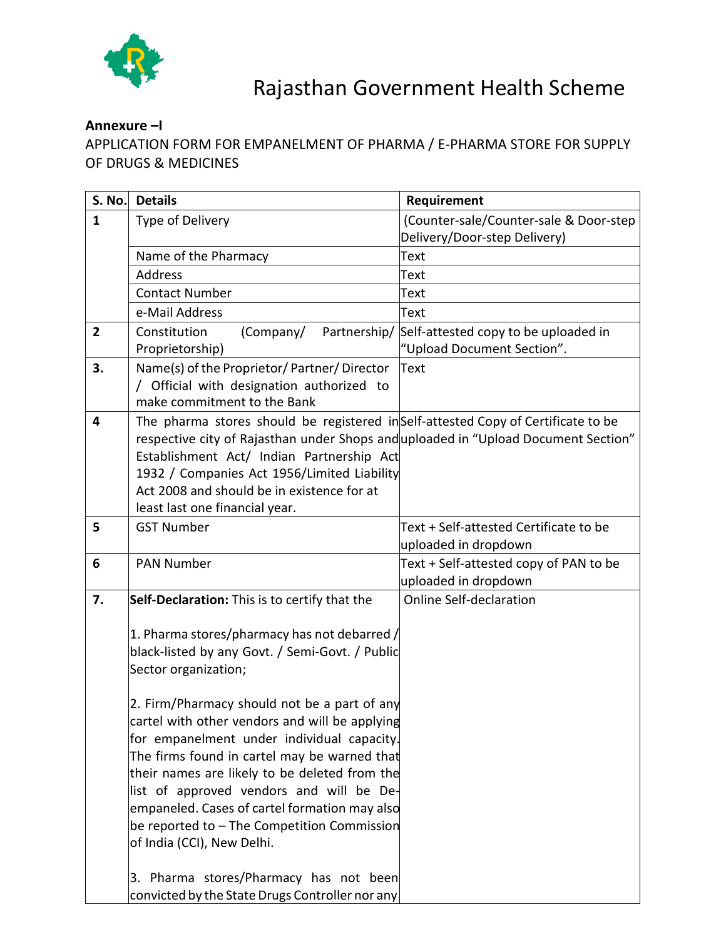

## **Annexure –I**

APPLICATION FORM FOR EMPANELMENT OF PHARMA / E-PHARMA STORE FOR SUPPLY OF DRUGS & MEDICINES

| $\mathbf{1}$<br>(Counter-sale/Counter-sale & Door-step<br>Type of Delivery                          |  |
|-----------------------------------------------------------------------------------------------------|--|
|                                                                                                     |  |
| Delivery/Door-step Delivery)                                                                        |  |
| Name of the Pharmacy<br>Text                                                                        |  |
| <b>Address</b><br>Text                                                                              |  |
| <b>Contact Number</b><br>Text                                                                       |  |
| e-Mail Address<br>Text                                                                              |  |
| Partnership/<br>Self-attested copy to be uploaded in<br>$\overline{2}$<br>Constitution<br>(Company/ |  |
| "Upload Document Section".<br>Proprietorship)                                                       |  |
| 3.<br>Name(s) of the Proprietor/Partner/Director<br>Text                                            |  |
| / Official with designation authorized to<br>make commitment to the Bank                            |  |
| The pharma stores should be registered inSelf-attested Copy of Certificate to be<br>4               |  |
| respective city of Rajasthan under Shops and uploaded in "Upload Document Section"                  |  |
| Establishment Act/ Indian Partnership Act                                                           |  |
| 1932 / Companies Act 1956/Limited Liability                                                         |  |
| Act 2008 and should be in existence for at                                                          |  |
| least last one financial year.                                                                      |  |
| <b>GST Number</b><br>Text + Self-attested Certificate to be<br>5                                    |  |
| uploaded in dropdown                                                                                |  |
| <b>PAN Number</b><br>Text + Self-attested copy of PAN to be<br>6                                    |  |
| uploaded in dropdown                                                                                |  |
| Self-Declaration: This is to certify that the<br><b>Online Self-declaration</b><br>7.               |  |
|                                                                                                     |  |
| 1. Pharma stores/pharmacy has not debarred /<br>black-listed by any Govt. / Semi-Govt. / Public     |  |
| Sector organization;                                                                                |  |
|                                                                                                     |  |
| 2. Firm/Pharmacy should not be a part of any                                                        |  |
| cartel with other vendors and will be applying                                                      |  |
| for empanelment under individual capacity.                                                          |  |
| The firms found in cartel may be warned that                                                        |  |
| their names are likely to be deleted from the                                                       |  |
| list of approved vendors and will be De-                                                            |  |
| empaneled. Cases of cartel formation may also                                                       |  |
| be reported to - The Competition Commission                                                         |  |
| of India (CCI), New Delhi.                                                                          |  |
| 3. Pharma stores/Pharmacy has not been                                                              |  |
| convicted by the State Drugs Controller nor any                                                     |  |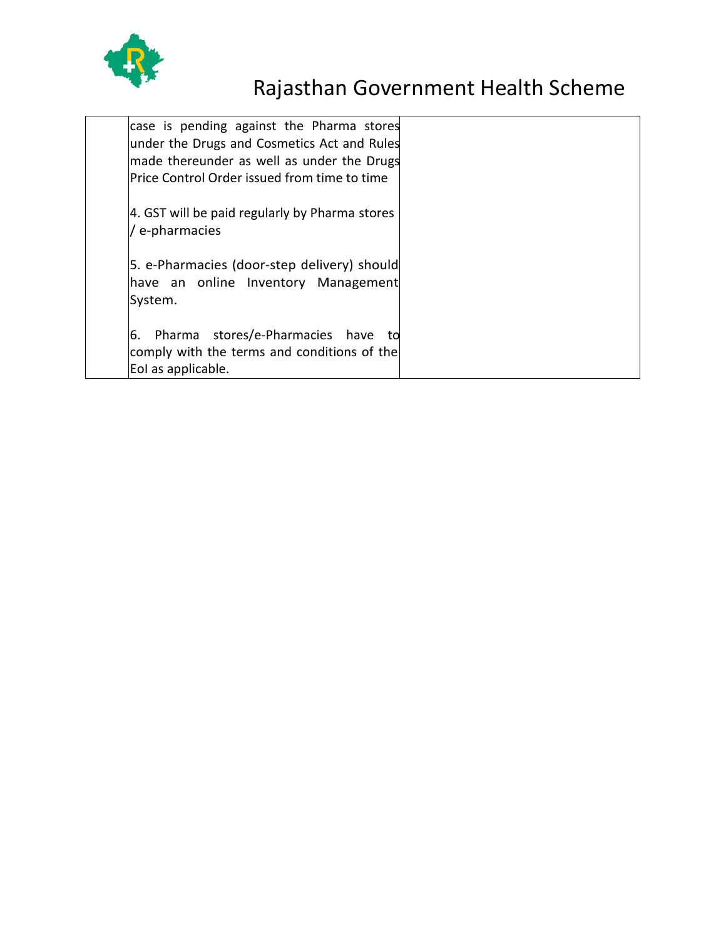

| case is pending against the Pharma stores      |  |
|------------------------------------------------|--|
| under the Drugs and Cosmetics Act and Rules    |  |
| made thereunder as well as under the Drugs     |  |
| Price Control Order issued from time to time   |  |
|                                                |  |
| 4. GST will be paid regularly by Pharma stores |  |
| e-pharmacies                                   |  |
|                                                |  |
| 5. e-Pharmacies (door-step delivery) should    |  |
| have an online Inventory Management            |  |
| System.                                        |  |
|                                                |  |
| Pharma stores/e-Pharmacies have to<br>6.       |  |
| comply with the terms and conditions of the    |  |
| Eol as applicable.                             |  |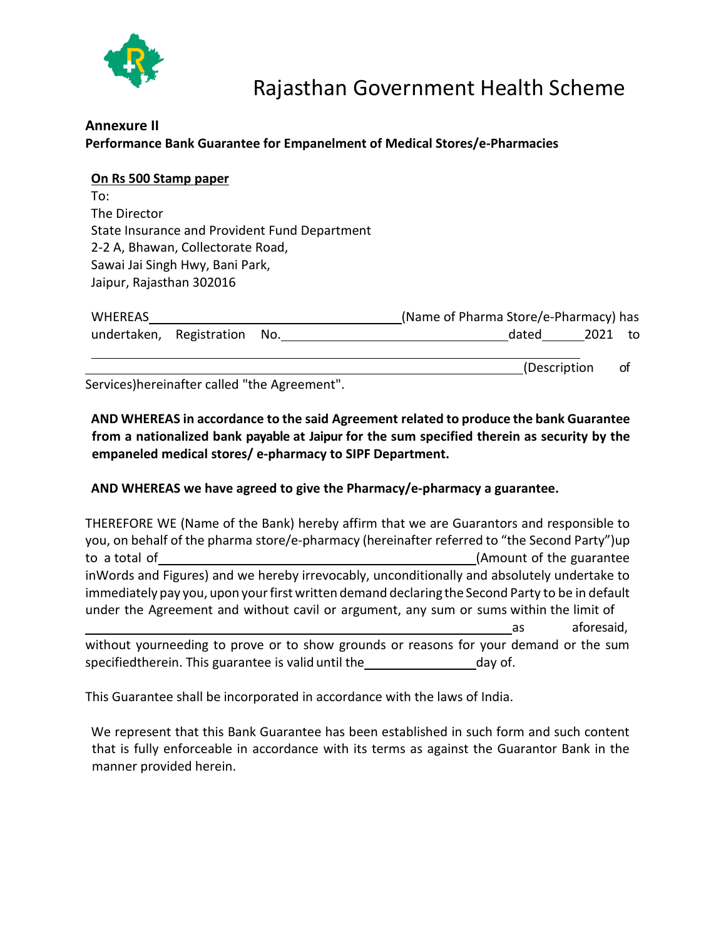

## **Annexure II Performance Bank Guarantee for Empanelment of Medical Stores/e-Pharmacies**

#### **On Rs 500 Stamp paper**

To: The Director State Insurance and Provident Fund Department 2-2 A, Bhawan, Collectorate Road, Sawai Jai Singh Hwy, Bani Park, Jaipur, Rajasthan 302016

| <b>WHEREAS</b> |                              | (Name of Pharma Store/e-Pharmacy) has |    |
|----------------|------------------------------|---------------------------------------|----|
|                | undertaken, Registration No. | 2021<br>dated                         | to |
|                |                              | (Description                          | ot |

Services)hereinafter called "the Agreement".

**AND WHEREAS in accordance to the said Agreement related to produce the bank Guarantee from a nationalized bank payable at Jaipur for the sum specified therein as security by the empaneled medical stores/ e-pharmacy to SIPF Department.**

#### **AND WHEREAS we have agreed to give the Pharmacy/e-pharmacy a guarantee.**

THEREFORE WE (Name of the Bank) hereby affirm that we are Guarantors and responsible to you, on behalf of the pharma store/e-pharmacy (hereinafter referred to "the Second Party")up to a total of (Amount of the guarantee inWords and Figures) and we hereby irrevocably, unconditionally and absolutely undertake to immediately pay you, upon your first written demand declaring the Second Party to be in default under the Agreement and without cavil or argument, any sum or sums within the limit of as aforesaid, without yourneeding to prove or to show grounds or reasons for your demand or the sum

specifiedtherein. This guarantee is valid until the day of.

This Guarantee shall be incorporated in accordance with the laws of India.

We represent that this Bank Guarantee has been established in such form and such content that is fully enforceable in accordance with its terms as against the Guarantor Bank in the manner provided herein.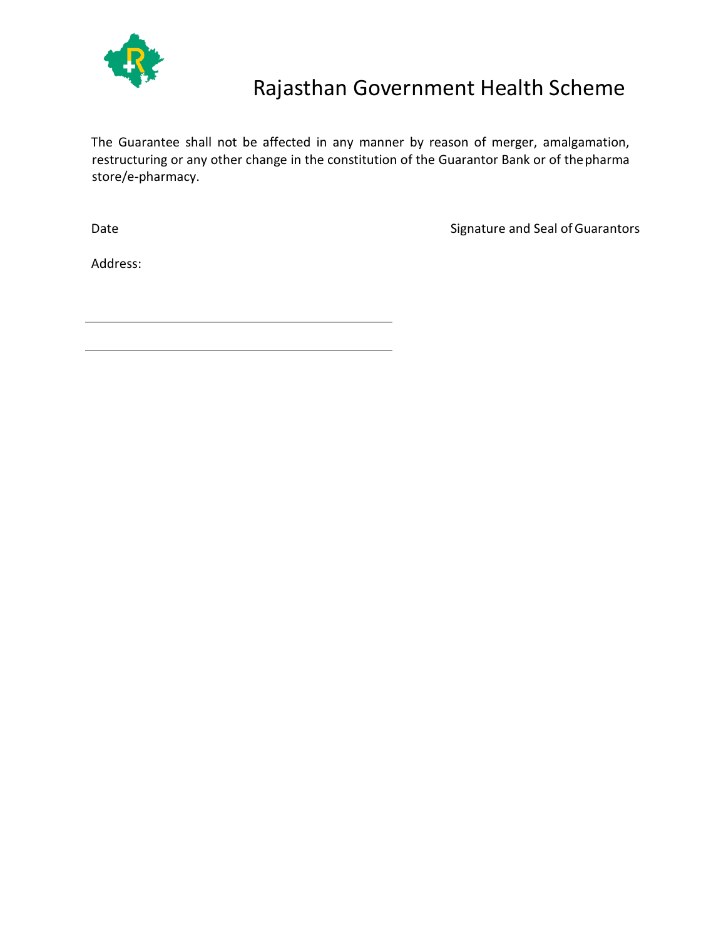

The Guarantee shall not be affected in any manner by reason of merger, amalgamation, restructuring or any other change in the constitution of the Guarantor Bank or of thepharma store/e-pharmacy.

Date **Signature and Seal of Guarantors** 

Address: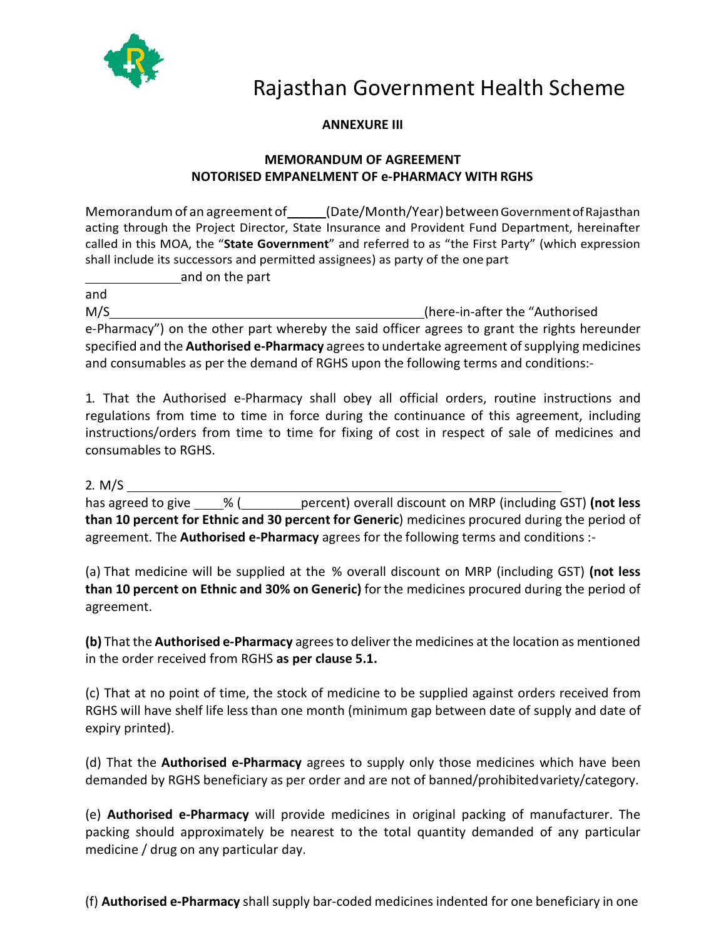

#### **ANNEXURE III**

#### **MEMORANDUM OF AGREEMENT NOTORISED EMPANELMENT OF e-PHARMACY WITH RGHS**

Memorandumof an agreement of (Date/Month/Year)betweenGovernmentofRajasthan acting through the Project Director, State Insurance and Provident Fund Department, hereinafter called in this MOA, the "**State Government**" and referred to as "the First Party" (which expression shall include its successors and permitted assignees) as party of the one part

and on the part

and M/S (here-in-after the "Authorised e-Pharmacy") on the other part whereby the said officer agrees to grant the rights hereunder specified and the **Authorised e-Pharmacy** agreesto undertake agreement ofsupplying medicines and consumables as per the demand of RGHS upon the following terms and conditions:-

1. That the Authorised e-Pharmacy shall obey all official orders, routine instructions and regulations from time to time in force during the continuance of this agreement, including instructions/orders from time to time for fixing of cost in respect of sale of medicines and consumables to RGHS.

#### 2. M/S

has agreed to give % ( percent) overall discount on MRP (including GST) **(not less than 10 percent for Ethnic and 30 percent for Generic**) medicines procured during the period of agreement. The **Authorised e-Pharmacy** agrees for the following terms and conditions :-

(a) That medicine will be supplied at the % overall discount on MRP (including GST) **(not less than 10 percent on Ethnic and 30% on Generic)** for the medicines procured during the period of agreement.

**(b)** That the **Authorised e-Pharmacy** agrees to deliver the medicines at the location as mentioned in the order received from RGHS **as per clause 5.1.**

(c) That at no point of time, the stock of medicine to be supplied against orders received from RGHS will have shelf life less than one month (minimum gap between date of supply and date of expiry printed).

(d) That the **Authorised e-Pharmacy** agrees to supply only those medicines which have been demanded by RGHS beneficiary as per order and are not of banned/prohibitedvariety/category.

(e) **Authorised e-Pharmacy** will provide medicines in original packing of manufacturer. The packing should approximately be nearest to the total quantity demanded of any particular medicine / drug on any particular day.

(f) **Authorised e-Pharmacy** shall supply bar-coded medicines indented for one beneficiary in one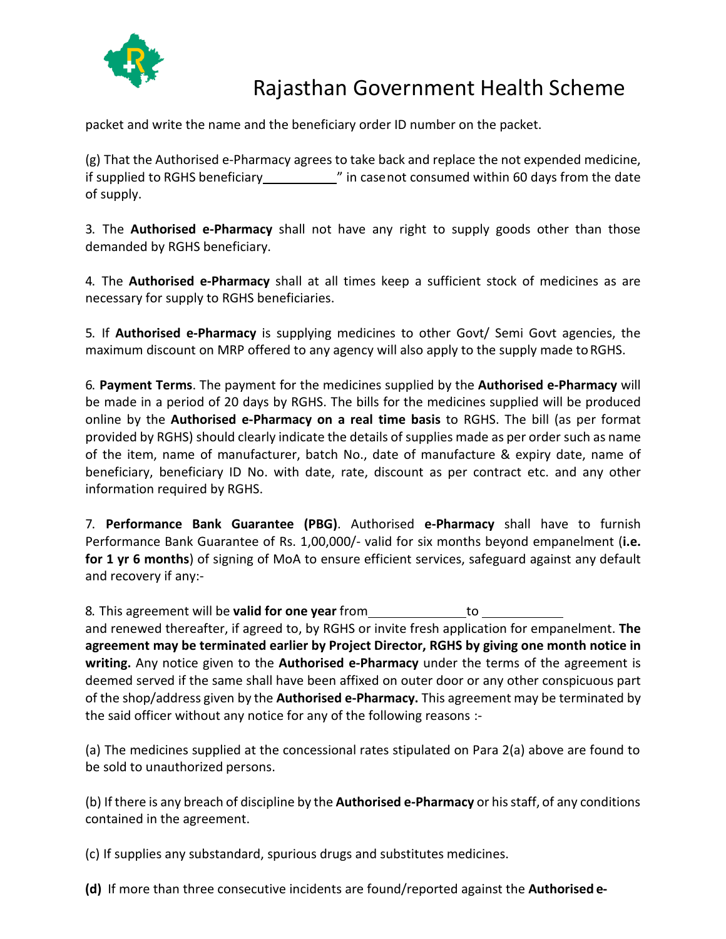

packet and write the name and the beneficiary order ID number on the packet.

(g) That the Authorised e-Pharmacy agrees to take back and replace the not expended medicine, if supplied to RGHS beneficiary " in casenot consumed within 60 days from the date of supply.

3. The **Authorised e-Pharmacy** shall not have any right to supply goods other than those demanded by RGHS beneficiary.

4. The **Authorised e-Pharmacy** shall at all times keep a sufficient stock of medicines as are necessary for supply to RGHS beneficiaries.

5. If **Authorised e-Pharmacy** is supplying medicines to other Govt/ Semi Govt agencies, the maximum discount on MRP offered to any agency will also apply to the supply made to RGHS.

6. **Payment Terms**. The payment for the medicines supplied by the **Authorised e-Pharmacy** will be made in a period of 20 days by RGHS. The bills for the medicines supplied will be produced online by the **Authorised e-Pharmacy on a real time basis** to RGHS. The bill (as per format provided by RGHS) should clearly indicate the details of supplies made as per order such as name of the item, name of manufacturer, batch No., date of manufacture & expiry date, name of beneficiary, beneficiary ID No. with date, rate, discount as per contract etc. and any other information required by RGHS.

7. **Performance Bank Guarantee (PBG)**. Authorised **e-Pharmacy** shall have to furnish Performance Bank Guarantee of Rs. 1,00,000/- valid for six months beyond empanelment (**i.e. for 1 yr 6 months**) of signing of MoA to ensure efficient services, safeguard against any default and recovery if any:-

8. This agreement will be **valid for one year** from the same to to the same to the same to the same to the same to

and renewed thereafter, if agreed to, by RGHS or invite fresh application for empanelment. **The agreement may be terminated earlier by Project Director, RGHS by giving one month notice in writing.** Any notice given to the **Authorised e-Pharmacy** under the terms of the agreement is deemed served if the same shall have been affixed on outer door or any other conspicuous part of the shop/address given by the **Authorised e-Pharmacy.** This agreement may be terminated by the said officer without any notice for any of the following reasons :-

(a) The medicines supplied at the concessional rates stipulated on Para 2(a) above are found to be sold to unauthorized persons.

(b) If there is any breach of discipline by the **Authorised e-Pharmacy** or hisstaff, of any conditions contained in the agreement.

(c) If supplies any substandard, spurious drugs and substitutes medicines.

**(d)** If more than three consecutive incidents are found/reported against the **Authorised e-**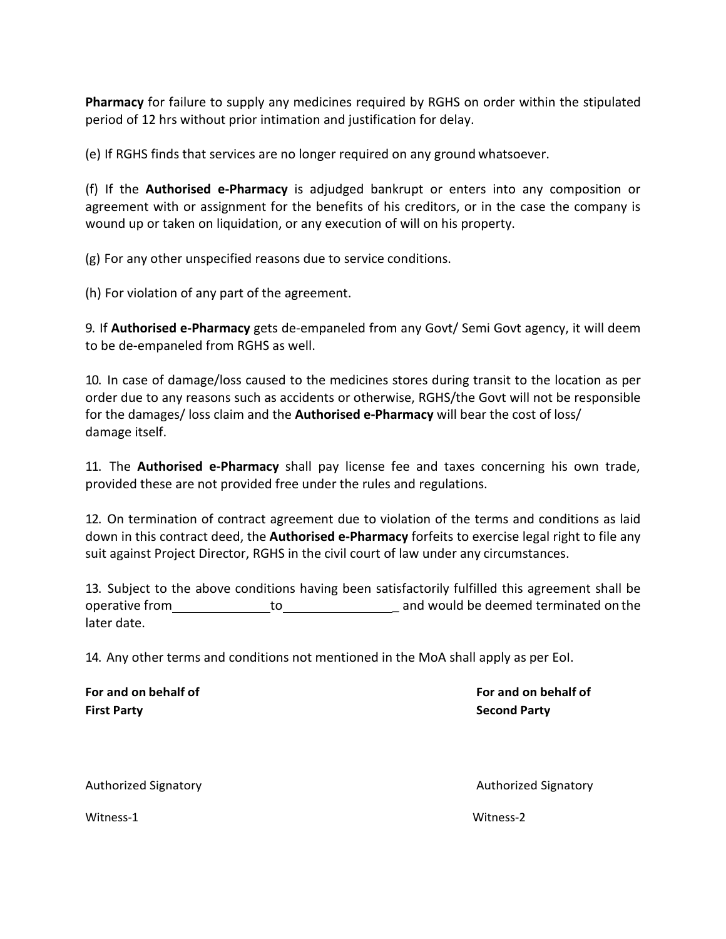**Pharmacy** for failure to supply any medicines required by RGHS on order within the stipulated period of 12 hrs without prior intimation and justification for delay.

(e) If RGHS finds that services are no longer required on any ground whatsoever.

(f) If the **Authorised e-Pharmacy** is adjudged bankrupt or enters into any composition or agreement with or assignment for the benefits of his creditors, or in the case the company is wound up or taken on liquidation, or any execution of will on his property.

(g) For any other unspecified reasons due to service conditions.

(h) For violation of any part of the agreement.

9. If **Authorised e-Pharmacy** gets de-empaneled from any Govt/ Semi Govt agency, it will deem to be de-empaneled from RGHS as well.

10. In case of damage/loss caused to the medicines stores during transit to the location as per order due to any reasons such as accidents or otherwise, RGHS/the Govt will not be responsible for the damages/ loss claim and the **Authorised e-Pharmacy** will bear the cost of loss/ damage itself.

11. The **Authorised e-Pharmacy** shall pay license fee and taxes concerning his own trade, provided these are not provided free under the rules and regulations.

12. On termination of contract agreement due to violation of the terms and conditions as laid down in this contract deed, the **Authorised e-Pharmacy** forfeits to exercise legal right to file any suit against Project Director, RGHS in the civil court of law under any circumstances.

13. Subject to the above conditions having been satisfactorily fulfilled this agreement shall be operative from to \_ and would be deemed terminated on the later date.

14. Any other terms and conditions not mentioned in the MoA shall apply as per EoI.

**For and on behalf of For and on behalf of First Party Second Party**

Authorized Signatory Authorized Signatory

Witness-1 Witness-2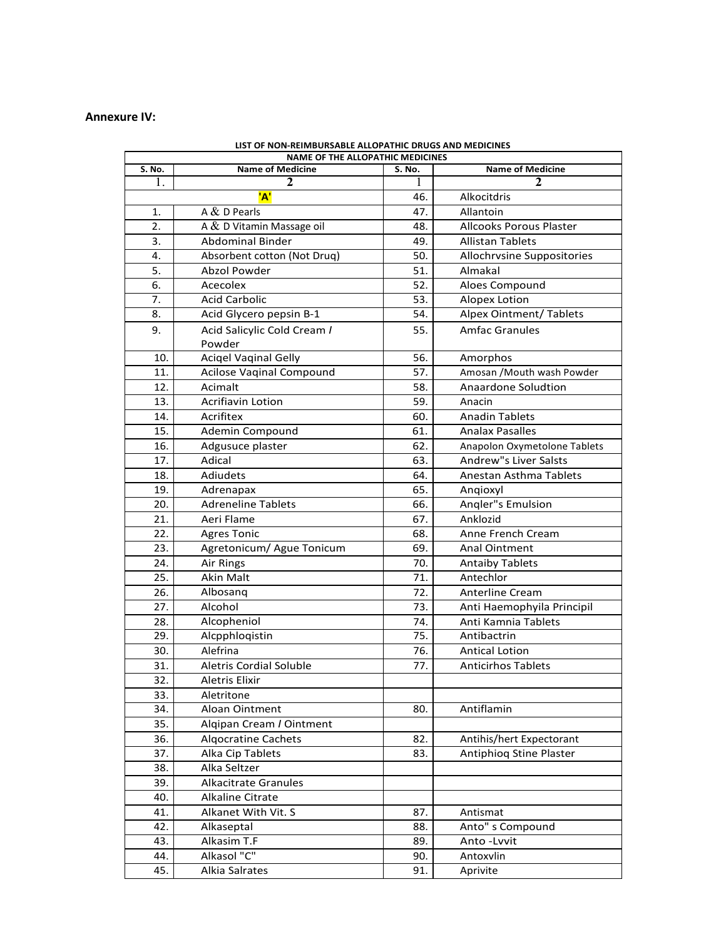#### **Annexure IV:**

| סושטות שהסיוש שהווה ושטא שאשאכיוטשטוניוניו וע<br><b>NAME OF THE ALLOPATHIC MEDICINES</b> |                                 |        |                                |  |
|------------------------------------------------------------------------------------------|---------------------------------|--------|--------------------------------|--|
| S. No.                                                                                   | <b>Name of Medicine</b>         | S. No. | <b>Name of Medicine</b>        |  |
| ı.                                                                                       | 2                               | L      | 2                              |  |
|                                                                                          | 'A'                             | 46.    | Alkocitdris                    |  |
| 1.                                                                                       | A $&$ D Pearls                  | 47.    | Allantoin                      |  |
| 2.                                                                                       | A & D Vitamin Massage oil       | 48.    | Allcooks Porous Plaster        |  |
| 3.                                                                                       | <b>Abdominal Binder</b>         | 49.    | <b>Allistan Tablets</b>        |  |
| 4.                                                                                       | Absorbent cotton (Not Drug)     | 50.    | Allochrvsine Suppositories     |  |
| 5.                                                                                       | Abzol Powder                    | 51.    | Almakal                        |  |
| 6.                                                                                       | Acecolex                        | 52.    | Aloes Compound                 |  |
| 7.                                                                                       | <b>Acid Carbolic</b>            | 53.    | Alopex Lotion                  |  |
| 8.                                                                                       | Acid Glycero pepsin B-1         | 54.    | <b>Alpex Ointment/ Tablets</b> |  |
| 9.                                                                                       | Acid Salicylic Cold Cream /     | 55.    | <b>Amfac Granules</b>          |  |
|                                                                                          | Powder                          |        |                                |  |
| 10.                                                                                      | <b>Acigel Vaginal Gelly</b>     | 56.    | Amorphos                       |  |
| 11.                                                                                      | <b>Acilose Vaginal Compound</b> | 57.    | Amosan / Mouth wash Powder     |  |
| 12.                                                                                      | Acimalt                         | 58.    | Anaardone Soludtion            |  |
| 13.                                                                                      | <b>Acrifiavin Lotion</b>        | 59.    | Anacin                         |  |
| 14.                                                                                      | Acrifitex                       | 60.    | <b>Anadin Tablets</b>          |  |
| 15.                                                                                      | Ademin Compound                 | 61.    | <b>Analax Pasalles</b>         |  |
| 16.                                                                                      | Adgusuce plaster                | 62.    | Anapolon Oxymetolone Tablets   |  |
| 17.                                                                                      | Adical                          | 63.    | Andrew"s Liver Salsts          |  |
| 18.                                                                                      | <b>Adiudets</b>                 | 64.    | Anestan Asthma Tablets         |  |
| 19.                                                                                      | Adrenapax                       | 65.    | Angioxyl                       |  |
| 20.                                                                                      | <b>Adreneline Tablets</b>       | 66.    | Angler"s Emulsion              |  |
| 21.                                                                                      | Aeri Flame                      | 67.    | Anklozid                       |  |
| 22.                                                                                      | <b>Agres Tonic</b>              | 68.    | Anne French Cream              |  |
| 23.                                                                                      | Agretonicum/ Ague Tonicum       | 69.    | Anal Ointment                  |  |
| 24.                                                                                      | Air Rings                       | 70.    | <b>Antaiby Tablets</b>         |  |
| 25.                                                                                      | <b>Akin Malt</b>                | 71.    | Antechlor                      |  |
| 26.                                                                                      | Albosang                        | 72.    | <b>Anterline Cream</b>         |  |
| 27.                                                                                      | Alcohol                         | 73.    | Anti Haemophyila Principil     |  |
| 28.                                                                                      | Alcopheniol                     | 74.    | Anti Kamnia Tablets            |  |
| 29.                                                                                      | Alcpphloqistin                  | 75.    | Antibactrin                    |  |
| 30.                                                                                      | Alefrina                        | 76.    | <b>Antical Lotion</b>          |  |
| 31.                                                                                      | <b>Aletris Cordial Soluble</b>  | 77.    | <b>Anticirhos Tablets</b>      |  |
| 32.                                                                                      | Aletris Elixir                  |        |                                |  |
| 33.                                                                                      | Aletritone                      |        |                                |  |
| 34.                                                                                      | Aloan Ointment                  | 80.    | Antiflamin                     |  |
| 35.                                                                                      | Alqipan Cream / Ointment        |        |                                |  |
| 36.                                                                                      | <b>Algocratine Cachets</b>      | 82.    | Antihis/hert Expectorant       |  |
| 37.                                                                                      | Alka Cip Tablets                | 83.    | Antiphiog Stine Plaster        |  |
| 38.                                                                                      | Alka Seltzer                    |        |                                |  |
| 39.                                                                                      | <b>Alkacitrate Granules</b>     |        |                                |  |
| 40.                                                                                      | <b>Alkaline Citrate</b>         |        |                                |  |
| 41.                                                                                      | Alkanet With Vit. S             | 87.    | Antismat                       |  |
| 42.                                                                                      | Alkaseptal                      | 88.    | Anto" s Compound               |  |
| 43.                                                                                      | Alkasim T.F                     | 89.    | Anto-Lvvit                     |  |
| 44.                                                                                      | Alkasol "C"                     | 90.    | Antoxvlin                      |  |
| 45.                                                                                      | Alkia Salrates                  | 91.    | Aprivite                       |  |

| LIST OF NON-REIMBURSABLE ALLOPATHIC DRUGS AND MEDICINES |
|---------------------------------------------------------|
| NANAE OF THE ALLONATING MAEDICINES                      |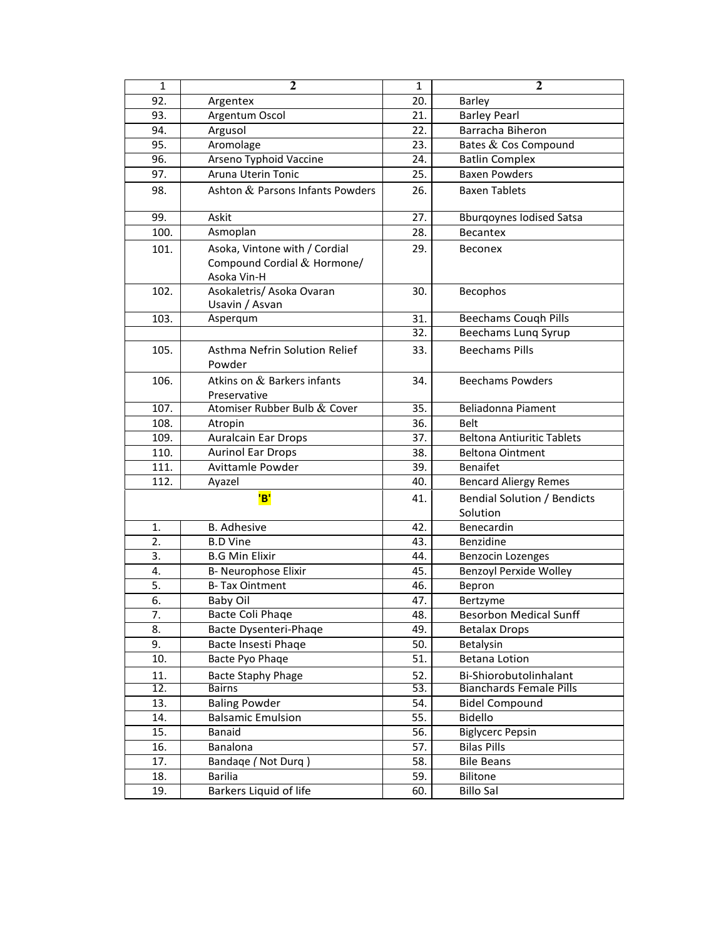| $\mathbf{1}$       | $\overline{2}$                                                              | $\mathbf{1}$ | $\mathbf{2}$                       |
|--------------------|-----------------------------------------------------------------------------|--------------|------------------------------------|
| 92.                | Argentex                                                                    | 20.          | <b>Barley</b>                      |
| 93.                | Argentum Oscol                                                              | 21.          | <b>Barley Pearl</b>                |
| 94.                | Argusol                                                                     | 22.          | Barracha Biheron                   |
| 95.                | Aromolage                                                                   | 23.          | Bates & Cos Compound               |
| 96.                | Arseno Typhoid Vaccine                                                      | 24.          | <b>Batlin Complex</b>              |
| 97.                | Aruna Uterin Tonic                                                          | 25.          | <b>Baxen Powders</b>               |
| 98.                | Ashton & Parsons Infants Powders                                            | 26.          | <b>Baxen Tablets</b>               |
|                    | Askit                                                                       |              |                                    |
| 99.                |                                                                             | 27.          | <b>Bburgoynes Iodised Satsa</b>    |
| 100.               | Asmoplan                                                                    | 28.          | <b>Becantex</b>                    |
| 101.               | Asoka, Vintone with / Cordial<br>Compound Cordial & Hormone/<br>Asoka Vin-H | 29.          | <b>Beconex</b>                     |
| 102.               | Asokaletris/ Asoka Ovaran<br>Usavin / Asvan                                 | 30.          | <b>Becophos</b>                    |
| 103.               | Asperqum                                                                    | 31.          | <b>Beechams Cough Pills</b>        |
|                    |                                                                             | 32.          | Beechams Lung Syrup                |
| 105.               | Asthma Nefrin Solution Relief<br>Powder                                     | 33.          | <b>Beechams Pills</b>              |
| 106.               | Atkins on & Barkers infants<br>Preservative                                 | 34.          | <b>Beechams Powders</b>            |
| $\overline{107}$ . | Atomiser Rubber Bulb & Cover                                                | 35.          | Beliadonna Piament                 |
| 108.               | Atropin                                                                     | 36.          | <b>Belt</b>                        |
| 109.               | <b>Auralcain Ear Drops</b>                                                  | 37.          | <b>Beltona Antiuritic Tablets</b>  |
| 110.               | <b>Aurinol Ear Drops</b>                                                    | 38.          | <b>Beltona Ointment</b>            |
| 111.               | Avittamle Powder                                                            | 39.          | <b>Benaifet</b>                    |
| 112.               | Ayazel                                                                      |              | <b>Bencard Aliergy Remes</b>       |
|                    | 'B'                                                                         | 41.          | <b>Bendial Solution / Bendicts</b> |
|                    |                                                                             |              | Solution                           |
| 1.                 | <b>B.</b> Adhesive                                                          | 42.          | Benecardin                         |
| 2.                 | <b>B.D Vine</b>                                                             | 43.          | Benzidine                          |
| 3.                 | <b>B.G Min Elixir</b>                                                       | 44.          | Benzocin Lozenges                  |
| 4.                 | B- Neurophose Elixir                                                        | 45.          | Benzoyl Perxide Wolley             |
| 5.                 | <b>B-Tax Ointment</b>                                                       | 46.          | Bepron                             |
| 6.                 | <b>Baby Oil</b>                                                             | 47.          | Bertzyme                           |
| 7.                 | Bacte Coli Phaqe                                                            | 48.          | <b>Besorbon Medical Sunff</b>      |
| 8.                 | Bacte Dysenteri-Phaqe                                                       | 49.          | <b>Betalax Drops</b>               |
| 9.                 | Bacte Insesti Phaqe                                                         | 50.          | Betalysin                          |
| 10.                | Bacte Pyo Phaqe                                                             | 51.          | <b>Betana Lotion</b>               |
| 11.                | <b>Bacte Staphy Phage</b>                                                   | 52.          | Bi-Shiorobutolinhalant             |
| 12.                | Bairns                                                                      | 53.          | <b>Bianchards Female Pills</b>     |
| 13.                | <b>Baling Powder</b>                                                        | 54.          | <b>Bidel Compound</b>              |
| 14.                | <b>Balsamic Emulsion</b>                                                    | 55.          | Bidello                            |
| 15.                | Banaid                                                                      | 56.          | <b>Biglycerc Pepsin</b>            |
| 16.                | Banalona                                                                    | 57.          | <b>Bilas Pills</b>                 |
| 17.                | Bandage (Not Durg)                                                          | 58.          | <b>Bile Beans</b>                  |
| 18.                | <b>Barilia</b>                                                              | 59.          | <b>Bilitone</b>                    |
| 19.                | Barkers Liquid of life                                                      | 60.          | <b>Billo Sal</b>                   |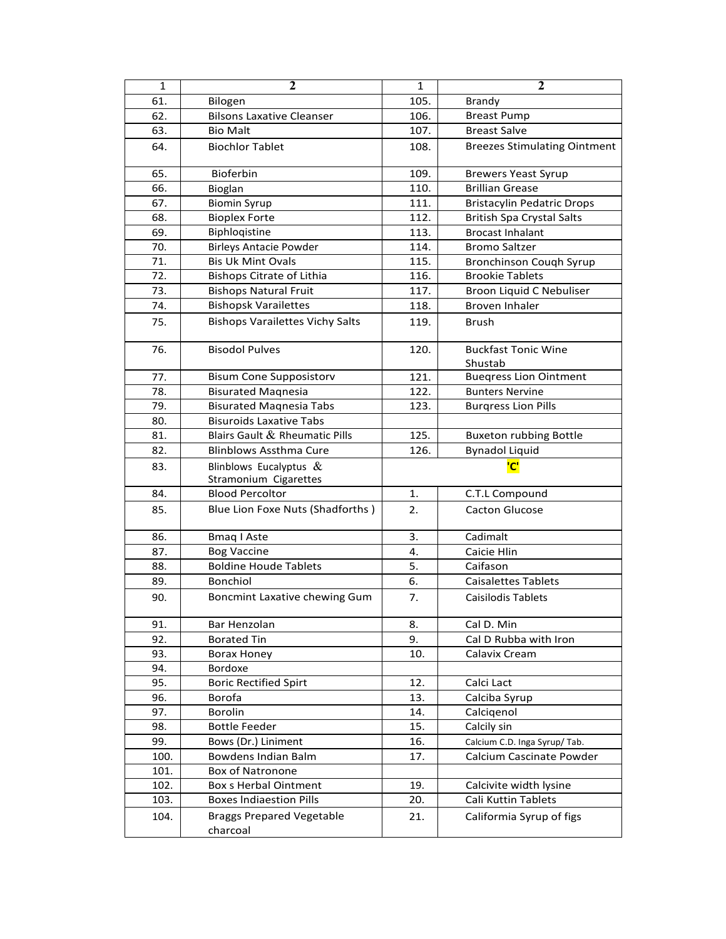| $\mathbf 1$ | $\overline{2}$                                     | $\mathbf{1}$ | $\overline{2}$                        |
|-------------|----------------------------------------------------|--------------|---------------------------------------|
| 61.         | Bilogen                                            | 105.         | Brandy                                |
| 62.         | <b>Bilsons Laxative Cleanser</b>                   | 106.         | <b>Breast Pump</b>                    |
| 63.         | <b>Bio Malt</b>                                    | 107.         | <b>Breast Salve</b>                   |
| 64.         | <b>Biochlor Tablet</b>                             | 108.         | <b>Breezes Stimulating Ointment</b>   |
| 65.         | <b>Bioferbin</b>                                   | 109.         | <b>Brewers Yeast Syrup</b>            |
| 66.         | Bioglan                                            | 110.         | <b>Brillian Grease</b>                |
| 67.         | <b>Biomin Syrup</b>                                | 111.         | <b>Bristacylin Pedatric Drops</b>     |
| 68.         | <b>Bioplex Forte</b>                               | 112.         | <b>British Spa Crystal Salts</b>      |
| 69.         | Biphlogistine                                      | 113.         | <b>Brocast Inhalant</b>               |
| 70.         | <b>Birleys Antacie Powder</b>                      | 114.         | <b>Bromo Saltzer</b>                  |
| 71.         | <b>Bis Uk Mint Ovals</b>                           | 115.         | Bronchinson Cough Syrup               |
| 72.         | <b>Bishops Citrate of Lithia</b>                   | 116.         | <b>Brookie Tablets</b>                |
| 73.         | <b>Bishops Natural Fruit</b>                       | 117.         | Broon Liquid C Nebuliser              |
| 74.         | <b>Bishopsk Varailettes</b>                        | 118.         | <b>Broven Inhaler</b>                 |
| 75.         | <b>Bishops Varailettes Vichy Salts</b>             | 119.         | Brush                                 |
| 76.         | <b>Bisodol Pulves</b>                              | 120.         | <b>Buckfast Tonic Wine</b><br>Shustab |
| 77.         | <b>Bisum Cone Supposistorv</b>                     | 121.         | <b>Buegress Lion Ointment</b>         |
| 78.         | <b>Bisurated Magnesia</b>                          | 122.         | <b>Bunters Nervine</b>                |
| 79.         | <b>Bisurated Magnesia Tabs</b>                     | 123.         | <b>Burgress Lion Pills</b>            |
| 80.         | <b>Bisuroids Laxative Tabs</b>                     |              |                                       |
| 81.         | Blairs Gault & Rheumatic Pills                     | 125.         | <b>Buxeton rubbing Bottle</b>         |
| 82.         | <b>Blinblows Assthma Cure</b>                      | 126.         | <b>Bynadol Liquid</b>                 |
| 83.         | Blinblows Eucalyptus $\&$<br>Stramonium Cigarettes |              | 'C'                                   |
| 84.         | <b>Blood Percoltor</b>                             | 1.           | C.T.L Compound                        |
| 85.         | Blue Lion Foxe Nuts (Shadforths)                   | 2.           | <b>Cacton Glucose</b>                 |
| 86.         | <b>Bmaq I Aste</b>                                 | 3.           | Cadimalt                              |
| 87.         | <b>Bog Vaccine</b>                                 | 4.           | Caicie Hlin                           |
| 88.         | <b>Boldine Houde Tablets</b>                       | 5.           | Caifason                              |
| 89.         | <b>Bonchiol</b>                                    | 6.           | Caisalettes Tablets                   |
| 90.         | Boncmint Laxative chewing Gum                      | 7.           | Caisilodis Tablets                    |
| 91.         | Bar Henzolan                                       | 8.           | Cal D. Min                            |
| 92.         | <b>Borated Tin</b>                                 | 9.           | Cal D Rubba with Iron                 |
| 93.         | <b>Borax Honey</b>                                 | 10.          | Calavix Cream                         |
| 94.         | Bordoxe                                            |              |                                       |
| 95.         | <b>Boric Rectified Spirt</b>                       | 12.          | Calci Lact                            |
| 96.         | Borofa                                             | 13.          | Calciba Syrup                         |
| 97.         | Borolin                                            | 14.          | Calcigenol                            |
| 98.         | <b>Bottle Feeder</b>                               | 15.          | Calcily sin                           |
| 99.         | Bows (Dr.) Liniment                                | 16.          | Calcium C.D. Inga Syrup/Tab.          |
| 100.        | <b>Bowdens Indian Balm</b>                         | 17.          | Calcium Cascinate Powder              |
| 101.        | <b>Box of Natronone</b>                            |              |                                       |
| 102.        | <b>Box s Herbal Ointment</b>                       | 19.          | Calcivite width lysine                |
| 103.        | <b>Boxes Indiaestion Pills</b>                     | 20.          | Cali Kuttin Tablets                   |
| 104.        | <b>Braggs Prepared Vegetable</b><br>charcoal       | 21.          | Califormia Syrup of figs              |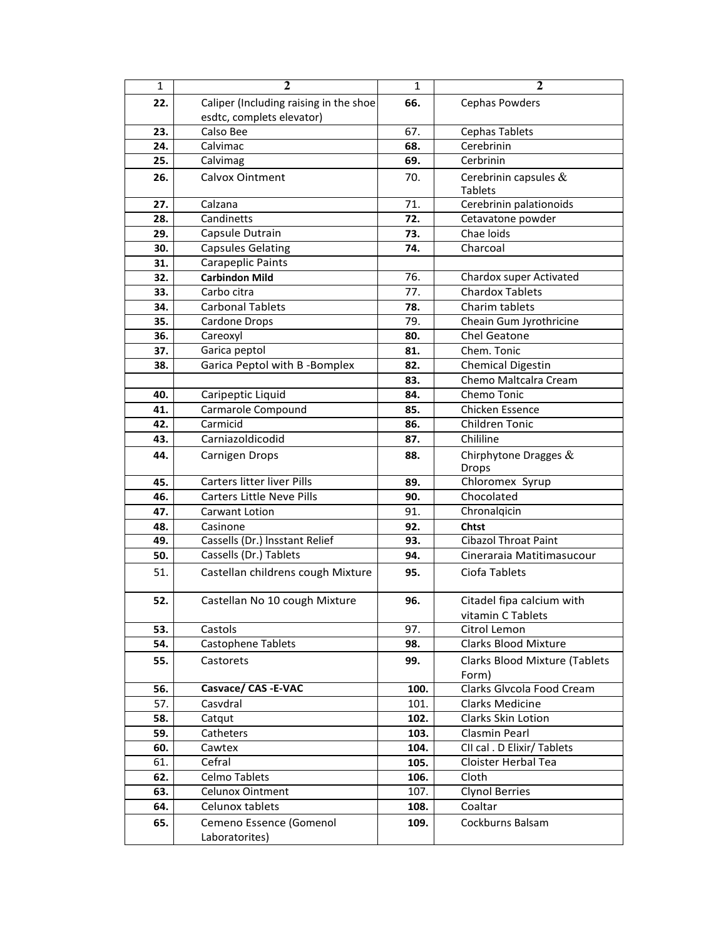| $\mathbf{1}$ | $\overline{2}$                         | $\mathbf{1}$ | $\overline{2}$                |
|--------------|----------------------------------------|--------------|-------------------------------|
| 22.          | Caliper (Including raising in the shoe | 66.          | Cephas Powders                |
|              | esdtc, complets elevator)              |              |                               |
| 23.          | Calso Bee                              | 67.          | Cephas Tablets                |
| 24.          | Calvimac                               | 68.          | Cerebrinin                    |
| 25.          | Calvimag                               | 69.          | Cerbrinin                     |
| 26.          | Calvox Ointment                        | 70.          | Cerebrinin capsules $\&$      |
|              |                                        |              | <b>Tablets</b>                |
| 27.          | Calzana                                | 71.          | Cerebrinin palationoids       |
| 28.          | Candinetts                             | 72.          | Cetavatone powder             |
| 29.          | Capsule Dutrain                        | 73.          | Chae loids                    |
| 30.          | <b>Capsules Gelating</b>               | 74.          | Charcoal                      |
| 31.          | Carapeplic Paints                      |              |                               |
| 32.          | <b>Carbindon Mild</b>                  | 76.          | Chardox super Activated       |
| 33.          | Carbo citra                            | 77.          | <b>Chardox Tablets</b>        |
| 34.          | <b>Carbonal Tablets</b>                | 78.          | Charim tablets                |
| 35.          | Cardone Drops                          | 79.          | Cheain Gum Jyrothricine       |
| 36.          | Careoxyl                               | 80.          | <b>Chel Geatone</b>           |
| 37.          | Garica peptol                          | 81.          | Chem. Tonic                   |
| 38.          | Garica Peptol with B-Bomplex           | 82.          | <b>Chemical Digestin</b>      |
|              |                                        | 83.          | Chemo Maltcalra Cream         |
| 40.          | Caripeptic Liquid                      | 84.          | Chemo Tonic                   |
| 41.          | Carmarole Compound                     | 85.          | Chicken Essence               |
| 42.          | Carmicid                               | 86.          | Children Tonic                |
| 43.          | Carniazoldicodid                       | 87.          | Chililine                     |
| 44.          | Carnigen Drops                         | 88.          | Chirphytone Dragges $&$       |
|              |                                        |              | <b>Drops</b>                  |
| 45.          | Carters litter liver Pills             | 89.          | Chloromex Syrup               |
| 46.          | <b>Carters Little Neve Pills</b>       | 90.          | Chocolated                    |
| 47.          | Carwant Lotion                         | 91.          | Chronalgicin                  |
| 48.          | Casinone                               | 92.          | <b>Chtst</b>                  |
| 49.          | Cassells (Dr.) Insstant Relief         | 93.          | <b>Cibazol Throat Paint</b>   |
| 50.          | Cassells (Dr.) Tablets                 | 94.          | Cineraraia Matitimasucour     |
| 51.          | Castellan childrens cough Mixture      | 95.          | Ciofa Tablets                 |
| 52.          | Castellan No 10 cough Mixture          | 96.          | Citadel fipa calcium with     |
|              |                                        |              | vitamin C Tablets             |
| 53.          | Castols                                | 97.          | Citrol Lemon                  |
| 54.          | Castophene Tablets                     | 98.          | <b>Clarks Blood Mixture</b>   |
| 55.          | Castorets                              | 99.          | Clarks Blood Mixture (Tablets |
|              |                                        |              | Form)                         |
| 56.          | Casvace/ CAS -E-VAC                    | 100.         | Clarks Glvcola Food Cream     |
| 57.          | Casvdral                               | 101.         | Clarks Medicine               |
| 58.          | Catqut                                 | 102.         | Clarks Skin Lotion            |
| 59.          | Catheters                              | 103.         | Clasmin Pearl                 |
| 60.          | Cawtex                                 | 104.         | CII cal . D Elixir/ Tablets   |
| 61.          | Cefral                                 | 105.         | Cloister Herbal Tea           |
| 62.          | Celmo Tablets                          | 106.         | Cloth                         |
| 63.          | <b>Celunox Ointment</b>                | 107.         | <b>Clynol Berries</b>         |
| 64.          | Celunox tablets                        | 108.         | Coaltar                       |
| 65.          | Cemeno Essence (Gomenol                | 109.         | Cockburns Balsam              |
|              | Laboratorites)                         |              |                               |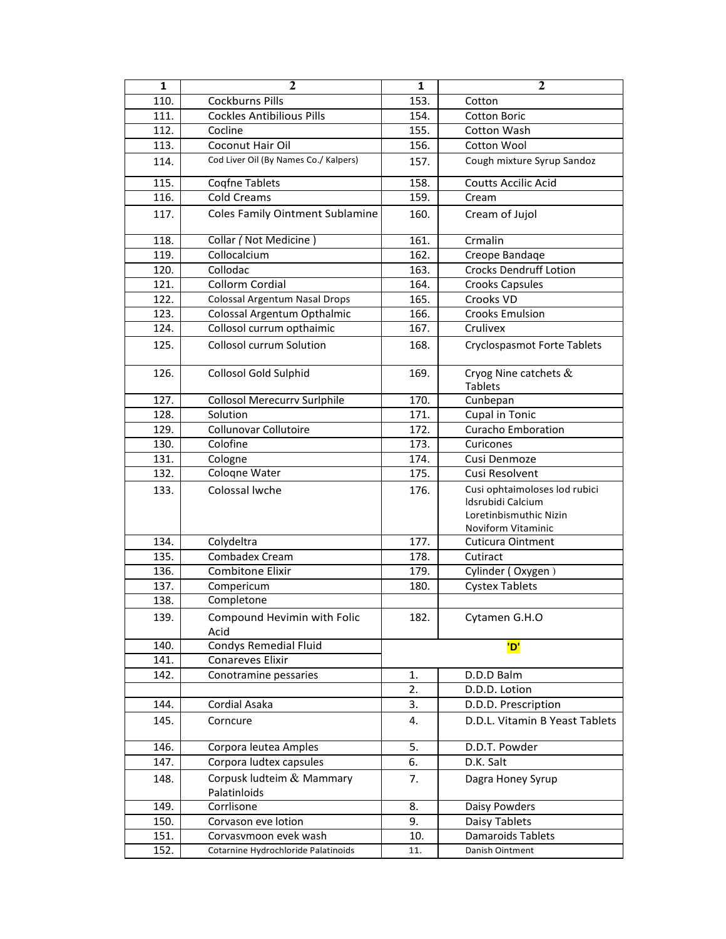| $\mathbf{1}$ | $\mathbf{2}$                              | $\mathbf{1}$            | $\mathbf{2}$                                                                                       |
|--------------|-------------------------------------------|-------------------------|----------------------------------------------------------------------------------------------------|
| 110.         | <b>Cockburns Pills</b>                    | 153.                    | Cotton                                                                                             |
| 111.         | <b>Cockles Antibilious Pills</b>          | 154.                    | <b>Cotton Boric</b>                                                                                |
| 112.         | Cocline                                   | 155.                    | Cotton Wash                                                                                        |
| 113.         | <b>Coconut Hair Oil</b>                   | 156.                    | Cotton Wool                                                                                        |
| 114.         | Cod Liver Oil (By Names Co./ Kalpers)     | 157.                    | Cough mixture Syrup Sandoz                                                                         |
| 115.         | Coqfne Tablets                            | 158.                    | <b>Coutts Accilic Acid</b>                                                                         |
| 116.         | <b>Cold Creams</b>                        | 159.                    | Cream                                                                                              |
| 117.         | <b>Coles Family Ointment Sublamine</b>    | 160.                    | Cream of Jujol                                                                                     |
| 118.         | Collar (Not Medicine)                     | 161.                    | Crmalin                                                                                            |
| 119.         | Collocalcium                              | 162.                    | Creope Bandage                                                                                     |
| 120.         | Collodac                                  | 163.                    | <b>Crocks Dendruff Lotion</b>                                                                      |
| 121.         | Collorm Cordial                           | 164.                    | <b>Crooks Capsules</b>                                                                             |
| 122.         | Colossal Argentum Nasal Drops             | 165.                    | Crooks VD                                                                                          |
| 123.         | Colossal Argentum Opthalmic               | 166.                    | <b>Crooks Emulsion</b>                                                                             |
| 124.         | Collosol currum opthaimic                 | 167.                    | Crulivex                                                                                           |
|              |                                           |                         |                                                                                                    |
| 125.         | <b>Collosol currum Solution</b>           | 168.                    | <b>Cryclospasmot Forte Tablets</b>                                                                 |
| 126.         | <b>Collosol Gold Sulphid</b>              | 169.                    | Cryog Nine catchets $\&$<br><b>Tablets</b>                                                         |
| 127.         | <b>Collosol Merecurry Suriphile</b>       | 170.                    | Cunbepan                                                                                           |
| 128.         | Solution                                  | 171.                    | <b>Cupal in Tonic</b>                                                                              |
| 129.         | Collunovar Collutoire                     | 172.                    | <b>Curacho Emboration</b>                                                                          |
| 130.         | Colofine                                  | 173.                    | Curicones                                                                                          |
| 131.         | Cologne                                   | 174.                    | Cusi Denmoze                                                                                       |
| 132.         | Cologne Water                             | 175.                    | Cusi Resolvent                                                                                     |
| 133.         | Colossal lwche                            | 176.                    | Cusi ophtaimoloses lod rubici<br>Idsrubidi Calcium<br>Loretinbismuthic Nizin<br>Noviform Vitaminic |
| 134.         | Colydeltra                                | 177.                    | Cuticura Ointment                                                                                  |
| 135.         | Combadex Cream                            | 178.                    | Cutiract                                                                                           |
| 136.         | <b>Combitone Elixir</b>                   | 179.                    | Cylinder (Oxygen)                                                                                  |
| 137.         | Compericum                                | 180.                    | <b>Cystex Tablets</b>                                                                              |
| 138.         | Completone                                |                         |                                                                                                    |
| 139.         | Compound Hevimin with Folic<br>Acid       | 182.                    | Cytamen G.H.O                                                                                      |
| 140.         | Condys Remedial Fluid                     |                         | 'D'                                                                                                |
| 141.         | Conareves Elixir                          |                         |                                                                                                    |
| 142.         | Conotramine pessaries                     | 1.                      | D.D.D Balm                                                                                         |
|              |                                           | 2.                      | D.D.D. Lotion                                                                                      |
| 144.         | Cordial Asaka                             | 3.                      | D.D.D. Prescription                                                                                |
| 145.         | Corncure                                  | 4.                      | D.D.L. Vitamin B Yeast Tablets                                                                     |
| 146.         | Corpora leutea Amples                     | 5.                      | D.D.T. Powder                                                                                      |
| 147.         | Corpora ludtex capsules                   | 6.                      | D.K. Salt                                                                                          |
| 148.         | Corpusk ludteim & Mammary<br>Palatinloids | 7.<br>Dagra Honey Syrup |                                                                                                    |
| 149.         | Corrlisone                                | 8.                      | Daisy Powders                                                                                      |
| 150.         | Corvason eve lotion                       | 9.                      | Daisy Tablets                                                                                      |
| 151.         | Corvasvmoon evek wash                     | 10.                     | Damaroids Tablets                                                                                  |
| 152.         | Cotarnine Hydrochloride Palatinoids       | 11.                     | Danish Ointment                                                                                    |
|              |                                           |                         |                                                                                                    |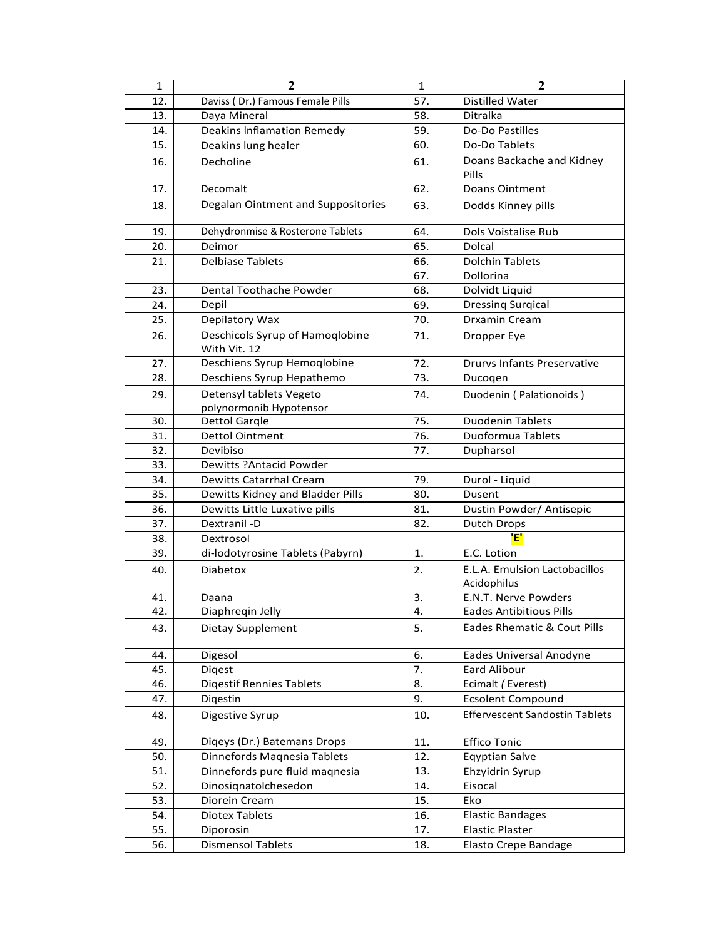| $\mathbf{1}$ | $\mathbf 2$                        | $\mathbf{1}$ | $\mathbf{2}$                          |
|--------------|------------------------------------|--------------|---------------------------------------|
| 12.          | Daviss (Dr.) Famous Female Pills   | 57.          | Distilled Water                       |
| 13.          | Daya Mineral                       | 58.          | Ditralka                              |
| 14.          | <b>Deakins Inflamation Remedy</b>  | 59.          | Do-Do Pastilles                       |
| 15.          | Deakins lung healer                | 60.          | Do-Do Tablets                         |
| 16.          | Decholine                          | 61.          | Doans Backache and Kidney             |
|              |                                    |              | Pills                                 |
| 17.          | Decomalt                           | 62.          | Doans Ointment                        |
| 18.          | Degalan Ointment and Suppositories | 63.          | Dodds Kinney pills                    |
|              |                                    |              |                                       |
| 19.          | Dehydronmise & Rosterone Tablets   | 64.          | Dols Voistalise Rub                   |
| 20.          | Deimor                             | 65.          | Dolcal                                |
| 21.          | <b>Delbiase Tablets</b>            | 66.          | <b>Dolchin Tablets</b>                |
|              |                                    | 67.          | Dollorina                             |
| 23.          | Dental Toothache Powder            | 68.          | Dolvidt Liquid                        |
| 24.          | Depil                              | 69.          | <b>Dressing Surgical</b>              |
| 25.          | Depilatory Wax                     | 70.          | Drxamin Cream                         |
| 26.          | Deschicols Syrup of Hamoqlobine    | 71.          | Dropper Eye                           |
|              | With Vit. 12                       |              |                                       |
| 27.          | Deschiens Syrup Hemoqlobine        | 72.          | <b>Drurvs Infants Preservative</b>    |
| 28.          | Deschiens Syrup Hepathemo          | 73.          | Ducogen                               |
| 29.          | Detensyl tablets Vegeto            | 74.          | Duodenin (Palationoids)               |
|              | polynormonib Hypotensor            |              |                                       |
| 30.          | <b>Dettol Gargle</b>               | 75.          | <b>Duodenin Tablets</b>               |
| 31.          | Dettol Ointment                    | 76.          | Duoformua Tablets                     |
| 32.          | Devibiso                           | 77.          | Dupharsol                             |
| 33.          | Dewitts ? Antacid Powder           |              |                                       |
| 34.          | Dewitts Catarrhal Cream            | 79.          | Durol - Liquid                        |
| 35.          | Dewitts Kidney and Bladder Pills   | 80.          | Dusent                                |
| 36.          | Dewitts Little Luxative pills      | 81.          | Dustin Powder/ Antisepic              |
| 37.          | Dextranil -D                       | 82.          | Dutch Drops                           |
| 38.          | Dextrosol                          |              | 'E'                                   |
| 39.          | di-lodotyrosine Tablets (Pabyrn)   | 1.           | E.C. Lotion                           |
| 40.          | <b>Diabetox</b>                    | 2.           | E.L.A. Emulsion Lactobacillos         |
|              |                                    |              | Acidophilus                           |
| 41.          | Daana                              | 3.           | E.N.T. Nerve Powders                  |
| 42.          | Diaphreqin Jelly                   | 4.           | <b>Eades Antibitious Pills</b>        |
| 43.          | Dietay Supplement                  | 5.           | Eades Rhematic & Cout Pills           |
|              |                                    |              |                                       |
| 44.          | Digesol                            | 6.           | Eades Universal Anodyne               |
| 45.          | Digest                             | 7.           | Eard Alibour                          |
| 46.          | <b>Digestif Rennies Tablets</b>    | 8.           | Ecimalt (Everest)                     |
| 47.          | Digestin                           | 9.           | <b>Ecsolent Compound</b>              |
| 48.          | Digestive Syrup                    | 10.          | <b>Effervescent Sandostin Tablets</b> |
|              |                                    |              |                                       |
| 49.          | Digeys (Dr.) Batemans Drops        | 11.          | <b>Effico Tonic</b>                   |
| 50.          | Dinnefords Magnesia Tablets        | 12.          | <b>Eqyptian Salve</b>                 |
| 51.          | Dinnefords pure fluid magnesia     | 13.          | Ehzyidrin Syrup                       |
| 52.          | Dinosignatolchesedon               | 14.          | Eisocal                               |
| 53.          | Diorein Cream                      | 15.          | Eko                                   |
| 54.          | <b>Diotex Tablets</b>              | 16.          | <b>Elastic Bandages</b>               |
| 55.          | Diporosin                          | 17.          | <b>Elastic Plaster</b>                |
| 56.          | <b>Dismensol Tablets</b>           | 18.          | <b>Elasto Crepe Bandage</b>           |
|              |                                    |              |                                       |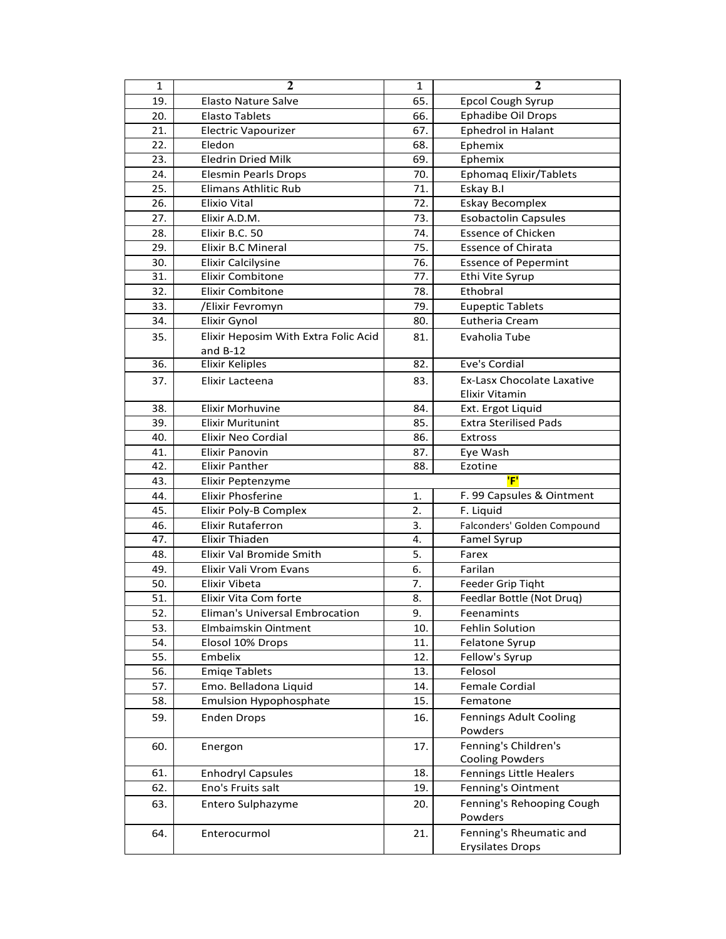| $\mathbf{1}$ | $\mathbf{2}$                         | $\mathbf 1$ | $\overline{2}$                                      |
|--------------|--------------------------------------|-------------|-----------------------------------------------------|
| 19.          | <b>Elasto Nature Salve</b>           | 65.         | Epcol Cough Syrup                                   |
| 20.          | Elasto Tablets                       | 66.         | <b>Ephadibe Oil Drops</b>                           |
| 21.          | <b>Electric Vapourizer</b>           | 67.         | Ephedrol in Halant                                  |
| 22.          | Eledon                               | 68.         | Ephemix                                             |
| 23.          | <b>Eledrin Dried Milk</b>            | 69.         | Ephemix                                             |
| 24.          | <b>Elesmin Pearls Drops</b>          | 70.         | <b>Ephomaq Elixir/Tablets</b>                       |
| 25.          | <b>Elimans Athlitic Rub</b>          | 71.         | Eskay B.I                                           |
| 26.          | <b>Elixio Vital</b>                  | 72.         | <b>Eskay Becomplex</b>                              |
| 27.          | Elixir A.D.M.                        | 73.         | <b>Esobactolin Capsules</b>                         |
| 28.          | Elixir B.C. 50                       | 74.         | <b>Essence of Chicken</b>                           |
| 29.          | Elixir B.C Mineral                   | 75.         | <b>Essence of Chirata</b>                           |
| 30.          | <b>Elixir Calcilysine</b>            | 76.         | <b>Essence of Pepermint</b>                         |
| 31.          | <b>Elixir Combitone</b>              | 77.         | Ethi Vite Syrup                                     |
| 32.          | <b>Elixir Combitone</b>              | 78.         | Ethobral                                            |
| 33.          | /Elixir Fevromyn                     | 79.         | <b>Eupeptic Tablets</b>                             |
| 34.          | Elixir Gynol                         | 80.         | Eutheria Cream                                      |
| 35.          | Elixir Heposim With Extra Folic Acid | 81.         | Evaholia Tube                                       |
|              | and $B-12$                           |             |                                                     |
| 36.          | <b>Elixir Keliples</b>               | 82.         | Eve's Cordial                                       |
| 37.          | Elixir Lacteena                      | 83.         | Ex-Lasx Chocolate Laxative<br><b>Elixir Vitamin</b> |
| 38.          | Elixir Morhuvine                     | 84.         | Ext. Ergot Liquid                                   |
| 39.          | <b>Elixir Muritunint</b>             | 85.         | <b>Extra Sterilised Pads</b>                        |
| 40.          | Elixir Neo Cordial                   | 86.         | <b>Extross</b>                                      |
| 41.          | <b>Elixir Panovin</b>                | 87.         | Eye Wash                                            |
| 42.          | <b>Elixir Panther</b>                | 88.         | Ezotine                                             |
| 43.          | Elixir Peptenzyme                    |             | 'F'                                                 |
| 44.          | Elixir Phosferine                    | 1.          | F. 99 Capsules & Ointment                           |
| 45.          | Elixir Poly-B Complex                | 2.          | F. Liquid                                           |
| 46.          | <b>Elixir Rutaferron</b>             | 3.          | Falconders' Golden Compound                         |
| 47.          | <b>Elixir Thiaden</b>                | 4.          | Famel Syrup                                         |
| 48.          | Elixir Val Bromide Smith             | 5.          | Farex                                               |
| 49.          | Elixir Vali Vrom Evans               | 6.          | Farilan                                             |
| 50.          | Elixir Vibeta                        | 7.          | Feeder Grip Tight                                   |
| 51.          | Elixir Vita Com forte                | 8.          | Feedlar Bottle (Not Druq)                           |
| 52.          | Eliman's Universal Embrocation       | 9.          | Feenamints                                          |
| 53.          | Elmbaimskin Ointment                 | 10.         | <b>Fehlin Solution</b>                              |
| 54.          | Elosol 10% Drops                     | 11.         | Felatone Syrup                                      |
| 55.          | Embelix                              | 12.         | Fellow's Syrup                                      |
| 56.          | <b>Emige Tablets</b>                 | 13.         | Felosol                                             |
| 57.          | Emo. Belladona Liquid                | 14.         | Female Cordial                                      |
| 58.          | <b>Emulsion Hypophosphate</b>        | 15.         | Fematone                                            |
| 59.          | <b>Enden Drops</b>                   | 16.         | <b>Fennings Adult Cooling</b>                       |
|              |                                      |             | Powders                                             |
| 60.          | Energon                              | 17.         | Fenning's Children's                                |
|              |                                      |             | <b>Cooling Powders</b>                              |
| 61.          | <b>Enhodryl Capsules</b>             | 18.         | <b>Fennings Little Healers</b>                      |
| 62.          | Eno's Fruits salt                    | 19.         | Fenning's Ointment                                  |
| 63.          | Entero Sulphazyme                    | 20.         | Fenning's Rehooping Cough<br>Powders                |
|              |                                      |             | Fenning's Rheumatic and                             |
| 64.          | Enterocurmol                         | 21.         |                                                     |
|              |                                      |             | <b>Erysilates Drops</b>                             |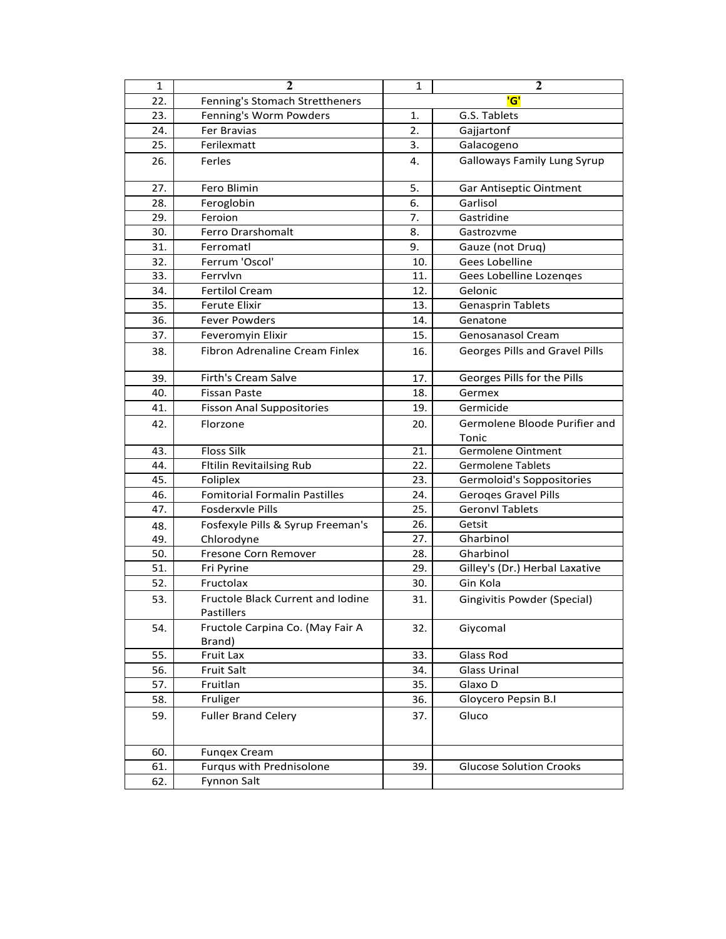| $\mathbf{1}$ | $\mathbf 2$                                            | 1   | $\overline{2}$                     |
|--------------|--------------------------------------------------------|-----|------------------------------------|
| 22.          | Fenning's Stomach Strettheners                         |     | 'G'                                |
| 23.          | Fenning's Worm Powders                                 | 1.  | G.S. Tablets                       |
| 24.          | Fer Bravias                                            | 2.  | Gajjartonf                         |
| 25.          | Ferilexmatt                                            | 3.  | Galacogeno                         |
| 26.          | Ferles                                                 | 4.  | <b>Galloways Family Lung Syrup</b> |
| 27.          | Fero Blimin                                            | 5.  | Gar Antiseptic Ointment            |
| 28.          | Feroglobin                                             | 6.  | Garlisol                           |
| 29.          | Feroion                                                | 7.  | Gastridine                         |
| 30.          | Ferro Drarshomalt                                      | 8.  | Gastrozyme                         |
| 31.          | Ferromatl                                              | 9.  | Gauze (not Drug)                   |
| 32.          | Ferrum 'Oscol'                                         | 10. | Gees Lobelline                     |
| 33.          | Ferrylyn                                               | 11. | Gees Lobelline Lozenqes            |
| 34.          | <b>Fertilol Cream</b>                                  | 12. | Gelonic                            |
| 35.          | <b>Ferute Elixir</b>                                   | 13. | <b>Genasprin Tablets</b>           |
| 36.          | <b>Fever Powders</b>                                   | 14. | Genatone                           |
| 37.          | Feveromyin Elixir                                      | 15. | Genosanasol Cream                  |
| 38.          | Fibron Adrenaline Cream Finlex                         | 16. | Georges Pills and Gravel Pills     |
| 39.          | Firth's Cream Salve                                    | 17. | Georges Pills for the Pills        |
| 40.          | <b>Fissan Paste</b>                                    | 18. | Germex                             |
| 41.          | <b>Fisson Anal Suppositories</b>                       | 19. | Germicide                          |
| 42.          | Florzone                                               | 20. | Germolene Bloode Purifier and      |
|              |                                                        |     | Tonic                              |
| 43.          | <b>Floss Silk</b>                                      | 21. | Germolene Ointment                 |
| 44.          | <b>Fitilin Revitailsing Rub</b>                        | 22. | <b>Germolene Tablets</b>           |
| 45.          | Foliplex                                               | 23. | Germoloid's Soppositories          |
| 46.          | <b>Fomitorial Formalin Pastilles</b>                   | 24. | <b>Geroges Gravel Pills</b>        |
| 47.          | Fosderxvle Pills                                       | 25. | <b>Geronvl Tablets</b>             |
| 48.          | Fosfexyle Pills & Syrup Freeman's                      | 26. | Getsit                             |
| 49.          | Chlorodyne                                             | 27. | Gharbinol                          |
| 50.          | Fresone Corn Remover                                   | 28. | Gharbinol                          |
| 51.          | Fri Pyrine                                             | 29. | Gilley's (Dr.) Herbal Laxative     |
| 52.          | Fructolax                                              | 30. | Gin Kola                           |
| 53.          | <b>Fructole Black Current and Iodine</b><br>Pastillers | 31. | Gingivitis Powder (Special)        |
| 54.          | Fructole Carpina Co. (May Fair A<br>Brand)             | 32. | Giycomal                           |
| 55.          | Fruit Lax                                              | 33. | Glass Rod                          |
| 56.          | Fruit Salt                                             | 34. | <b>Glass Urinal</b>                |
| 57.          | Fruitlan                                               | 35. | Glaxo D                            |
| 58.          | Fruliger                                               | 36. | Gloycero Pepsin B.I                |
| 59.          | <b>Fuller Brand Celery</b>                             | 37. | Gluco                              |
| 60.          | <b>Fungex Cream</b>                                    |     |                                    |
| 61.          | Furqus with Prednisolone                               | 39. | <b>Glucose Solution Crooks</b>     |
| 62.          | Fynnon Salt                                            |     |                                    |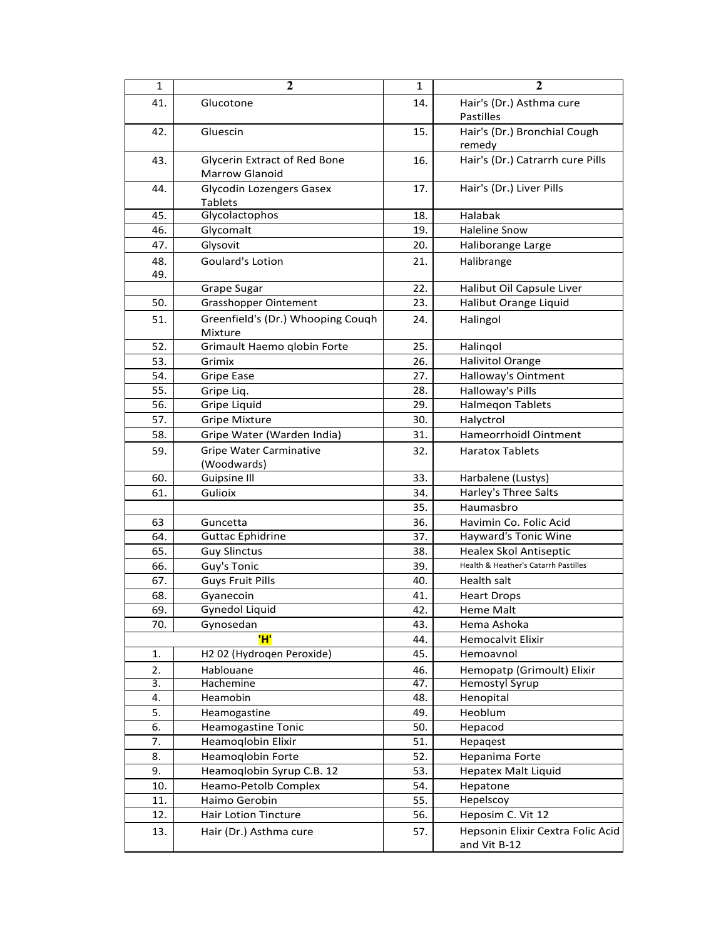| $\mathbf{1}$ | 2                                                     | $\mathbf{1}$ | $\mathbf{2}$                                      |
|--------------|-------------------------------------------------------|--------------|---------------------------------------------------|
| 41.          | Glucotone                                             | 14.          | Hair's (Dr.) Asthma cure<br><b>Pastilles</b>      |
| 42.          | Gluescin                                              | 15.          | Hair's (Dr.) Bronchial Cough<br>remedy            |
| 43.          | Glycerin Extract of Red Bone<br><b>Marrow Glanoid</b> | 16.          | Hair's (Dr.) Catrarrh cure Pills                  |
| 44.          | Glycodin Lozengers Gasex<br><b>Tablets</b>            | 17.          | Hair's (Dr.) Liver Pills                          |
| 45.          | Glycolactophos                                        | 18.          | Halabak                                           |
| 46.          | Glycomalt                                             | 19.          | <b>Haleline Snow</b>                              |
| 47.          | Glysovit                                              | 20.          | Haliborange Large                                 |
| 48.          | Goulard's Lotion                                      | 21.          | Halibrange                                        |
| 49.          |                                                       |              |                                                   |
|              | Grape Sugar                                           | 22.          | Halibut Oil Capsule Liver                         |
| 50.          | <b>Grasshopper Ointement</b>                          | 23.          | Halibut Orange Liquid                             |
| 51.          | Greenfield's (Dr.) Whooping Couqh<br>Mixture          | 24.          | Halingol                                          |
| 52.          | Grimault Haemo qlobin Forte                           | 25.          | Halingol                                          |
| 53.          | Grimix                                                | 26.          | <b>Halivitol Orange</b>                           |
| 54.          | <b>Gripe Ease</b>                                     | 27.          | Halloway's Ointment                               |
| 55.          | Gripe Liq.                                            | 28.          | Halloway's Pills                                  |
| 56.          | Gripe Liquid                                          | 29.          | <b>Halmegon Tablets</b>                           |
| 57.          | <b>Gripe Mixture</b>                                  | 30.          | Halyctrol                                         |
| 58.          | Gripe Water (Warden India)                            | 31.          | Hameorrhoidl Ointment                             |
| 59.          | <b>Gripe Water Carminative</b><br>(Woodwards)         | 32.          | <b>Haratox Tablets</b>                            |
| 60.          | Guipsine III                                          | 33.          | Harbalene (Lustys)                                |
| 61.          | Gulioix                                               | 34.          | Harley's Three Salts                              |
|              |                                                       | 35.          | Haumasbro                                         |
| 63           | Guncetta                                              | 36.          | Havimin Co. Folic Acid                            |
| 64.          | <b>Guttac Ephidrine</b>                               | 37.          | Hayward's Tonic Wine                              |
| 65.          | <b>Guy Slinctus</b>                                   | 38.          | Healex Skol Antiseptic                            |
| 66.          | Guy's Tonic                                           | 39.          | Health & Heather's Catarrh Pastilles              |
| 67.          | <b>Guys Fruit Pills</b>                               | 40.          | Health salt                                       |
| 68.          | Gyanecoin                                             | 41.          | <b>Heart Drops</b>                                |
| 69.          | Gynedol Liquid                                        | 42.          | Heme Malt                                         |
| 70.          | Gynosedan                                             | 43.          | Hema Ashoka                                       |
|              | 'H'                                                   | 44.          | <b>Hemocalvit Elixir</b>                          |
| 1.           | H2 02 (Hydroqen Peroxide)                             | 45.          | Hemoavnol                                         |
| 2.           | Hablouane                                             | 46.          | Hemopatp (Grimoult) Elixir                        |
| 3.           | Hachemine                                             | 47.          | <b>Hemostyl Syrup</b>                             |
| 4.           | Heamobin                                              | 48.          | Henopital                                         |
| 5.           | Heamogastine                                          | 49.          | Heoblum                                           |
| 6.           | Heamogastine Tonic                                    | 50.          | Hepacod                                           |
| 7.           | Heamoqlobin Elixir                                    | 51.          | Hepagest                                          |
| 8.           | Heamoqlobin Forte                                     | 52.          | Hepanima Forte                                    |
| 9.           | Heamoglobin Syrup C.B. 12                             | 53.          | Hepatex Malt Liquid                               |
| 10.          | Heamo-Petolb Complex                                  | 54.          | Hepatone                                          |
| 11.          | Haimo Gerobin                                         | 55.          | Hepelscoy                                         |
| 12.          | Hair Lotion Tincture                                  | 56.          | Heposim C. Vit 12                                 |
| 13.          | Hair (Dr.) Asthma cure                                | 57.          | Hepsonin Elixir Cextra Folic Acid<br>and Vit B-12 |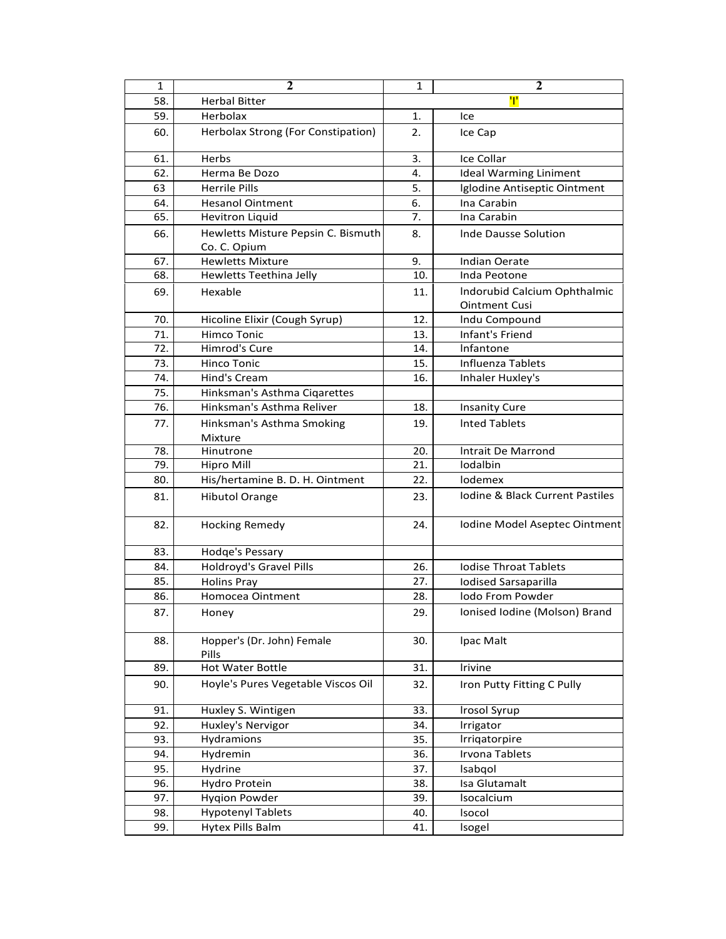| 1   | $\mathbf{2}$                               | 1   | $\mathbf{2}$                                         |
|-----|--------------------------------------------|-----|------------------------------------------------------|
| 58. | <b>Herbal Bitter</b>                       |     | Ŧ                                                    |
| 59. | Herbolax                                   | 1.  | Ice                                                  |
| 60. | Herbolax Strong (For Constipation)         | 2.  | Ice Cap                                              |
| 61. | Herbs                                      | 3.  | Ice Collar                                           |
| 62. | Herma Be Dozo                              | 4.  | <b>Ideal Warming Liniment</b>                        |
| 63  | <b>Herrile Pills</b>                       | 5.  | Iglodine Antiseptic Ointment                         |
| 64. | <b>Hesanol Ointment</b>                    | 6.  | Ina Carabin                                          |
| 65. | <b>Hevitron Liquid</b>                     | 7.  | Ina Carabin                                          |
| 66. | Hewletts Misture Pepsin C. Bismuth         | 8.  | Inde Dausse Solution                                 |
|     | Co. C. Opium                               |     |                                                      |
| 67. | <b>Hewletts Mixture</b>                    | 9.  | <b>Indian Oerate</b>                                 |
| 68. | Hewletts Teethina Jelly                    | 10. | Inda Peotone                                         |
| 69. | Hexable                                    | 11. | Indorubid Calcium Ophthalmic<br><b>Ointment Cusi</b> |
| 70. | Hicoline Elixir (Cough Syrup)              | 12. | Indu Compound                                        |
| 71. | <b>Himco Tonic</b>                         | 13. | Infant's Friend                                      |
| 72. | <b>Himrod's Cure</b>                       | 14. | Infantone                                            |
| 73. | <b>Hinco Tonic</b>                         | 15. | Influenza Tablets                                    |
| 74. | Hind's Cream                               | 16. | Inhaler Huxley's                                     |
| 75. | Hinksman's Asthma Cigarettes               |     |                                                      |
| 76. | Hinksman's Asthma Reliver                  | 18. | <b>Insanity Cure</b>                                 |
| 77. | Hinksman's Asthma Smoking<br>Mixture       | 19. | Inted Tablets                                        |
| 78. | Hinutrone                                  | 20. | Intrait De Marrond                                   |
| 79. | <b>Hipro Mill</b>                          | 21. | lodalbin                                             |
| 80. | His/hertamine B. D. H. Ointment            | 22. | lodemex                                              |
| 81. | <b>Hibutol Orange</b>                      | 23. | Jodine & Black Current Pastiles                      |
| 82. | <b>Hocking Remedy</b>                      | 24. | Iodine Model Aseptec Ointment                        |
| 83. | Hodge's Pessary                            |     |                                                      |
| 84. | <b>Holdroyd's Gravel Pills</b>             | 26. | <b>Iodise Throat Tablets</b>                         |
| 85. | Holins Pray                                | 27. | <b>Iodised Sarsaparilla</b>                          |
| 86. | Homocea Ointment                           | 28. | lodo From Powder                                     |
| 87. | Honey                                      | 29. | Ionised Iodine (Molson) Brand                        |
| 88. | Hopper's (Dr. John) Female<br><b>Pills</b> | 30. | Ipac Malt                                            |
| 89. | Hot Water Bottle                           | 31. | Irivine                                              |
| 90. | Hoyle's Pures Vegetable Viscos Oil         | 32. | Iron Putty Fitting C Pully                           |
| 91. | Huxley S. Wintigen                         | 33. | <b>Irosol Syrup</b>                                  |
| 92. | Huxley's Nervigor                          | 34. | Irrigator                                            |
| 93. | Hydramions                                 | 35. | Irrigatorpire                                        |
| 94. | Hydremin                                   | 36. | Irvona Tablets                                       |
| 95. | Hydrine                                    | 37. | Isabqol                                              |
| 96. | Hydro Protein                              | 38. | Isa Glutamalt                                        |
| 97. | <b>Hygion Powder</b>                       | 39. | Isocalcium                                           |
| 98. | <b>Hypotenyl Tablets</b>                   | 40. | Isocol                                               |
| 99. | Hytex Pills Balm                           | 41. | Isogel                                               |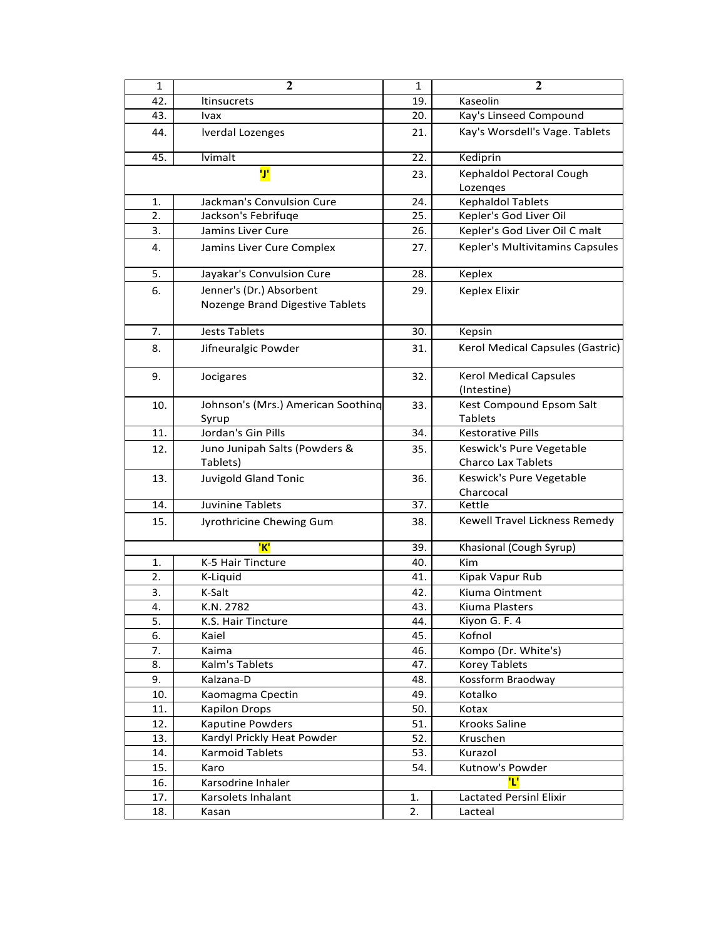| $\mathbf{1}$ | $\mathbf{2}$                                | $\mathbf{1}$ | $\overline{2}$                                        |
|--------------|---------------------------------------------|--------------|-------------------------------------------------------|
| 42.          | <b>Itinsucrets</b>                          | 19.          | Kaseolin                                              |
| 43.          | Ivax                                        | 20.          | Kay's Linseed Compound                                |
| 44.          | <b>Iverdal Lozenges</b>                     | 21.          | Kay's Worsdell's Vage. Tablets                        |
| 45.          | lvimalt                                     | 22.          | Kediprin                                              |
|              | IJ'                                         | 23.          | Kephaldol Pectoral Cough                              |
|              |                                             |              | Lozenges                                              |
| 1.           | Jackman's Convulsion Cure                   | 24.          | <b>Kephaldol Tablets</b>                              |
| 2.           | Jackson's Febrifuqe                         | 25.          | Kepler's God Liver Oil                                |
| 3.           | Jamins Liver Cure                           | 26.          | Kepler's God Liver Oil C malt                         |
| 4.           | Jamins Liver Cure Complex                   | 27.          | Kepler's Multivitamins Capsules                       |
| 5.           | Jayakar's Convulsion Cure                   | 28.          | Keplex                                                |
| 6.           | Jenner's (Dr.) Absorbent                    | 29.          | Keplex Elixir                                         |
|              | Nozenge Brand Digestive Tablets             |              |                                                       |
| 7.           | <b>Jests Tablets</b>                        | 30.          | Kepsin                                                |
| 8.           | Jifneuralgic Powder                         | 31.          | Kerol Medical Capsules (Gastric)                      |
| 9.           | Jocigares                                   | 32.          | <b>Kerol Medical Capsules</b><br>(Intestine)          |
| 10.          | Johnson's (Mrs.) American Soothing<br>Syrup | 33.          | Kest Compound Epsom Salt<br><b>Tablets</b>            |
| 11.          | Jordan's Gin Pills                          | 34.          | <b>Kestorative Pills</b>                              |
| 12.          | Juno Junipah Salts (Powders &<br>Tablets)   | 35.          | Keswick's Pure Vegetable<br><b>Charco Lax Tablets</b> |
| 13.          | <b>Juvigold Gland Tonic</b>                 | 36.          | Keswick's Pure Vegetable<br>Charcocal                 |
| 14.          | Juvinine Tablets                            | 37.          | Kettle                                                |
| 15.          | Jyrothricine Chewing Gum                    | 38.          | Kewell Travel Lickness Remedy                         |
|              | 'K'                                         | 39.          | Khasional (Cough Syrup)                               |
| 1.           | K-5 Hair Tincture                           | 40.          | Kim                                                   |
| 2.           | K-Liquid                                    | 41.          | Kipak Vapur Rub                                       |
| 3.           | K-Salt                                      | 42.          | Kiuma Ointment                                        |
| 4.           | K.N. 2782                                   | 43.          | Kiuma Plasters                                        |
| 5.           | K.S. Hair Tincture                          | 44.          | Kiyon G. F. 4                                         |
| 6.           | Kaiel                                       | 45.          | Kofnol                                                |
| 7.           | Kaima                                       | 46.          | Kompo (Dr. White's)                                   |
| 8.           | Kalm's Tablets                              | 47.          | <b>Korey Tablets</b>                                  |
| 9.           | Kalzana-D                                   | 48.          | Kossform Braodway                                     |
| 10.          | Kaomagma Cpectin                            | 49.          | Kotalko                                               |
| 11.          | <b>Kapilon Drops</b>                        | 50.          | Kotax                                                 |
| 12.          | Kaputine Powders                            | 51.          | Krooks Saline                                         |
| 13.          | Kardyl Prickly Heat Powder                  | 52.          | Kruschen                                              |
| 14.          | <b>Karmoid Tablets</b>                      | 53.          | Kurazol                                               |
| 15.          | Karo                                        | 54.          | Kutnow's Powder                                       |
| 16.          | Karsodrine Inhaler                          |              | Έ                                                     |
| 17.          | Karsolets Inhalant                          | 1.           | <b>Lactated Persinl Elixir</b>                        |
| 18.          | Kasan                                       | 2.           | Lacteal                                               |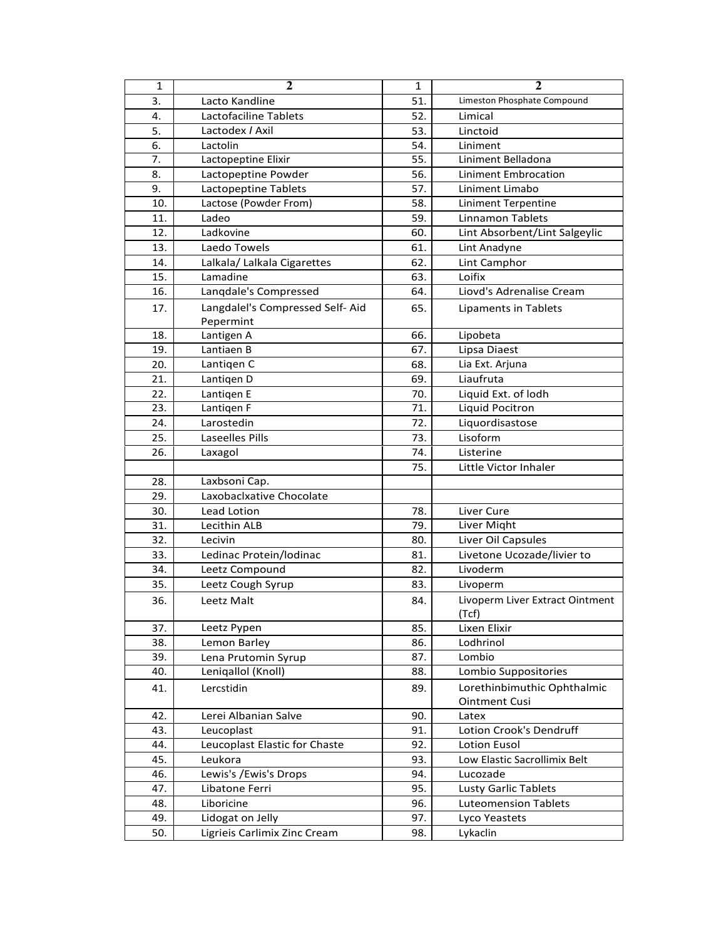| $\mathbf{1}$ | $\overline{2}$                  | $\mathbf{1}$ | $\overline{\mathbf{2}}$                             |
|--------------|---------------------------------|--------------|-----------------------------------------------------|
| 3.           | Lacto Kandline                  | 51.          | Limeston Phosphate Compound                         |
| 4.           | Lactofaciline Tablets           | 52.          | Limical                                             |
| 5.           | Lactodex / Axil                 | 53.          | Linctoid                                            |
| 6.           | Lactolin                        | 54.          | Liniment                                            |
| 7.           | Lactopeptine Elixir             | 55.          | Liniment Belladona                                  |
| 8.           | Lactopeptine Powder             | 56.          | Liniment Embrocation                                |
| 9.           | Lactopeptine Tablets            | 57.          | Liniment Limabo                                     |
| 10.          | Lactose (Powder From)           | 58.          | <b>Liniment Terpentine</b>                          |
| 11.          | Ladeo                           | 59.          | <b>Linnamon Tablets</b>                             |
| 12.          | Ladkovine                       | 60.          | Lint Absorbent/Lint Salgeylic                       |
| 13.          | Laedo Towels                    | 61.          | Lint Anadyne                                        |
| 14.          | Lalkala/ Lalkala Cigarettes     | 62.          | Lint Camphor                                        |
| 15.          | Lamadine                        | 63.          | Loifix                                              |
| 16.          | Langdale's Compressed           | 64.          | Liovd's Adrenalise Cream                            |
| 17.          | Langdalel's Compressed Self-Aid | 65.          | Lipaments in Tablets                                |
|              | Pepermint                       |              |                                                     |
| 18.          | Lantigen A                      | 66.          | Lipobeta                                            |
| 19.          | Lantiaen B                      | 67.          | Lipsa Diaest                                        |
| 20.          | Lantigen C                      | 68.          | Lia Ext. Arjuna                                     |
| 21.          | Lantigen D                      | 69.          | Liaufruta                                           |
| 22.          | Lantigen E                      | 70.          | Liquid Ext. of lodh                                 |
| 23.          | Lantigen F                      | 71.          | Liquid Pocitron                                     |
| 24.          | Larostedin                      | 72.          | Liquordisastose                                     |
| 25.          | Laseelles Pills                 | 73.          | Lisoform                                            |
| 26.          | Laxagol                         | 74.          | Listerine                                           |
|              |                                 | 75.          | Little Victor Inhaler                               |
| 28.          | Laxbsoni Cap.                   |              |                                                     |
| 29.          | Laxobaclxative Chocolate        |              |                                                     |
| 30.          | Lead Lotion                     | 78.          | Liver Cure                                          |
| 31.          | Lecithin ALB                    | 79.          | Liver Might                                         |
| 32.          | Lecivin                         | 80.          | Liver Oil Capsules                                  |
| 33.          | Ledinac Protein/lodinac         | 81.          | Livetone Ucozade/livier to                          |
| 34.          | Leetz Compound                  | 82.          | Livoderm                                            |
| 35.          | Leetz Cough Syrup               | 83.          | Livoperm                                            |
| 36.          | Leetz Malt                      | 84.          | Livoperm Liver Extract Ointment                     |
|              |                                 |              | (Tcf)                                               |
| 37.          | Leetz Pypen                     | 85.          | Lixen Elixir                                        |
| 38.          | Lemon Barley                    | 86.          | Lodhrinol                                           |
| 39.          | Lena Prutomin Syrup             | 87.          | Lombio                                              |
| 40.          | Lenigallol (Knoll)              | 88.          | Lombio Suppositories                                |
| 41.          | Lercstidin                      | 89.          | Lorethinbimuthic Ophthalmic<br><b>Ointment Cusi</b> |
| 42.          | Lerei Albanian Salve            | 90.          | Latex                                               |
| 43.          | Leucoplast                      | 91.          | Lotion Crook's Dendruff                             |
| 44.          | Leucoplast Elastic for Chaste   | 92.          | <b>Lotion Eusol</b>                                 |
| 45.          | Leukora                         | 93.          | Low Elastic Sacrollimix Belt                        |
| 46.          | Lewis's /Ewis's Drops           | 94.          | Lucozade                                            |
| 47.          | Libatone Ferri                  | 95.          | Lusty Garlic Tablets                                |
| 48.          | Liboricine                      | 96.          | <b>Luteomension Tablets</b>                         |
| 49.          | Lidogat on Jelly                | 97.          | Lyco Yeastets                                       |
| 50.          | Ligrieis Carlimix Zinc Cream    | 98.          | Lykaclin                                            |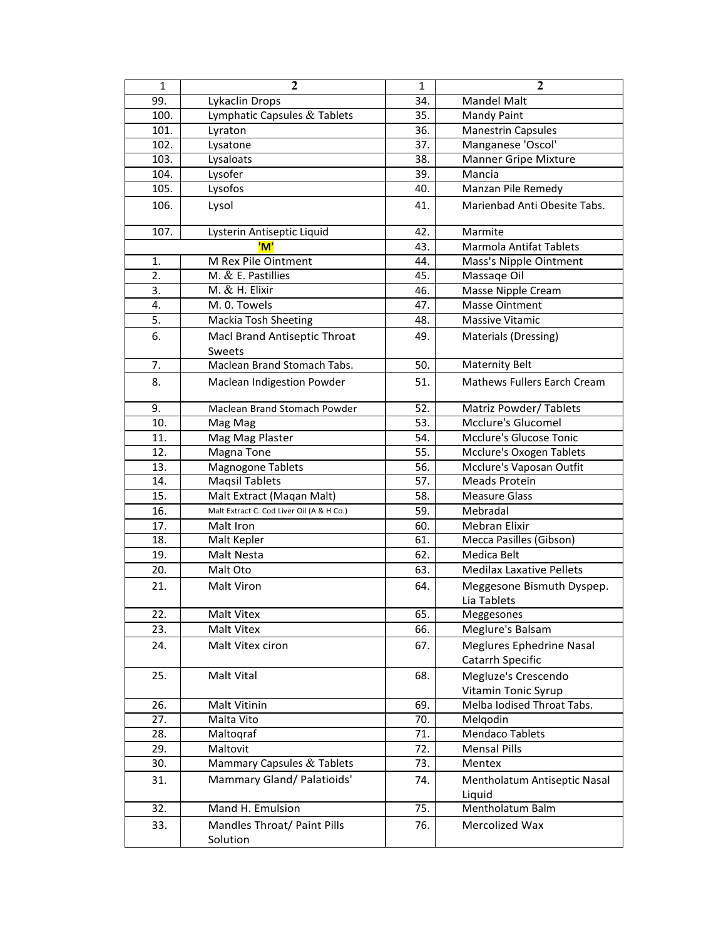| $\mathbf{1}$ | $\overline{2}$                            | $\mathbf 1$ | $\overline{2}$                           |
|--------------|-------------------------------------------|-------------|------------------------------------------|
| 99.          | Lykaclin Drops                            | 34.         | Mandel Malt                              |
| 100.         | Lymphatic Capsules & Tablets              | 35.         | Mandy Paint                              |
| 101.         | Lyraton                                   | 36.         | <b>Manestrin Capsules</b>                |
| 102.         | Lysatone                                  | 37.         | Manganese 'Oscol'                        |
| 103.         | Lysaloats                                 | 38.         | Manner Gripe Mixture                     |
| 104.         | Lysofer                                   | 39.         | Mancia                                   |
| 105.         | Lysofos                                   | 40.         | Manzan Pile Remedy                       |
| 106.         | Lysol                                     | 41.         | Marienbad Anti Obesite Tabs.             |
| 107.         | Lysterin Antiseptic Liquid                | 42.         | Marmite                                  |
|              | 'M'                                       | 43.         | <b>Marmola Antifat Tablets</b>           |
| 1.           | M Rex Pile Ointment                       | 44.         | Mass's Nipple Ointment                   |
| 2.           | M. & E. Pastillies                        | 45.         | Massage Oil                              |
| 3.           | M. $&$ H. Elixir                          | 46.         | Masse Nipple Cream                       |
| 4.           | M. 0. Towels                              | 47.         | <b>Masse Ointment</b>                    |
| 5.           | Mackia Tosh Sheeting                      | 48.         | Massive Vitamic                          |
| 6.           | Macl Brand Antiseptic Throat<br>Sweets    | 49.         | Materials (Dressing)                     |
| 7.           | Maclean Brand Stomach Tabs.               | 50.         | <b>Maternity Belt</b>                    |
| 8.           | Maclean Indigestion Powder                | 51.         | <b>Mathews Fullers Earch Cream</b>       |
| 9.           | Maclean Brand Stomach Powder              | 52.         | Matriz Powder/Tablets                    |
| 10.          | Mag Mag                                   | 53.         | Mcclure's Glucomel                       |
| 11.          | Mag Mag Plaster                           | 54.         | Mcclure's Glucose Tonic                  |
| 12.          | Magna Tone                                | 55.         | Mcclure's Oxogen Tablets                 |
| 13.          | <b>Magnogone Tablets</b>                  | 56.         | Mcclure's Vaposan Outfit                 |
| 14.          | <b>Maqsil Tablets</b>                     | 57.         | <b>Meads Protein</b>                     |
| 15.          | Malt Extract (Maqan Malt)                 | 58.         | <b>Measure Glass</b>                     |
| 16.          | Malt Extract C. Cod Liver Oil (A & H Co.) | 59.         | Mebradal                                 |
| 17.          | Malt Iron                                 | 60.         | <b>Mebran Elixir</b>                     |
| 18.          | Malt Kepler                               | 61.         | Mecca Pasilles (Gibson)                  |
| 19.          | Malt Nesta                                | 62.         | Medica Belt                              |
| 20.          | Malt Oto                                  | 63.         | <b>Medilax Laxative Pellets</b>          |
| 21.          | Malt Viron                                | 64.         | Meggesone Bismuth Dyspep.<br>Lia Tablets |
| 22.          | Malt Vitex                                | 65.         | Meggesones                               |
| 23.          | Malt Vitex                                | 66.         | Meglure's Balsam                         |
| 24.          | Malt Vitex ciron                          | 67.         | Meglures Ephedrine Nasal                 |
|              |                                           |             | Catarrh Specific                         |
| 25.          | Malt Vital                                | 68.         | Megluze's Crescendo                      |
|              |                                           |             | Vitamin Tonic Syrup                      |
| 26.          | Malt Vitinin                              | 69.         | Melba Iodised Throat Tabs.               |
| 27.          | Malta Vito                                | 70.         | Melgodin                                 |
| 28.          | Maltoqraf                                 | 71.         | <b>Mendaco Tablets</b>                   |
| 29.          | Maltovit                                  | 72.         | <b>Mensal Pills</b>                      |
| 30.          | Mammary Capsules & Tablets                | 73.         | Mentex                                   |
| 31.          | Mammary Gland/Palatioids'                 | 74.         | Mentholatum Antiseptic Nasal             |
|              |                                           |             | Liquid                                   |
| 32.          | Mand H. Emulsion                          | 75.         | Mentholatum Balm                         |
| 33.          | Mandles Throat/ Paint Pills               | 76.         | Mercolized Wax                           |
|              | Solution                                  |             |                                          |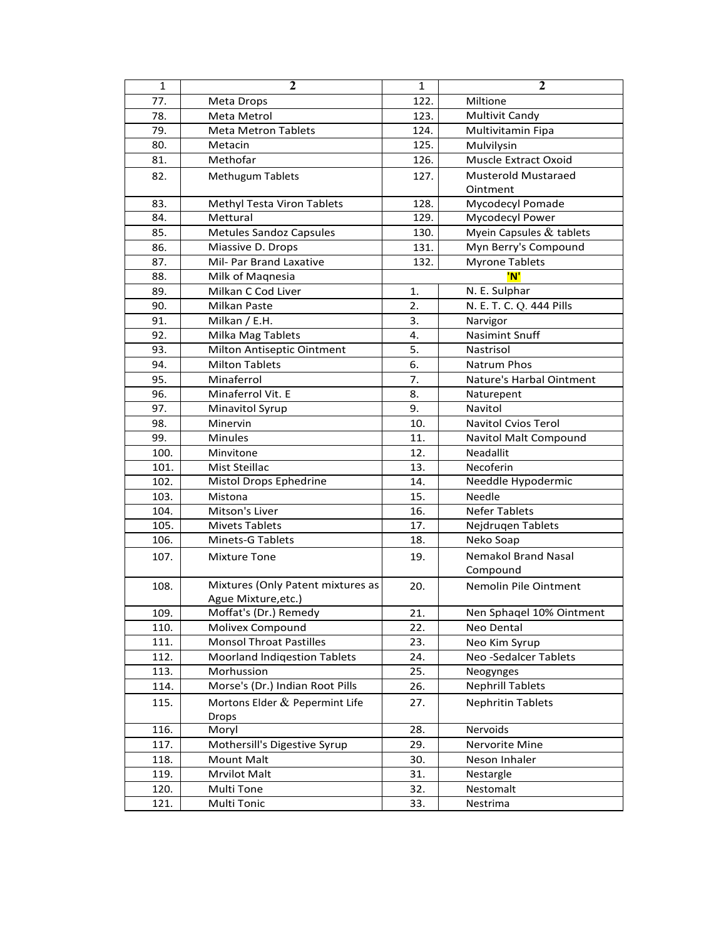| $\mathbf 1$ | $\mathbf{2}$                        | 1    | $\mathbf{2}$                |
|-------------|-------------------------------------|------|-----------------------------|
| 77.         | Meta Drops                          | 122. | Miltione                    |
| 78.         | Meta Metrol                         | 123. | <b>Multivit Candy</b>       |
| 79.         | <b>Meta Metron Tablets</b>          | 124. | Multivitamin Fipa           |
| 80.         | Metacin                             | 125. | Mulvilysin                  |
| 81.         | Methofar                            | 126. | Muscle Extract Oxoid        |
| 82.         | <b>Methugum Tablets</b>             | 127. | <b>Musterold Mustaraed</b>  |
|             |                                     |      | Ointment                    |
| 83.         | <b>Methyl Testa Viron Tablets</b>   | 128. | <b>Mycodecyl Pomade</b>     |
| 84.         | Mettural                            | 129. | Mycodecyl Power             |
| 85.         | <b>Metules Sandoz Capsules</b>      | 130. | Myein Capsules & tablets    |
| 86.         | Miassive D. Drops                   | 131. | Myn Berry's Compound        |
| 87.         | Mil- Par Brand Laxative             | 132. | <b>Myrone Tablets</b>       |
| 88.         | Milk of Maqnesia                    |      | 'N'                         |
| 89.         | Milkan C Cod Liver                  | 1.   | N. E. Sulphar               |
| 90.         | Milkan Paste                        | 2.   | N. E. T. C. Q. 444 Pills    |
| 91.         | Milkan / E.H.                       | 3.   | Narvigor                    |
| 92.         | Milka Mag Tablets                   | 4.   | <b>Nasimint Snuff</b>       |
| 93.         | Milton Antiseptic Ointment          | 5.   | Nastrisol                   |
| 94.         | <b>Milton Tablets</b>               | 6.   | <b>Natrum Phos</b>          |
| 95.         | Minaferrol                          | 7.   | Nature's Harbal Ointment    |
| 96.         | Minaferrol Vit. E                   | 8.   | Naturepent                  |
| 97.         | Minavitol Syrup                     | 9.   | Navitol                     |
| 98.         | Minervin                            | 10.  | <b>Navitol Cvios Terol</b>  |
| 99.         | <b>Minules</b>                      | 11.  | Navitol Malt Compound       |
| 100.        | Minvitone                           | 12.  | Neadallit                   |
| 101.        | Mist Steillac                       | 13.  | Necoferin                   |
| 102.        | Mistol Drops Ephedrine              | 14.  | Needdle Hypodermic          |
| 103.        | Mistona                             | 15.  | Needle                      |
| 104.        | Mitson's Liver                      | 16.  | <b>Nefer Tablets</b>        |
| 105.        | <b>Mivets Tablets</b>               | 17.  | Nejdrugen Tablets           |
| 106.        | Minets-G Tablets                    | 18.  | Neko Soap                   |
| 107.        | Mixture Tone                        | 19.  | Nemakol Brand Nasal         |
|             |                                     |      | Compound                    |
| 108.        | Mixtures (Only Patent mixtures as   | 20.  | Nemolin Pile Ointment       |
|             | Ague Mixture, etc.)                 |      |                             |
| 109.        | Moffat's (Dr.) Remedy               | 21.  | Nen Sphaqel 10% Ointment    |
| 110.        | Molivex Compound                    | 22.  | Neo Dental                  |
| 111.        | <b>Monsol Throat Pastilles</b>      | 23.  | Neo Kim Syrup               |
| 112.        | <b>Moorland Indigestion Tablets</b> | 24.  | <b>Neo-Sedalcer Tablets</b> |
| 113.        | Morhussion                          | 25.  | Neogynges                   |
| 114.        | Morse's (Dr.) Indian Root Pills     | 26.  | <b>Nephrill Tablets</b>     |
| 115.        | Mortons Elder & Pepermint Life      | 27.  | <b>Nephritin Tablets</b>    |
|             | <b>Drops</b>                        |      |                             |
| 116.        | Moryl                               | 28.  | Nervoids                    |
| 117.        | Mothersill's Digestive Syrup        | 29.  | Nervorite Mine              |
| 118.        | Mount Malt                          | 30.  | Neson Inhaler               |
| 119.        | <b>Mrvilot Malt</b>                 | 31.  | Nestargle                   |
| 120.        | Multi Tone                          | 32.  | Nestomalt                   |
| 121.        | Multi Tonic                         | 33.  | Nestrima                    |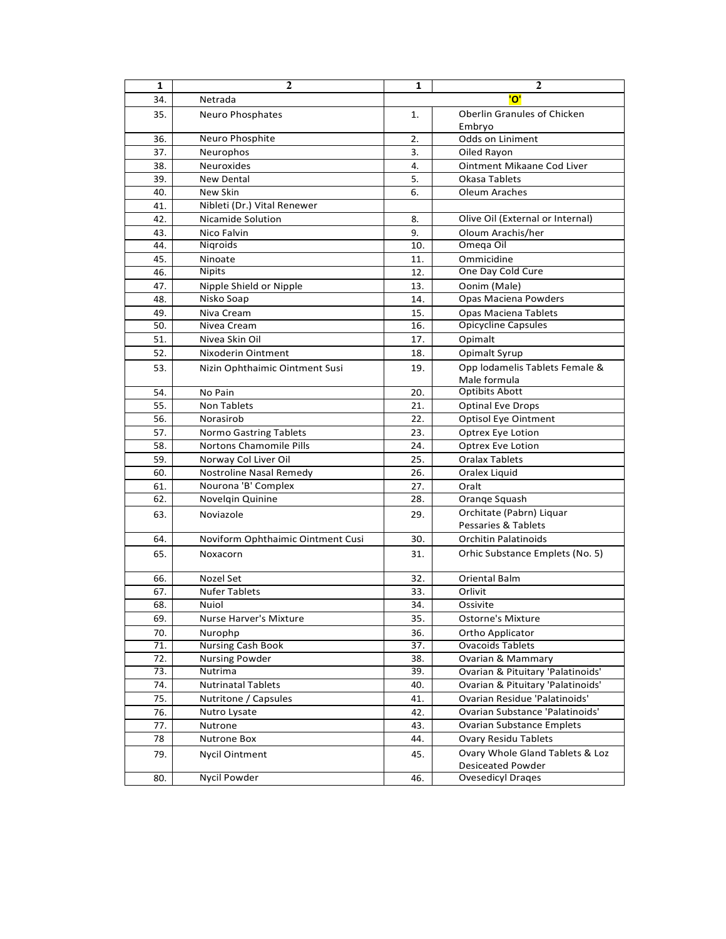| 1                 | 2                                 | 1                 | $\mathbf{2}$                                    |
|-------------------|-----------------------------------|-------------------|-------------------------------------------------|
| 34.               | Netrada                           |                   | 'ס'                                             |
| 35.               | Neuro Phosphates                  | 1.                | Oberlin Granules of Chicken<br>Embryo           |
| 36.               | Neuro Phosphite                   | 2.                | Odds on Liniment                                |
| 37.               | Neurophos                         | 3.                | Oiled Rayon                                     |
| 38.               | Neuroxides                        | 4.                | Ointment Mikaane Cod Liver                      |
| 39.               | <b>New Dental</b>                 | 5.                | Okasa Tablets                                   |
| 40.               | New Skin                          | 6.                | Oleum Araches                                   |
| 41.               | Nibleti (Dr.) Vital Renewer       |                   |                                                 |
| 42.               | Nicamide Solution                 | 8.                | Olive Oil (External or Internal)                |
| 43.               | Nico Falvin                       | 9.                | Oloum Arachis/her                               |
| 44.               | Nigroids                          | 10.               | Omega Oil                                       |
| 45.               | Ninoate                           | 11.               | Ommicidine                                      |
| 46.               | <b>Nipits</b>                     | 12.               | One Day Cold Cure                               |
| 47.               | Nipple Shield or Nipple           | 13.               | Oonim (Male)                                    |
| 48.               | Nisko Soap                        | 14.               | Opas Maciena Powders                            |
| 49.               | Niva Cream                        | 15.               | Opas Maciena Tablets                            |
| 50.               | Nivea Cream                       | 16.               | <b>Opicycline Capsules</b>                      |
| 51.               | Nivea Skin Oil                    | 17.               | Opimalt                                         |
| 52.               | Nixoderin Ointment                | 18.               | Opimalt Syrup                                   |
| 53.               | Nizin Ophthaimic Ointment Susi    | 19.               | Opp lodamelis Tablets Female &                  |
|                   |                                   |                   | Male formula                                    |
| 54.               | No Pain                           | 20.               | <b>Optibits Abott</b>                           |
| 55.               | Non Tablets                       | 21.               | <b>Optinal Eve Drops</b>                        |
| 56.               | Norasirob                         | 22.               | <b>Optisol Eye Ointment</b>                     |
| 57.               | Normo Gastring Tablets            | 23.               | Optrex Eye Lotion                               |
| 58.               | <b>Nortons Chamomile Pills</b>    | 24.               | Optrex Eve Lotion                               |
| 59.               | Norway Col Liver Oil              | 25.               | <b>Oralax Tablets</b>                           |
| 60.               | Nostroline Nasal Remedy           | 26.               | Oralex Liquid                                   |
| 61.               | Nourona 'B' Complex               | 27.               | Oralt                                           |
| 62.               | Novelgin Quinine                  | 28.               | Orange Squash                                   |
| 63.               | Noviazole                         | 29.               | Orchitate (Pabrn) Liquar<br>Pessaries & Tablets |
| 64.               | Noviform Ophthaimic Ointment Cusi | 30.               | <b>Orchitin Palatinoids</b>                     |
| 65.               | Noxacorn                          | 31.               | Orhic Substance Emplets (No. 5)                 |
| 66.               | Nozel Set                         | 32.               | Oriental Balm                                   |
| 67.               | <b>Nufer Tablets</b>              | 33.               | Orlivit                                         |
| 68.               | Nuiol                             | 34.               | Ossivite                                        |
| 69.               | Nurse Harver's Mixture            | 35.               | <b>Ostorne's Mixture</b>                        |
| 70.               | Nurophp                           | 36.               | Ortho Applicator                                |
| $\overline{71}$ . | <b>Nursing Cash Book</b>          | $\overline{37}$ . | <b>Ovacoids Tablets</b>                         |
| 72.               | <b>Nursing Powder</b>             | 38.               | <b>Ovarian &amp; Mammary</b>                    |
| 73.               | Nutrima                           | 39.               | Ovarian & Pituitary 'Palatinoids'               |
| 74.               | <b>Nutrinatal Tablets</b>         | 40.               | Ovarian & Pituitary 'Palatinoids'               |
| 75.               | Nutritone / Capsules              | 41.               | Ovarian Residue 'Palatinoids'                   |
| 76.               | Nutro Lysate                      | 42.               | Ovarian Substance 'Palatinoids'                 |
| 77.               | Nutrone                           | 43.               | <b>Ovarian Substance Emplets</b>                |
| 78                | <b>Nutrone Box</b>                | 44.               | <b>Ovary Residu Tablets</b>                     |
| 79.               | <b>Nycil Ointment</b>             | 45.               | Ovary Whole Gland Tablets & Loz                 |
|                   |                                   |                   | <b>Desiceated Powder</b>                        |
| 80.               | Nycil Powder                      | 46.               | <b>Ovesedicyl Drages</b>                        |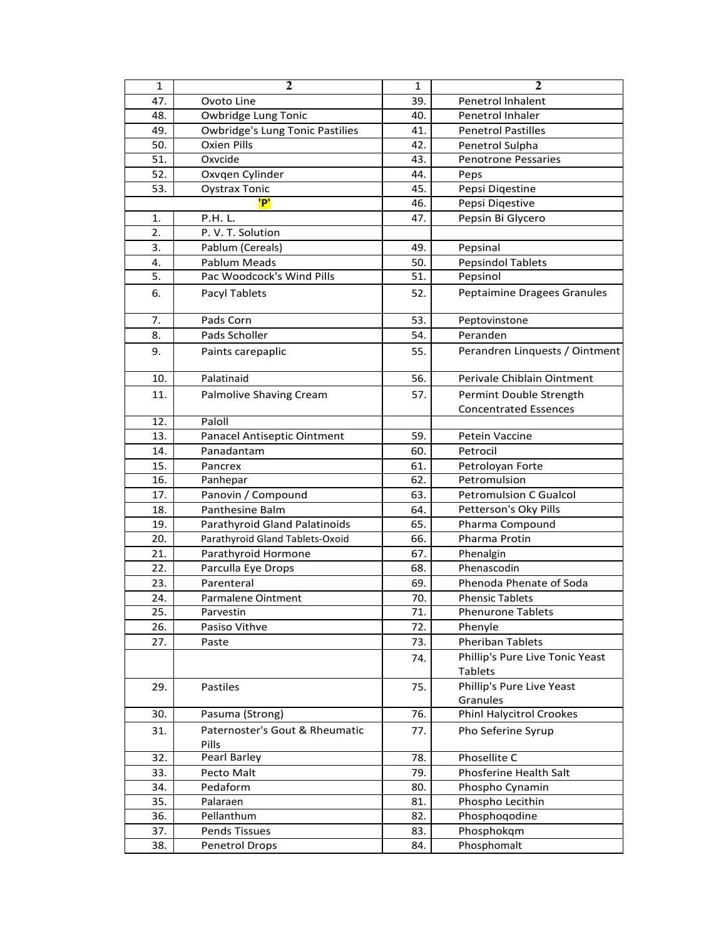| 47.<br>39.<br>Ovoto Line<br>Penetrol Inhalent<br>48.<br>40.<br>Owbridge Lung Tonic<br>Penetrol Inhaler<br>49.<br><b>Owbridge's Lung Tonic Pastilies</b><br>41.<br><b>Penetrol Pastilles</b><br>50.<br><b>Oxien Pills</b><br>42.<br>Penetrol Sulpha<br>51.<br>Oxvcide<br>43.<br><b>Penotrone Pessaries</b><br>52.<br>Oxvqen Cylinder<br>44.<br>Peps<br>53.<br><b>Oystrax Tonic</b><br>45.<br>Pepsi Digestine<br>'P'<br>Pepsi Digestive<br>46.<br>P.H. L.<br>Pepsin Bi Glycero<br>1.<br>47.<br>P. V. T. Solution<br>2.<br>49.<br>3.<br>Pablum (Cereals)<br>Pepsinal<br>Pablum Meads<br>50.<br><b>Pepsindol Tablets</b><br>4.<br>Pac Woodcock's Wind Pills<br>5.<br>51.<br>Pepsinol<br>6.<br>Peptaimine Dragees Granules<br>Pacyl Tablets<br>52.<br>Pads Corn<br>53.<br>7.<br>Peptovinstone<br>Pads Scholler<br>54.<br>Peranden<br>8.<br>9.<br>55.<br>Paints carepaplic<br>10.<br>Palatinaid<br>Perivale Chiblain Ointment<br>56.<br>11.<br><b>Palmolive Shaving Cream</b><br>57.<br>Permint Double Strength<br><b>Concentrated Essences</b><br>12.<br>Paloll<br>13.<br>Panacel Antiseptic Ointment<br>59.<br>Petein Vaccine<br>Panadantam<br>14.<br>60.<br>Petrocil<br>15.<br>Pancrex<br>61.<br>Petroloyan Forte<br>16.<br>62.<br>Petromulsion<br>Panhepar<br>Panovin / Compound<br>63.<br>17.<br>Petromulsion C Gualcol<br>Panthesine Balm<br>18.<br>64.<br>Petterson's Oky Pills<br>Parathyroid Gland Palatinoids<br>Pharma Compound<br>19.<br>65.<br>20.<br>Parathyroid Gland Tablets-Oxoid<br>Pharma Protin<br>66.<br>21.<br>Parathyroid Hormone<br>67.<br>Phenalgin<br>22.<br>68.<br>Phenascodin<br>Parculla Eye Drops<br>23.<br>Parenteral<br>Phenoda Phenate of Soda<br>69.<br>24.<br>Parmalene Ointment<br>70.<br><b>Phensic Tablets</b><br>25.<br>71.<br><b>Phenurone Tablets</b><br>Parvestin<br>Pasiso Vithve<br>72.<br>Phenyle<br>26.<br>Pheriban Tablets<br>73.<br>27.<br>Paste<br>Phillip's Pure Live Tonic Yeast<br>74.<br><b>Tablets</b><br>Phillip's Pure Live Yeast<br>29.<br>Pastiles<br>75. |
|---------------------------------------------------------------------------------------------------------------------------------------------------------------------------------------------------------------------------------------------------------------------------------------------------------------------------------------------------------------------------------------------------------------------------------------------------------------------------------------------------------------------------------------------------------------------------------------------------------------------------------------------------------------------------------------------------------------------------------------------------------------------------------------------------------------------------------------------------------------------------------------------------------------------------------------------------------------------------------------------------------------------------------------------------------------------------------------------------------------------------------------------------------------------------------------------------------------------------------------------------------------------------------------------------------------------------------------------------------------------------------------------------------------------------------------------------------------------------------------------------------------------------------------------------------------------------------------------------------------------------------------------------------------------------------------------------------------------------------------------------------------------------------------------------------------------------------------------------------------------------------------------------------------------------------------------------------------------------------------------------------------|
|                                                                                                                                                                                                                                                                                                                                                                                                                                                                                                                                                                                                                                                                                                                                                                                                                                                                                                                                                                                                                                                                                                                                                                                                                                                                                                                                                                                                                                                                                                                                                                                                                                                                                                                                                                                                                                                                                                                                                                                                               |
|                                                                                                                                                                                                                                                                                                                                                                                                                                                                                                                                                                                                                                                                                                                                                                                                                                                                                                                                                                                                                                                                                                                                                                                                                                                                                                                                                                                                                                                                                                                                                                                                                                                                                                                                                                                                                                                                                                                                                                                                               |
|                                                                                                                                                                                                                                                                                                                                                                                                                                                                                                                                                                                                                                                                                                                                                                                                                                                                                                                                                                                                                                                                                                                                                                                                                                                                                                                                                                                                                                                                                                                                                                                                                                                                                                                                                                                                                                                                                                                                                                                                               |
|                                                                                                                                                                                                                                                                                                                                                                                                                                                                                                                                                                                                                                                                                                                                                                                                                                                                                                                                                                                                                                                                                                                                                                                                                                                                                                                                                                                                                                                                                                                                                                                                                                                                                                                                                                                                                                                                                                                                                                                                               |
|                                                                                                                                                                                                                                                                                                                                                                                                                                                                                                                                                                                                                                                                                                                                                                                                                                                                                                                                                                                                                                                                                                                                                                                                                                                                                                                                                                                                                                                                                                                                                                                                                                                                                                                                                                                                                                                                                                                                                                                                               |
|                                                                                                                                                                                                                                                                                                                                                                                                                                                                                                                                                                                                                                                                                                                                                                                                                                                                                                                                                                                                                                                                                                                                                                                                                                                                                                                                                                                                                                                                                                                                                                                                                                                                                                                                                                                                                                                                                                                                                                                                               |
| Perandren Linquests / Ointment                                                                                                                                                                                                                                                                                                                                                                                                                                                                                                                                                                                                                                                                                                                                                                                                                                                                                                                                                                                                                                                                                                                                                                                                                                                                                                                                                                                                                                                                                                                                                                                                                                                                                                                                                                                                                                                                                                                                                                                |
|                                                                                                                                                                                                                                                                                                                                                                                                                                                                                                                                                                                                                                                                                                                                                                                                                                                                                                                                                                                                                                                                                                                                                                                                                                                                                                                                                                                                                                                                                                                                                                                                                                                                                                                                                                                                                                                                                                                                                                                                               |
|                                                                                                                                                                                                                                                                                                                                                                                                                                                                                                                                                                                                                                                                                                                                                                                                                                                                                                                                                                                                                                                                                                                                                                                                                                                                                                                                                                                                                                                                                                                                                                                                                                                                                                                                                                                                                                                                                                                                                                                                               |
|                                                                                                                                                                                                                                                                                                                                                                                                                                                                                                                                                                                                                                                                                                                                                                                                                                                                                                                                                                                                                                                                                                                                                                                                                                                                                                                                                                                                                                                                                                                                                                                                                                                                                                                                                                                                                                                                                                                                                                                                               |
|                                                                                                                                                                                                                                                                                                                                                                                                                                                                                                                                                                                                                                                                                                                                                                                                                                                                                                                                                                                                                                                                                                                                                                                                                                                                                                                                                                                                                                                                                                                                                                                                                                                                                                                                                                                                                                                                                                                                                                                                               |
|                                                                                                                                                                                                                                                                                                                                                                                                                                                                                                                                                                                                                                                                                                                                                                                                                                                                                                                                                                                                                                                                                                                                                                                                                                                                                                                                                                                                                                                                                                                                                                                                                                                                                                                                                                                                                                                                                                                                                                                                               |
|                                                                                                                                                                                                                                                                                                                                                                                                                                                                                                                                                                                                                                                                                                                                                                                                                                                                                                                                                                                                                                                                                                                                                                                                                                                                                                                                                                                                                                                                                                                                                                                                                                                                                                                                                                                                                                                                                                                                                                                                               |
|                                                                                                                                                                                                                                                                                                                                                                                                                                                                                                                                                                                                                                                                                                                                                                                                                                                                                                                                                                                                                                                                                                                                                                                                                                                                                                                                                                                                                                                                                                                                                                                                                                                                                                                                                                                                                                                                                                                                                                                                               |
|                                                                                                                                                                                                                                                                                                                                                                                                                                                                                                                                                                                                                                                                                                                                                                                                                                                                                                                                                                                                                                                                                                                                                                                                                                                                                                                                                                                                                                                                                                                                                                                                                                                                                                                                                                                                                                                                                                                                                                                                               |
|                                                                                                                                                                                                                                                                                                                                                                                                                                                                                                                                                                                                                                                                                                                                                                                                                                                                                                                                                                                                                                                                                                                                                                                                                                                                                                                                                                                                                                                                                                                                                                                                                                                                                                                                                                                                                                                                                                                                                                                                               |
|                                                                                                                                                                                                                                                                                                                                                                                                                                                                                                                                                                                                                                                                                                                                                                                                                                                                                                                                                                                                                                                                                                                                                                                                                                                                                                                                                                                                                                                                                                                                                                                                                                                                                                                                                                                                                                                                                                                                                                                                               |
|                                                                                                                                                                                                                                                                                                                                                                                                                                                                                                                                                                                                                                                                                                                                                                                                                                                                                                                                                                                                                                                                                                                                                                                                                                                                                                                                                                                                                                                                                                                                                                                                                                                                                                                                                                                                                                                                                                                                                                                                               |
|                                                                                                                                                                                                                                                                                                                                                                                                                                                                                                                                                                                                                                                                                                                                                                                                                                                                                                                                                                                                                                                                                                                                                                                                                                                                                                                                                                                                                                                                                                                                                                                                                                                                                                                                                                                                                                                                                                                                                                                                               |
|                                                                                                                                                                                                                                                                                                                                                                                                                                                                                                                                                                                                                                                                                                                                                                                                                                                                                                                                                                                                                                                                                                                                                                                                                                                                                                                                                                                                                                                                                                                                                                                                                                                                                                                                                                                                                                                                                                                                                                                                               |
|                                                                                                                                                                                                                                                                                                                                                                                                                                                                                                                                                                                                                                                                                                                                                                                                                                                                                                                                                                                                                                                                                                                                                                                                                                                                                                                                                                                                                                                                                                                                                                                                                                                                                                                                                                                                                                                                                                                                                                                                               |
|                                                                                                                                                                                                                                                                                                                                                                                                                                                                                                                                                                                                                                                                                                                                                                                                                                                                                                                                                                                                                                                                                                                                                                                                                                                                                                                                                                                                                                                                                                                                                                                                                                                                                                                                                                                                                                                                                                                                                                                                               |
|                                                                                                                                                                                                                                                                                                                                                                                                                                                                                                                                                                                                                                                                                                                                                                                                                                                                                                                                                                                                                                                                                                                                                                                                                                                                                                                                                                                                                                                                                                                                                                                                                                                                                                                                                                                                                                                                                                                                                                                                               |
|                                                                                                                                                                                                                                                                                                                                                                                                                                                                                                                                                                                                                                                                                                                                                                                                                                                                                                                                                                                                                                                                                                                                                                                                                                                                                                                                                                                                                                                                                                                                                                                                                                                                                                                                                                                                                                                                                                                                                                                                               |
|                                                                                                                                                                                                                                                                                                                                                                                                                                                                                                                                                                                                                                                                                                                                                                                                                                                                                                                                                                                                                                                                                                                                                                                                                                                                                                                                                                                                                                                                                                                                                                                                                                                                                                                                                                                                                                                                                                                                                                                                               |
|                                                                                                                                                                                                                                                                                                                                                                                                                                                                                                                                                                                                                                                                                                                                                                                                                                                                                                                                                                                                                                                                                                                                                                                                                                                                                                                                                                                                                                                                                                                                                                                                                                                                                                                                                                                                                                                                                                                                                                                                               |
|                                                                                                                                                                                                                                                                                                                                                                                                                                                                                                                                                                                                                                                                                                                                                                                                                                                                                                                                                                                                                                                                                                                                                                                                                                                                                                                                                                                                                                                                                                                                                                                                                                                                                                                                                                                                                                                                                                                                                                                                               |
|                                                                                                                                                                                                                                                                                                                                                                                                                                                                                                                                                                                                                                                                                                                                                                                                                                                                                                                                                                                                                                                                                                                                                                                                                                                                                                                                                                                                                                                                                                                                                                                                                                                                                                                                                                                                                                                                                                                                                                                                               |
|                                                                                                                                                                                                                                                                                                                                                                                                                                                                                                                                                                                                                                                                                                                                                                                                                                                                                                                                                                                                                                                                                                                                                                                                                                                                                                                                                                                                                                                                                                                                                                                                                                                                                                                                                                                                                                                                                                                                                                                                               |
|                                                                                                                                                                                                                                                                                                                                                                                                                                                                                                                                                                                                                                                                                                                                                                                                                                                                                                                                                                                                                                                                                                                                                                                                                                                                                                                                                                                                                                                                                                                                                                                                                                                                                                                                                                                                                                                                                                                                                                                                               |
|                                                                                                                                                                                                                                                                                                                                                                                                                                                                                                                                                                                                                                                                                                                                                                                                                                                                                                                                                                                                                                                                                                                                                                                                                                                                                                                                                                                                                                                                                                                                                                                                                                                                                                                                                                                                                                                                                                                                                                                                               |
|                                                                                                                                                                                                                                                                                                                                                                                                                                                                                                                                                                                                                                                                                                                                                                                                                                                                                                                                                                                                                                                                                                                                                                                                                                                                                                                                                                                                                                                                                                                                                                                                                                                                                                                                                                                                                                                                                                                                                                                                               |
|                                                                                                                                                                                                                                                                                                                                                                                                                                                                                                                                                                                                                                                                                                                                                                                                                                                                                                                                                                                                                                                                                                                                                                                                                                                                                                                                                                                                                                                                                                                                                                                                                                                                                                                                                                                                                                                                                                                                                                                                               |
|                                                                                                                                                                                                                                                                                                                                                                                                                                                                                                                                                                                                                                                                                                                                                                                                                                                                                                                                                                                                                                                                                                                                                                                                                                                                                                                                                                                                                                                                                                                                                                                                                                                                                                                                                                                                                                                                                                                                                                                                               |
|                                                                                                                                                                                                                                                                                                                                                                                                                                                                                                                                                                                                                                                                                                                                                                                                                                                                                                                                                                                                                                                                                                                                                                                                                                                                                                                                                                                                                                                                                                                                                                                                                                                                                                                                                                                                                                                                                                                                                                                                               |
|                                                                                                                                                                                                                                                                                                                                                                                                                                                                                                                                                                                                                                                                                                                                                                                                                                                                                                                                                                                                                                                                                                                                                                                                                                                                                                                                                                                                                                                                                                                                                                                                                                                                                                                                                                                                                                                                                                                                                                                                               |
|                                                                                                                                                                                                                                                                                                                                                                                                                                                                                                                                                                                                                                                                                                                                                                                                                                                                                                                                                                                                                                                                                                                                                                                                                                                                                                                                                                                                                                                                                                                                                                                                                                                                                                                                                                                                                                                                                                                                                                                                               |
|                                                                                                                                                                                                                                                                                                                                                                                                                                                                                                                                                                                                                                                                                                                                                                                                                                                                                                                                                                                                                                                                                                                                                                                                                                                                                                                                                                                                                                                                                                                                                                                                                                                                                                                                                                                                                                                                                                                                                                                                               |
|                                                                                                                                                                                                                                                                                                                                                                                                                                                                                                                                                                                                                                                                                                                                                                                                                                                                                                                                                                                                                                                                                                                                                                                                                                                                                                                                                                                                                                                                                                                                                                                                                                                                                                                                                                                                                                                                                                                                                                                                               |
| Granules                                                                                                                                                                                                                                                                                                                                                                                                                                                                                                                                                                                                                                                                                                                                                                                                                                                                                                                                                                                                                                                                                                                                                                                                                                                                                                                                                                                                                                                                                                                                                                                                                                                                                                                                                                                                                                                                                                                                                                                                      |
| <b>Phinl Halycitrol Crookes</b><br>30.<br>Pasuma (Strong)<br>76.                                                                                                                                                                                                                                                                                                                                                                                                                                                                                                                                                                                                                                                                                                                                                                                                                                                                                                                                                                                                                                                                                                                                                                                                                                                                                                                                                                                                                                                                                                                                                                                                                                                                                                                                                                                                                                                                                                                                              |
| Paternoster's Gout & Rheumatic<br>31.<br>Pho Seferine Syrup<br>77.<br>Pills                                                                                                                                                                                                                                                                                                                                                                                                                                                                                                                                                                                                                                                                                                                                                                                                                                                                                                                                                                                                                                                                                                                                                                                                                                                                                                                                                                                                                                                                                                                                                                                                                                                                                                                                                                                                                                                                                                                                   |
| Phosellite C<br>32.<br><b>Pearl Barley</b><br>78.                                                                                                                                                                                                                                                                                                                                                                                                                                                                                                                                                                                                                                                                                                                                                                                                                                                                                                                                                                                                                                                                                                                                                                                                                                                                                                                                                                                                                                                                                                                                                                                                                                                                                                                                                                                                                                                                                                                                                             |
| Phosferine Health Salt<br>33.<br>Pecto Malt<br>79.                                                                                                                                                                                                                                                                                                                                                                                                                                                                                                                                                                                                                                                                                                                                                                                                                                                                                                                                                                                                                                                                                                                                                                                                                                                                                                                                                                                                                                                                                                                                                                                                                                                                                                                                                                                                                                                                                                                                                            |
| Phospho Cynamin<br>Pedaform<br>34.<br>80.                                                                                                                                                                                                                                                                                                                                                                                                                                                                                                                                                                                                                                                                                                                                                                                                                                                                                                                                                                                                                                                                                                                                                                                                                                                                                                                                                                                                                                                                                                                                                                                                                                                                                                                                                                                                                                                                                                                                                                     |
| Phospho Lecithin<br>Palaraen<br>35.<br>81.                                                                                                                                                                                                                                                                                                                                                                                                                                                                                                                                                                                                                                                                                                                                                                                                                                                                                                                                                                                                                                                                                                                                                                                                                                                                                                                                                                                                                                                                                                                                                                                                                                                                                                                                                                                                                                                                                                                                                                    |
| Pellanthum<br>Phosphoqodine<br>36.<br>82.                                                                                                                                                                                                                                                                                                                                                                                                                                                                                                                                                                                                                                                                                                                                                                                                                                                                                                                                                                                                                                                                                                                                                                                                                                                                                                                                                                                                                                                                                                                                                                                                                                                                                                                                                                                                                                                                                                                                                                     |
| Phosphokqm<br>37.<br>Pends Tissues<br>83.                                                                                                                                                                                                                                                                                                                                                                                                                                                                                                                                                                                                                                                                                                                                                                                                                                                                                                                                                                                                                                                                                                                                                                                                                                                                                                                                                                                                                                                                                                                                                                                                                                                                                                                                                                                                                                                                                                                                                                     |
| Phosphomalt<br>38.<br>Penetrol Drops<br>84.                                                                                                                                                                                                                                                                                                                                                                                                                                                                                                                                                                                                                                                                                                                                                                                                                                                                                                                                                                                                                                                                                                                                                                                                                                                                                                                                                                                                                                                                                                                                                                                                                                                                                                                                                                                                                                                                                                                                                                   |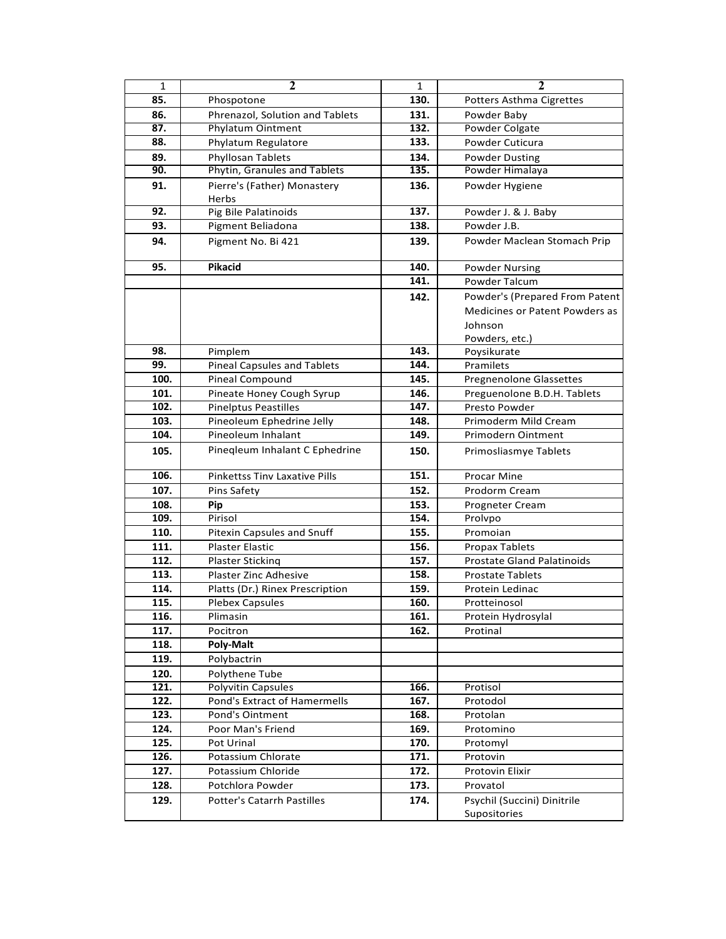| $\mathbf{1}$ | $\mathbf{2}$                         | $\mathbf 1$ | $\mathbf 2$                                 |
|--------------|--------------------------------------|-------------|---------------------------------------------|
| 85.          | Phospotone                           | 130.        | Potters Asthma Cigrettes                    |
| 86.          | Phrenazol, Solution and Tablets      | 131.        | Powder Baby                                 |
| 87.          | <b>Phylatum Ointment</b>             | 132.        | Powder Colgate                              |
| 88.          | Phylatum Regulatore                  | 133.        | Powder Cuticura                             |
| 89.          | Phyllosan Tablets                    | 134.        | <b>Powder Dusting</b>                       |
| 90.          | Phytin, Granules and Tablets         | 135.        | Powder Himalaya                             |
| 91.          | Pierre's (Father) Monastery          | 136.        | Powder Hygiene                              |
|              | Herbs                                |             |                                             |
| 92.          | Pig Bile Palatinoids                 | 137.        | Powder J. & J. Baby                         |
| 93.          | Pigment Beliadona                    | 138.        | Powder J.B.                                 |
| 94.          | Pigment No. Bi 421                   | 139.        | Powder Maclean Stomach Prip                 |
| 95.          | <b>Pikacid</b>                       | 140.        | <b>Powder Nursing</b>                       |
|              |                                      | 141.        | <b>Powder Talcum</b>                        |
|              |                                      | 142.        | Powder's (Prepared From Patent              |
|              |                                      |             | Medicines or Patent Powders as              |
|              |                                      |             | Johnson                                     |
|              |                                      |             | Powders, etc.)                              |
| 98.          | Pimplem                              | 143.        | Poysikurate                                 |
| 99.          | <b>Pineal Capsules and Tablets</b>   | 144.        | Pramilets                                   |
| 100.         | <b>Pineal Compound</b>               | 145.        | <b>Pregnenolone Glassettes</b>              |
| 101.         | Pineate Honey Cough Syrup            | 146.        | Preguenolone B.D.H. Tablets                 |
| 102.         | <b>Pinelptus Peastilles</b>          | 147.        | Presto Powder                               |
| 103.         | Pineoleum Ephedrine Jelly            | 148.        | Primoderm Mild Cream                        |
| 104.         | Pineoleum Inhalant                   | 149.        | Primodern Ointment                          |
| 105.         | Pineqleum Inhalant C Ephedrine       | 150.        | Primosliasmye Tablets                       |
| 106.         | <b>Pinkettss Tinv Laxative Pills</b> | 151.        | <b>Procar Mine</b>                          |
| 107.         | Pins Safety                          | 152.        | Prodorm Cream                               |
| 108.         | Pip                                  | 153.        | Progneter Cream                             |
| 109.         | Pirisol                              | 154.        | Prolypo                                     |
| 110.         | <b>Pitexin Capsules and Snuff</b>    | 155.        | Promoian                                    |
| 111.         | <b>Plaster Elastic</b>               | 156.        | Propax Tablets                              |
| 112.         | Plaster Sticking                     | 157.        | <b>Prostate Gland Palatinoids</b>           |
| 113.         | <b>Plaster Zinc Adhesive</b>         | 158.        | <b>Prostate Tablets</b>                     |
| 114.         | Platts (Dr.) Rinex Prescription      | 159.        | Protein Ledinac                             |
| 115.         | <b>Plebex Capsules</b>               | 160.        | Protteinosol                                |
| 116.         | Plimasin                             | 161.        | Protein Hydrosylal                          |
| 117.         | Pocitron                             | 162.        | Protinal                                    |
| 118.         | Poly-Malt                            |             |                                             |
| 119.         | Polybactrin                          |             |                                             |
| 120.         | Polythene Tube                       |             |                                             |
| 121.         | Polyvitin Capsules                   | 166.        | Protisol                                    |
| 122.         | Pond's Extract of Hamermells         | 167.        | Protodol                                    |
| 123.         | Pond's Ointment                      | 168.        | Protolan                                    |
| 124.         | Poor Man's Friend                    | 169.        | Protomino                                   |
| 125.         | Pot Urinal                           | 170.        | Protomyl                                    |
| 126.         | Potassium Chlorate                   | 171.        | Protovin                                    |
| 127.         | Potassium Chloride                   | 172.        | Protovin Elixir                             |
| 128.         | Potchlora Powder                     | 173.        | Provatol                                    |
| 129.         | <b>Potter's Catarrh Pastilles</b>    | 174.        | Psychil (Succini) Dinitrile<br>Supositories |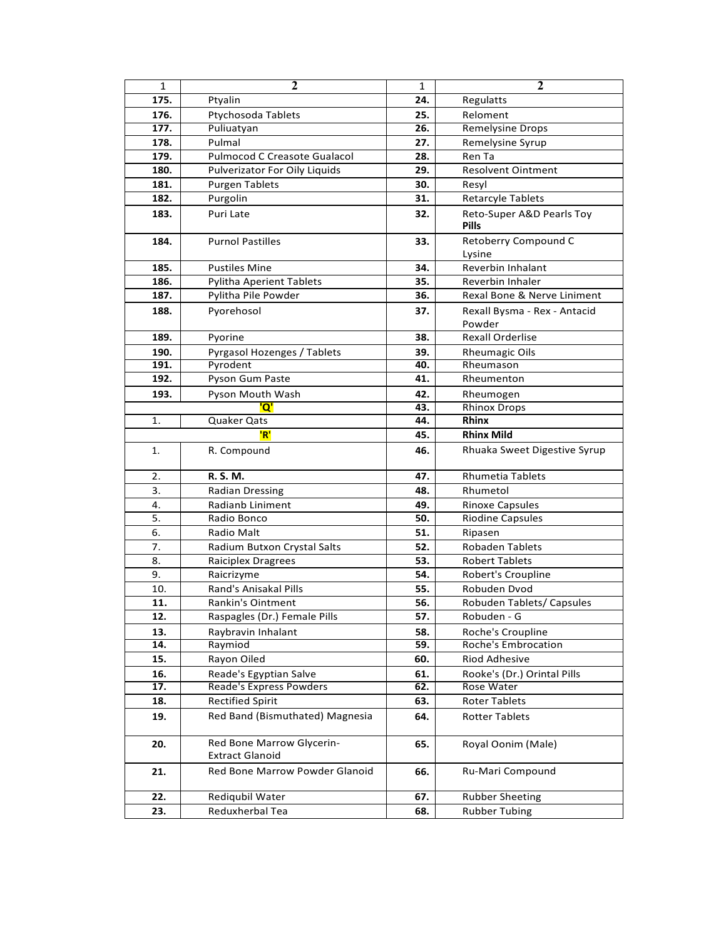| $\mathbf{1}$ | $\mathbf{2}$                                        | 1   | $\mathbf{2}$                              |
|--------------|-----------------------------------------------------|-----|-------------------------------------------|
| 175.         | Ptyalin                                             | 24. | Regulatts                                 |
| 176.         | Ptychosoda Tablets                                  | 25. | Reloment                                  |
| 177.         | Puliuatyan                                          | 26. | <b>Remelysine Drops</b>                   |
| 178.         | Pulmal                                              | 27. | Remelysine Syrup                          |
| 179.         | <b>Pulmocod C Creasote Gualacol</b>                 | 28. | Ren Ta                                    |
| 180.         | Pulverizator For Oily Liquids                       | 29. | <b>Resolvent Ointment</b>                 |
| 181.         | <b>Purgen Tablets</b>                               | 30. | Resyl                                     |
| 182.         | Purgolin                                            | 31. | <b>Retarcyle Tablets</b>                  |
| 183.         | Puri Late                                           | 32. | Reto-Super A&D Pearls Toy<br><b>Pills</b> |
| 184.         | <b>Purnol Pastilles</b>                             | 33. | Retoberry Compound C<br>Lysine            |
| 185.         | <b>Pustiles Mine</b>                                | 34. | Reverbin Inhalant                         |
| 186.         | <b>Pylitha Aperient Tablets</b>                     | 35. | Reverbin Inhaler                          |
| 187.         | Pylitha Pile Powder                                 | 36. | Rexal Bone & Nerve Liniment               |
| 188.         | Pyorehosol                                          | 37. | Rexall Bysma - Rex - Antacid<br>Powder    |
| 189.         | Pyorine                                             | 38. | <b>Rexall Orderlise</b>                   |
| 190.         | Pyrgasol Hozenges / Tablets                         | 39. | <b>Rheumagic Oils</b>                     |
| 191.         | Pyrodent                                            | 40. | Rheumason                                 |
| 192.         | Pyson Gum Paste                                     | 41. | Rheumenton                                |
| 193.         | Pyson Mouth Wash                                    | 42. | Rheumogen                                 |
|              | Q'                                                  | 43. | <b>Rhinox Drops</b>                       |
| 1.           | Quaker Qats                                         | 44. | <b>Rhinx</b>                              |
|              | 'R'                                                 | 45. | <b>Rhinx Mild</b>                         |
| 1.           | R. Compound                                         | 46. | Rhuaka Sweet Digestive Syrup              |
| 2.           | R. S. M.                                            | 47. | <b>Rhumetia Tablets</b>                   |
| 3.           | <b>Radian Dressing</b>                              | 48. | Rhumetol                                  |
| 4.           | Radianb Liniment                                    | 49. | <b>Rinoxe Capsules</b>                    |
| 5.           | Radio Bonco                                         | 50. | <b>Riodine Capsules</b>                   |
| 6.           | Radio Malt                                          | 51. | Ripasen                                   |
| 7.           | Radium Butxon Crystal Salts                         | 52. | <b>Robaden Tablets</b>                    |
| 8.           | Raiciplex Dragrees                                  | 53. | <b>Robert Tablets</b>                     |
| 9.           | Raicrizyme                                          | 54. | Robert's Croupline                        |
| 10.          | <b>Rand's Anisakal Pills</b>                        | 55. | Robuden Dvod                              |
| 11.          | <b>Rankin's Ointment</b>                            | 56. | Robuden Tablets/ Capsules                 |
| 12.          | Raspagles (Dr.) Female Pills                        | 57. | Robuden - G                               |
| 13.          | Raybravin Inhalant                                  | 58. | Roche's Croupline                         |
| 14.          | Raymiod                                             | 59. | Roche's Embrocation                       |
| 15.          | Rayon Oiled                                         | 60. | Riod Adhesive                             |
| 16.          | Reade's Egyptian Salve                              | 61. | Rooke's (Dr.) Orintal Pills               |
| 17.          | Reade's Express Powders                             | 62. | Rose Water                                |
| 18.          | <b>Rectified Spirit</b>                             | 63. | Roter Tablets                             |
| 19.          | Red Band (Bismuthated) Magnesia                     | 64. | <b>Rotter Tablets</b>                     |
| 20.          | Red Bone Marrow Glycerin-<br><b>Extract Glanoid</b> | 65. | Royal Oonim (Male)                        |
| 21.          | Red Bone Marrow Powder Glanoid                      | 66. | Ru-Mari Compound                          |
| 22.          | Rediqubil Water                                     | 67. | <b>Rubber Sheeting</b>                    |
| 23.          | Reduxherbal Tea                                     | 68. | <b>Rubber Tubing</b>                      |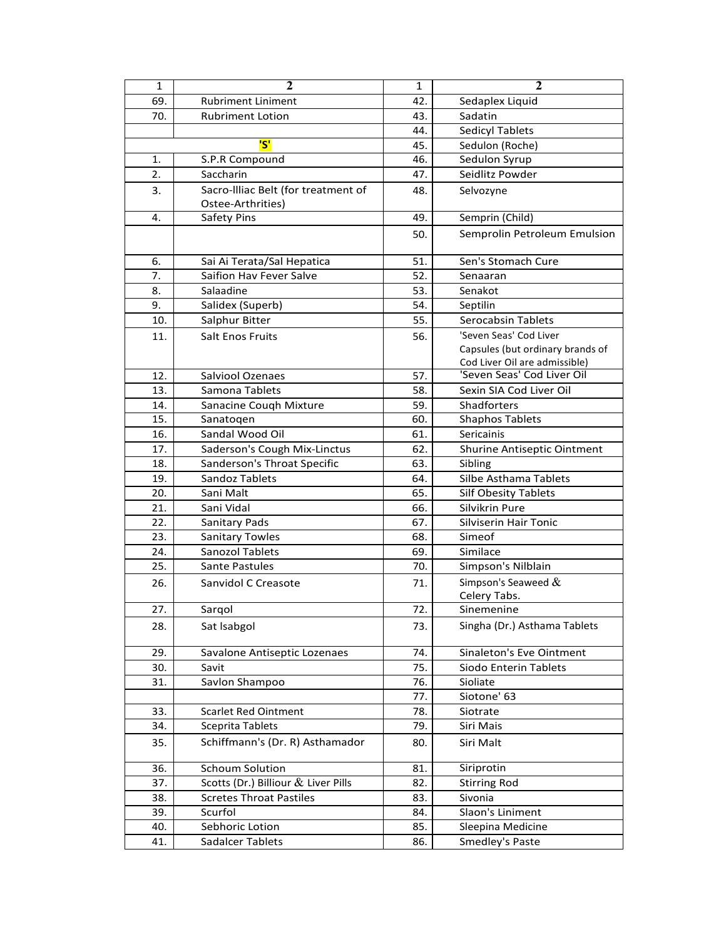| $\mathbf{1}$ | $\mathbf{2}$                        | 1   | $\overline{2}$                     |
|--------------|-------------------------------------|-----|------------------------------------|
| 69.          | <b>Rubriment Liniment</b>           | 42. | Sedaplex Liquid                    |
| 70.          | <b>Rubriment Lotion</b>             | 43. | Sadatin                            |
|              |                                     | 44. | <b>Sedicyl Tablets</b>             |
|              | 'S'                                 | 45. | Sedulon (Roche)                    |
| 1.           | S.P.R Compound                      | 46. | Sedulon Syrup                      |
| 2.           | Saccharin                           | 47. | Seidlitz Powder                    |
| 3.           | Sacro-Illiac Belt (for treatment of | 48. | Selvozyne                          |
|              | Ostee-Arthrities)                   |     |                                    |
| 4.           | Safety Pins                         | 49. | Semprin (Child)                    |
|              |                                     | 50. | Semprolin Petroleum Emulsion       |
| 6.           | Sai Ai Terata/Sal Hepatica          | 51. | Sen's Stomach Cure                 |
| 7.           | Saifion Hav Fever Salve             | 52. | Senaaran                           |
| 8.           | Salaadine                           | 53. | Senakot                            |
| 9.           | Salidex (Superb)                    | 54. | Septilin                           |
| 10.          | Salphur Bitter                      | 55. | Serocabsin Tablets                 |
| 11.          | <b>Salt Enos Fruits</b>             | 56. | 'Seven Seas' Cod Liver             |
|              |                                     |     | Capsules (but ordinary brands of   |
|              |                                     |     | Cod Liver Oil are admissible)      |
| 12.          | <b>Salviool Ozenaes</b>             | 57. | 'Seven Seas' Cod Liver Oil         |
| 13.          | Samona Tablets                      | 58. | Sexin SIA Cod Liver Oil            |
| 14.          | Sanacine Cough Mixture              | 59. | Shadforters                        |
| 15.          | Sanatogen                           | 60. | <b>Shaphos Tablets</b>             |
| 16.          | Sandal Wood Oil                     | 61. | Sericainis                         |
| 17.          | Saderson's Cough Mix-Linctus        | 62. | <b>Shurine Antiseptic Ointment</b> |
| 18.          | Sanderson's Throat Specific         | 63. | Sibling                            |
| 19.          | Sandoz Tablets                      | 64. | Silbe Asthama Tablets              |
| 20.          | Sani Malt                           | 65. | <b>Silf Obesity Tablets</b>        |
| 21.          | Sani Vidal                          | 66. | Silvikrin Pure                     |
| 22.          | <b>Sanitary Pads</b>                | 67. | Silviserin Hair Tonic              |
| 23.          | <b>Sanitary Towles</b>              | 68. | Simeof                             |
| 24.          | <b>Sanozol Tablets</b>              | 69. | Similace                           |
| 25.          | <b>Sante Pastules</b>               | 70. | Simpson's Nilblain                 |
| 26.          | Sanvidol C Creasote                 | 71. | Simpson's Seaweed $&$              |
|              |                                     |     | Celery Tabs.                       |
| 27.          | Sarqol                              | 72. | Sinemenine                         |
| 28.          | Sat Isabgol                         | 73. | Singha (Dr.) Asthama Tablets       |
| 29.          | Savalone Antiseptic Lozenaes        | 74. | Sinaleton's Eve Ointment           |
| 30.          | Savit                               | 75. | Siodo Enterin Tablets              |
| 31.          | Savlon Shampoo                      | 76. | Sioliate                           |
|              |                                     | 77. | Siotone' 63                        |
| 33.          | Scarlet Red Ointment                | 78. | Siotrate                           |
| 34.          | Sceprita Tablets                    | 79. | Siri Mais                          |
| 35.          | Schiffmann's (Dr. R) Asthamador     | 80. | Siri Malt                          |
| 36.          | <b>Schoum Solution</b>              | 81. | Siriprotin                         |
| 37.          | Scotts (Dr.) Billiour & Liver Pills | 82. | <b>Stirring Rod</b>                |
| 38.          | <b>Scretes Throat Pastiles</b>      | 83. | Sivonia                            |
| 39.          | Scurfol                             | 84. | Slaon's Liniment                   |
| 40.          | Sebhoric Lotion                     | 85. | Sleepina Medicine                  |
| 41.          | Sadalcer Tablets                    | 86. | Smedley's Paste                    |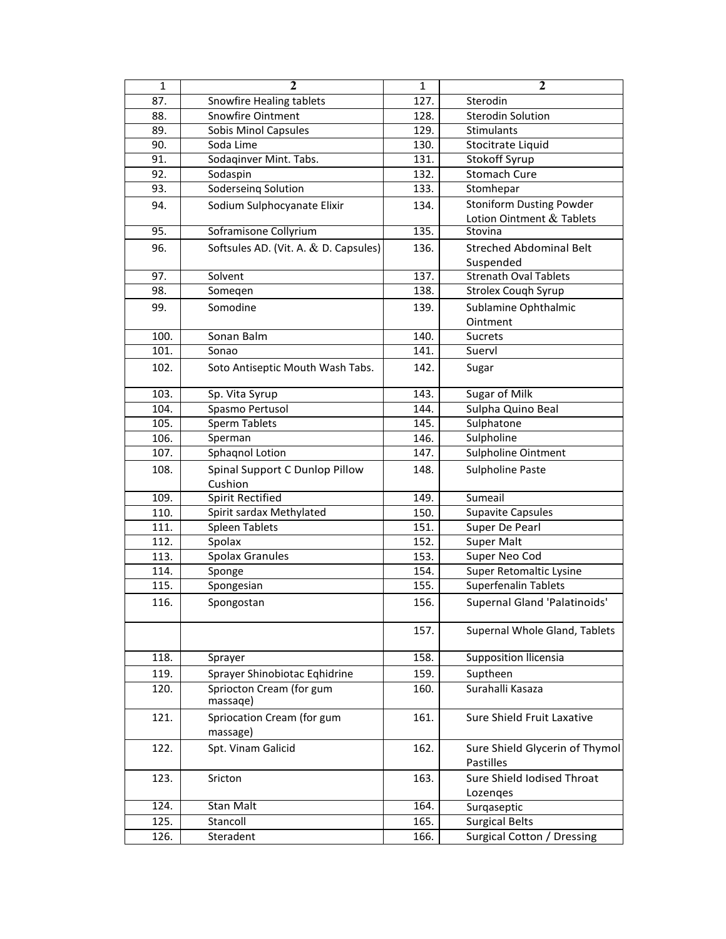| $\mathbf 1$ | $\overline{\mathbf{2}}$               | $\mathbf{1}$ | $\overline{2}$                  |
|-------------|---------------------------------------|--------------|---------------------------------|
| 87.         | Snowfire Healing tablets              | 127.         | Sterodin                        |
| 88.         | <b>Snowfire Ointment</b>              | 128.         | <b>Sterodin Solution</b>        |
| 89.         | <b>Sobis Minol Capsules</b>           | 129.         | Stimulants                      |
| 90.         | Soda Lime                             | 130.         | Stocitrate Liquid               |
| 91.         | Sodaqinver Mint. Tabs.                | 131.         | Stokoff Syrup                   |
| 92.         | Sodaspin                              | 132.         | <b>Stomach Cure</b>             |
| 93.         | Soderseing Solution                   | 133.         | Stomhepar                       |
| 94.         | Sodium Sulphocyanate Elixir           | 134.         | <b>Stoniform Dusting Powder</b> |
|             |                                       |              | Lotion Ointment & Tablets       |
| 95.         | Soframisone Collyrium                 | 135.         | Stovina                         |
| 96.         | Softsules AD. (Vit. A. & D. Capsules) | 136.         | <b>Streched Abdominal Belt</b>  |
|             |                                       |              | Suspended                       |
| 97.         | Solvent                               | 137.         | <b>Strenath Oval Tablets</b>    |
| 98.         | Somegen                               | 138.         | Strolex Couqh Syrup             |
| 99.         | Somodine                              | 139.         | Sublamine Ophthalmic            |
|             |                                       |              | Ointment                        |
| 100.        | Sonan Balm                            | 140.         | Sucrets                         |
| 101.        | Sonao                                 | 141.         | Suervl                          |
| 102.        | Soto Antiseptic Mouth Wash Tabs.      | 142.         | Sugar                           |
|             |                                       |              |                                 |
| 103.        | Sp. Vita Syrup                        | 143.         | Sugar of Milk                   |
| 104.        | Spasmo Pertusol                       | 144.         | Sulpha Quino Beal               |
| 105.        | <b>Sperm Tablets</b>                  | 145.         | Sulphatone                      |
| 106.        | Sperman                               | 146.         | Sulpholine                      |
| 107.        | Sphaqnol Lotion                       | 147.         | Sulpholine Ointment             |
| 108.        | Spinal Support C Dunlop Pillow        | 148.         | <b>Sulpholine Paste</b>         |
|             | Cushion                               |              |                                 |
| 109.        | <b>Spirit Rectified</b>               | 149.         | Sumeail                         |
| 110.        | Spirit sardax Methylated              | 150.         | <b>Supavite Capsules</b>        |
| 111.        | <b>Spleen Tablets</b>                 | 151.         | Super De Pearl                  |
| 112.        | Spolax                                | 152.         | Super Malt                      |
| 113.        | <b>Spolax Granules</b>                | 153.         | Super Neo Cod                   |
| 114.        | Sponge                                | 154.         | Super Retomaltic Lysine         |
| 115.        | Spongesian                            | 155.         | <b>Superfenalin Tablets</b>     |
| 116.        | Spongostan                            | 156.         | Supernal Gland 'Palatinoids'    |
|             |                                       | 157.         | Supernal Whole Gland, Tablets   |
| 118.        | Sprayer                               | 158.         | Supposition Ilicensia           |
| 119.        | Sprayer Shinobiotac Eqhidrine         | 159.         | Suptheen                        |
| 120.        | Spriocton Cream (for gum              | 160.         | Surahalli Kasaza                |
|             | massage)                              |              |                                 |
| 121.        | Spriocation Cream (for gum            | 161.         | Sure Shield Fruit Laxative      |
|             | massage)                              |              |                                 |
| 122.        | Spt. Vinam Galicid                    | 162.         | Sure Shield Glycerin of Thymol  |
|             |                                       |              | Pastilles                       |
| 123.        | Sricton                               | 163.         | Sure Shield Iodised Throat      |
| 124.        | Stan Malt                             | 164.         | Lozenges                        |
|             |                                       |              | Surgaseptic                     |
| 125.        | Stancoll                              | 165.         | <b>Surgical Belts</b>           |
| 126.        | Steradent                             | 166.         | Surgical Cotton /<br>Dressing   |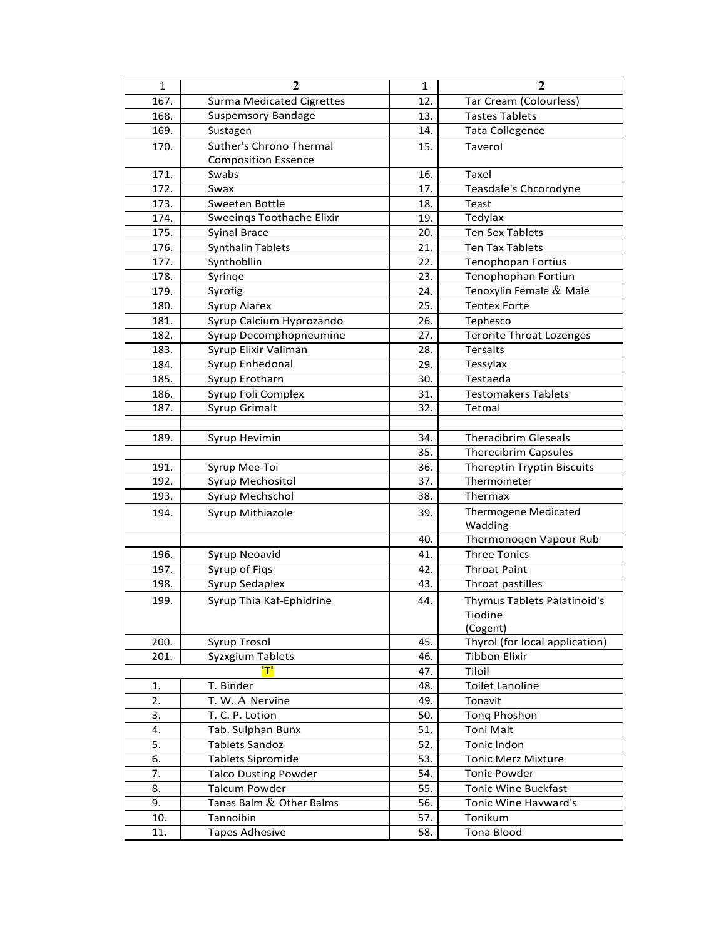| 1    | $\mathbf{2}$                     | $\mathbf{1}$ | $\mathbf{2}$                      |
|------|----------------------------------|--------------|-----------------------------------|
| 167. | <b>Surma Medicated Cigrettes</b> | 12.          | Tar Cream (Colourless)            |
| 168. | <b>Suspemsory Bandage</b>        | 13.          | <b>Tastes Tablets</b>             |
| 169. | Sustagen                         | 14.          | Tata Collegence                   |
| 170. | Suther's Chrono Thermal          | 15.          | Taverol                           |
|      | <b>Composition Essence</b>       |              |                                   |
| 171. | Swabs                            | 16.          | Taxel                             |
| 172. | Swax                             | 17.          | Teasdale's Chcorodyne             |
| 173. | Sweeten Bottle                   | 18.          | Teast                             |
| 174. | <b>Sweeings Toothache Elixir</b> | 19.          | Tedylax                           |
| 175. | <b>Syinal Brace</b>              | 20.          | <b>Ten Sex Tablets</b>            |
| 176. | <b>Synthalin Tablets</b>         | 21.          | <b>Ten Tax Tablets</b>            |
| 177. | Synthobllin                      | 22.          | <b>Tenophopan Fortius</b>         |
| 178. | Syringe                          | 23.          | Tenophophan Fortiun               |
| 179. | Syrofig                          | 24.          | Tenoxylin Female & Male           |
| 180. | Syrup Alarex                     | 25.          | <b>Tentex Forte</b>               |
| 181. | Syrup Calcium Hyprozando         | 26.          | Tephesco                          |
| 182. | Syrup Decomphopneumine           | 27.          | <b>Terorite Throat Lozenges</b>   |
| 183. | Syrup Elixir Valiman             | 28.          | <b>Tersalts</b>                   |
| 184. | Syrup Enhedonal                  | 29.          | <b>Tessylax</b>                   |
| 185. | Syrup Erotharn                   | 30.          | Testaeda                          |
| 186. | Syrup Foli Complex               | 31.          | <b>Testomakers Tablets</b>        |
| 187. | Syrup Grimalt                    | 32.          | Tetmal                            |
|      |                                  |              |                                   |
| 189. | Syrup Hevimin                    | 34.          | <b>Theracibrim Gleseals</b>       |
|      |                                  | 35.          | <b>Therecibrim Capsules</b>       |
| 191. | Syrup Mee-Toi                    | 36.          | <b>Thereptin Tryptin Biscuits</b> |
| 192. | Syrup Mechositol                 | 37.          | Thermometer                       |
| 193. | Syrup Mechschol                  | 38.          | <b>Thermax</b>                    |
| 194. | Syrup Mithiazole                 | 39.          | <b>Thermogene Medicated</b>       |
|      |                                  |              | Wadding                           |
|      |                                  | 40.          | Thermonoqen Vapour Rub            |
| 196. | Syrup Neoavid                    | 41.          | <b>Three Tonics</b>               |
| 197. | Syrup of Fiqs                    | 42.          | <b>Throat Paint</b>               |
| 198. | Syrup Sedaplex                   | 43.          | Throat pastilles                  |
| 199. | Syrup Thia Kaf-Ephidrine         | 44.          | Thymus Tablets Palatinoid's       |
|      |                                  |              | Tiodine                           |
|      |                                  |              | (Cogent)                          |
| 200. | Syrup Trosol                     | 45.          | Thyrol (for local application)    |
| 201. | Syzxgium Tablets                 | 46.          | <b>Tibbon Elixir</b>              |
|      | די                               | 47.          | Tiloil                            |
| 1.   | T. Binder                        | 48.          | <b>Toilet Lanoline</b>            |
| 2.   | T. W. A Nervine                  | 49.          | Tonavit                           |
| 3.   | T. C. P. Lotion                  | 50.          | <b>Tong Phoshon</b>               |
| 4.   | Tab. Sulphan Bunx                | 51.          | <b>Toni Malt</b>                  |
| 5.   | <b>Tablets Sandoz</b>            | 52.          | Tonic Indon                       |
| 6.   | <b>Tablets Sipromide</b>         | 53.          | <b>Tonic Merz Mixture</b>         |
| 7.   | <b>Talco Dusting Powder</b>      | 54.          | <b>Tonic Powder</b>               |
| 8.   | <b>Talcum Powder</b>             | 55.          | <b>Tonic Wine Buckfast</b>        |
| 9.   | Tanas Balm & Other Balms         | 56.          | Tonic Wine Havward's              |
| 10.  | Tannoibin                        | 57.          | Tonikum                           |
| 11.  | <b>Tapes Adhesive</b>            | 58.          | <b>Tona Blood</b>                 |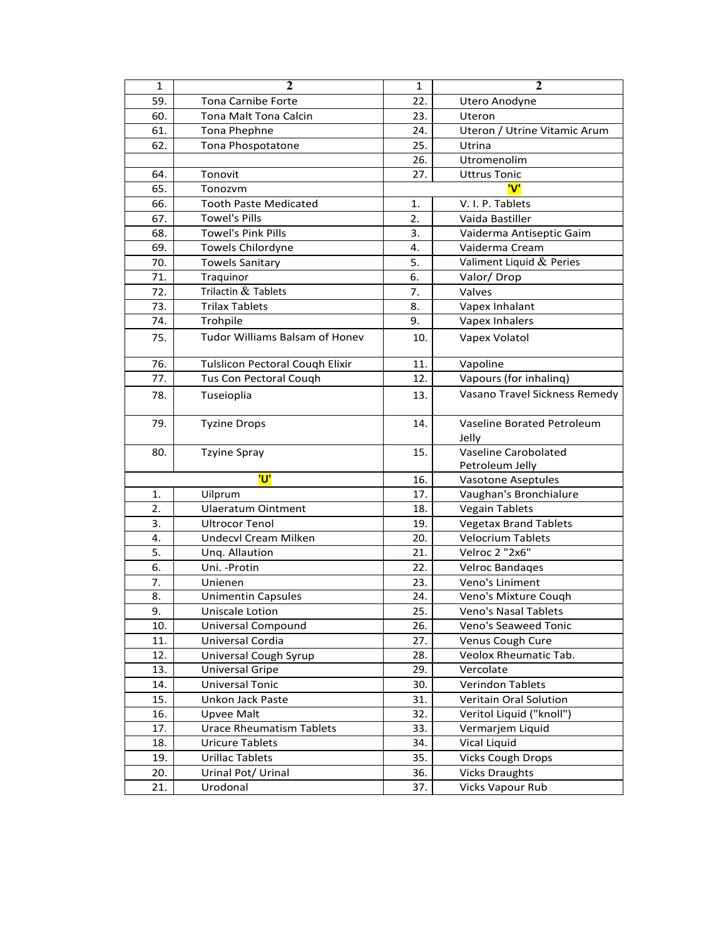| $\mathbf{1}$ | $\overline{2}$                         | $\mathbf{1}$ | $\mathbf{2}$                            |
|--------------|----------------------------------------|--------------|-----------------------------------------|
| 59.          | <b>Tona Carnibe Forte</b>              | 22.          | Utero Anodyne                           |
| 60.          | <b>Tona Malt Tona Calcin</b>           | 23.          | Uteron                                  |
| 61.          | Tona Phephne                           | 24.          | Uteron / Utrine Vitamic Arum            |
| 62.          | Tona Phospotatone                      | 25.          | Utrina                                  |
|              |                                        | 26.          | Utromenolim                             |
| 64.          | Tonovit                                | 27.          | <b>Uttrus Tonic</b>                     |
| 65.          | Tonozvm                                |              | 'V'                                     |
| 66.          | <b>Tooth Paste Medicated</b>           | 1.           | V. I. P. Tablets                        |
| 67.          | <b>Towel's Pills</b>                   | 2.           | Vaida Bastiller                         |
| 68.          | <b>Towel's Pink Pills</b>              | 3.           | Vaiderma Antiseptic Gaim                |
| 69.          | Towels Chilordyne                      | 4.           | Vaiderma Cream                          |
| 70.          | <b>Towels Sanitary</b>                 | 5.           | Valiment Liquid & Peries                |
| 71.          | Traquinor                              | 6.           | Valor/Drop                              |
| 72.          | Trilactin & Tablets                    | 7.           | Valves                                  |
| 73.          | <b>Trilax Tablets</b>                  | 8.           | Vapex Inhalant                          |
| 74.          | Trohpile                               | 9.           | Vapex Inhalers                          |
| 75.          | Tudor Williams Balsam of Honev         | 10.          | Vapex Volatol                           |
| 76.          | <b>Tulslicon Pectoral Cough Elixir</b> | 11.          | Vapoline                                |
| 77.          | Tus Con Pectoral Cough                 | 12.          | Vapours (for inhaling)                  |
| 78.          | Tuseioplia                             | 13.          | Vasano Travel Sickness Remedy           |
| 79.          | <b>Tyzine Drops</b>                    | 14.          | Vaseline Borated Petroleum<br>Jelly     |
| 80.          | <b>Tzyine Spray</b>                    | 15.          | Vaseline Carobolated<br>Petroleum Jelly |
|              | <mark>'U'</mark>                       | 16.          | Vasotone Aseptules                      |
| 1.           | Uilprum                                | 17.          | Vaughan's Bronchialure                  |
| 2.           | <b>Ulaeratum Ointment</b>              | 18.          | <b>Vegain Tablets</b>                   |
| 3.           | Ultrocor Tenol                         | 19.          | <b>Vegetax Brand Tablets</b>            |
| 4.           | Undecvl Cream Milken                   | 20.          | <b>Velocrium Tablets</b>                |
| 5.           | Unq. Allaution                         | 21.          | Velroc 2 "2x6"                          |
| 6.           | Uni. - Protin                          | 22.          | Velroc Bandages                         |
| 7.           | Unienen                                | 23.          | Veno's Liniment                         |
| 8.           | <b>Unimentin Capsules</b>              | 24.          | Veno's Mixture Cough                    |
| 9.           | Uniscale Lotion                        | 25.          | Veno's Nasal Tablets                    |
| 10.          | Universal Compound                     | 26.          | Veno's Seaweed Tonic                    |
| 11.          | Universal Cordia                       | 27.          | Venus Cough Cure                        |
| 12.          | Universal Cough Syrup                  | 28.          | Veolox Rheumatic Tab.                   |
| 13.          | <b>Universal Gripe</b>                 | 29.          | Vercolate                               |
| 14.          | Universal Tonic                        | 30.          | <b>Verindon Tablets</b>                 |
| 15.          | Unkon Jack Paste                       | 31.          | Veritain Oral Solution                  |
| 16.          | Upvee Malt                             | 32.          | Veritol Liquid ("knoll")                |
| 17.          | <b>Urace Rheumatism Tablets</b>        | 33.          | Vermarjem Liquid                        |
| 18.          | <b>Uricure Tablets</b>                 | 34.          | Vical Liquid                            |
| 19.          | Urillac Tablets                        | 35.          | <b>Vicks Cough Drops</b>                |
| 20.          | Urinal Pot/ Urinal                     | 36.          | <b>Vicks Draughts</b>                   |
| 21.          | Urodonal                               | 37.          | Vicks Vapour Rub                        |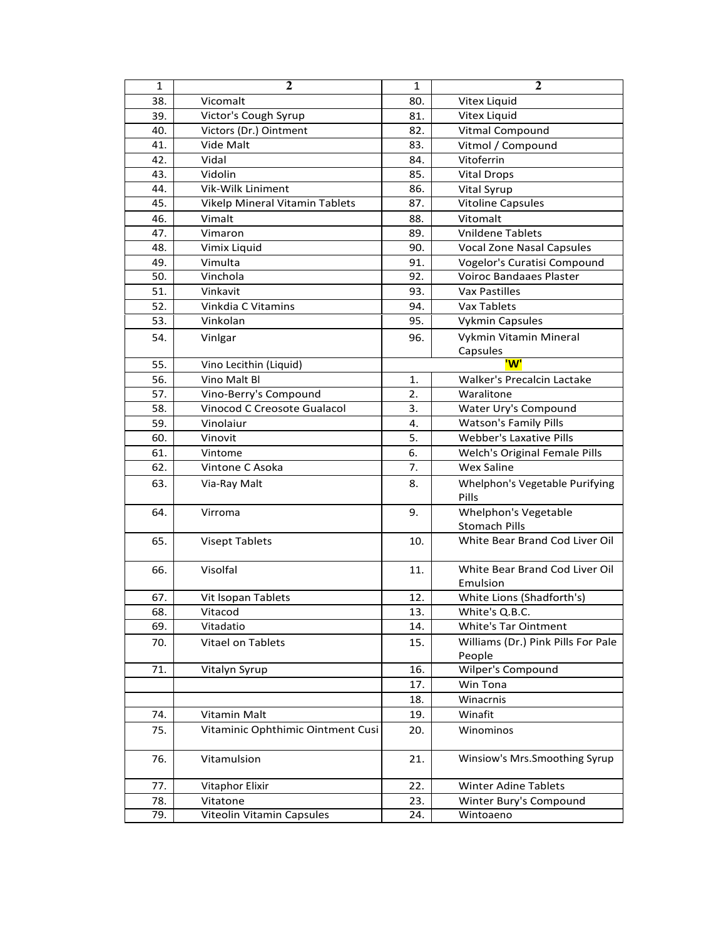| 1   | $\mathbf{2}$                      | 1   | $\mathbf{2}$                       |
|-----|-----------------------------------|-----|------------------------------------|
| 38. | Vicomalt                          | 80. | <b>Vitex Liquid</b>                |
| 39. | Victor's Cough Syrup              | 81. | Vitex Liquid                       |
| 40. | Victors (Dr.) Ointment            | 82. | Vitmal Compound                    |
| 41. | Vide Malt                         | 83. | Vitmol / Compound                  |
| 42. | Vidal                             | 84. | Vitoferrin                         |
| 43. | Vidolin                           | 85. | <b>Vital Drops</b>                 |
| 44. | <b>Vik-Wilk Liniment</b>          | 86. | Vital Syrup                        |
| 45. | Vikelp Mineral Vitamin Tablets    | 87. | <b>Vitoline Capsules</b>           |
| 46. | Vimalt                            | 88. | Vitomalt                           |
| 47. | Vimaron                           | 89. | <b>Vnildene Tablets</b>            |
| 48. | Vimix Liquid                      | 90. | <b>Vocal Zone Nasal Capsules</b>   |
| 49. | Vimulta                           | 91. | Vogelor's Curatisi Compound        |
| 50. | Vinchola                          | 92. | <b>Voiroc Bandaaes Plaster</b>     |
| 51. | Vinkavit                          | 93. | Vax Pastilles                      |
| 52. | Vinkdia C Vitamins                | 94. | Vax Tablets                        |
| 53. | Vinkolan                          | 95. | <b>Vykmin Capsules</b>             |
| 54. |                                   |     | Vykmin Vitamin Mineral             |
|     | Vinlgar                           | 96. | Capsules                           |
| 55. | Vino Lecithin (Liquid)            |     | 'W'                                |
| 56. | Vino Malt Bl                      | 1.  | Walker's Precalcin Lactake         |
| 57. | Vino-Berry's Compound             | 2.  | Waralitone                         |
| 58. | Vinocod C Creosote Gualacol       | 3.  | Water Ury's Compound               |
| 59. | Vinolaiur                         | 4.  | <b>Watson's Family Pills</b>       |
| 60. | Vinovit                           | 5.  | <b>Webber's Laxative Pills</b>     |
| 61. | Vintome                           | 6.  | Welch's Original Female Pills      |
| 62. | Vintone C Asoka                   | 7.  | <b>Wex Saline</b>                  |
| 63. | Via-Ray Malt                      | 8.  | Whelphon's Vegetable Purifying     |
|     |                                   |     | Pills                              |
| 64. | Virroma                           | 9.  | <b>Whelphon's Vegetable</b>        |
|     |                                   |     | <b>Stomach Pills</b>               |
| 65. | Visept Tablets                    | 10. | White Bear Brand Cod Liver Oil     |
|     |                                   |     |                                    |
| 66. | Visolfal                          | 11. | White Bear Brand Cod Liver Oil     |
|     |                                   |     | Emulsion                           |
| 67. | Vit Isopan Tablets                | 12. | White Lions (Shadforth's)          |
| 68. | Vitacod                           | 13. | White's Q.B.C.                     |
| 69. | Vitadatio                         | 14. | White's Tar Ointment               |
| 70. | Vitael on Tablets                 | 15. | Williams (Dr.) Pink Pills For Pale |
|     |                                   |     | People                             |
| 71. | Vitalyn Syrup                     | 16. | Wilper's Compound                  |
|     |                                   | 17. | Win Tona                           |
|     |                                   | 18. | Winacrnis                          |
| 74. | Vitamin Malt                      | 19. | Winafit                            |
| 75. | Vitaminic Ophthimic Ointment Cusi | 20. | Winominos                          |
|     |                                   |     |                                    |
| 76. | Vitamulsion                       | 21. | Winsiow's Mrs.Smoothing Syrup      |
|     |                                   |     |                                    |
| 77. | <b>Vitaphor Elixir</b>            | 22. | <b>Winter Adine Tablets</b>        |
| 78. | Vitatone                          | 23. | Winter Bury's Compound             |
| 79. | Viteolin Vitamin Capsules         | 24. | Wintoaeno                          |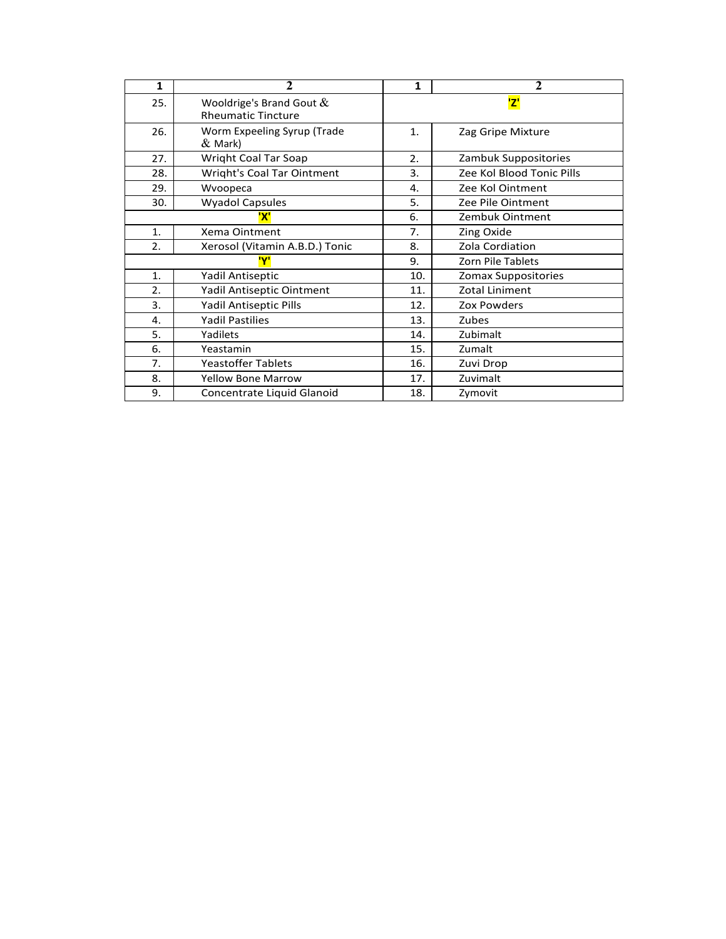| 1   | $\mathbf{2}$                                             | 1   | $\mathbf{2}$              |
|-----|----------------------------------------------------------|-----|---------------------------|
| 25. | Wooldrige's Brand Gout $\&$<br><b>Rheumatic Tincture</b> |     | <mark>'Z'</mark>          |
| 26. | Worm Expeeling Syrup (Trade<br>$\&$ Mark)                | 1.  | Zag Gripe Mixture         |
| 27. | Wright Coal Tar Soap                                     | 2.  | Zambuk Suppositories      |
| 28. | Wright's Coal Tar Ointment                               | 3.  | Zee Kol Blood Tonic Pills |
| 29. | Wvoopeca                                                 | 4.  | Zee Kol Ointment          |
| 30. | <b>Wyadol Capsules</b>                                   | 5.  | Zee Pile Ointment         |
|     | 'X'                                                      | 6.  | Zembuk Ointment           |
| 1.  | Xema Ointment                                            | 7.  | Zing Oxide                |
| 2.  | Xerosol (Vitamin A.B.D.) Tonic                           | 8.  | Zola Cordiation           |
|     | 'Y'                                                      | 9.  | <b>Zorn Pile Tablets</b>  |
| 1.  | Yadil Antiseptic                                         | 10. | Zomax Suppositories       |
| 2.  | Yadil Antiseptic Ointment                                | 11. | Zotal Liniment            |
| 3.  | Yadil Antiseptic Pills                                   | 12. | Zox Powders               |
| 4.  | <b>Yadil Pastilies</b>                                   | 13. | Zubes                     |
| 5.  | Yadilets                                                 | 14. | Zubimalt                  |
| 6.  | Yeastamin                                                | 15. | Zumalt                    |
| 7.  | <b>Yeastoffer Tablets</b>                                | 16. | Zuvi Drop                 |
| 8.  | <b>Yellow Bone Marrow</b>                                | 17. | Zuvimalt                  |
| 9.  | Concentrate Liquid Glanoid                               | 18. | Zymovit                   |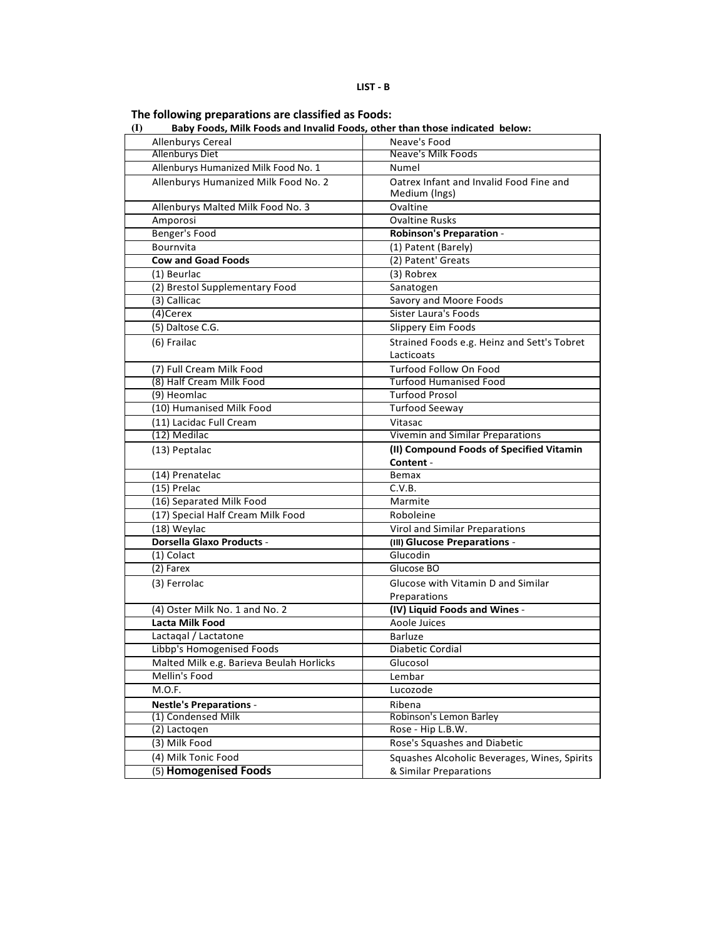The following preparations are classified as Foods:<br>(I) Baby Foods, Milk Foods and Invalid Foods, other than those indicated below:

| Allenburys Cereal<br><b>Allenburys Diet</b>     | Neave's Food<br>Neave's Milk Foods           |
|-------------------------------------------------|----------------------------------------------|
| Allenburys Humanized Milk Food No. 1            | Numel                                        |
|                                                 | Oatrex Infant and Invalid Food Fine and      |
| Allenburys Humanized Milk Food No. 2            | Medium (Ings)                                |
| Allenburys Malted Milk Food No. 3               | Ovaltine                                     |
| Amporosi                                        | <b>Ovaltine Rusks</b>                        |
| Benger's Food                                   | <b>Robinson's Preparation -</b>              |
| Bournvita                                       | (1) Patent (Barely)                          |
| <b>Cow and Goad Foods</b>                       | (2) Patent' Greats                           |
| (1) Beurlac                                     | (3) Robrex                                   |
| (2) Brestol Supplementary Food                  | Sanatogen                                    |
| (3) Callicac                                    | Savory and Moore Foods                       |
| (4)Cerex                                        | Sister Laura's Foods                         |
| (5) Daltose C.G.                                | Slippery Eim Foods                           |
| (6) Frailac                                     | Strained Foods e.g. Heinz and Sett's Tobret  |
|                                                 | Lacticoats                                   |
| (7) Full Cream Milk Food                        | Turfood Follow On Food                       |
| (8) Half Cream Milk Food                        | <b>Turfood Humanised Food</b>                |
| (9) Heomlac                                     | <b>Turfood Prosol</b>                        |
| (10) Humanised Milk Food                        | <b>Turfood Seeway</b>                        |
| (11) Lacidac Full Cream                         | Vitasac                                      |
| (12) Medilac                                    | Vivemin and Similar Preparations             |
| (13) Peptalac                                   | (II) Compound Foods of Specified Vitamin     |
|                                                 |                                              |
|                                                 |                                              |
|                                                 | Content -                                    |
| (14) Prenatelac                                 | Bemax<br>C.V.B.                              |
| (15) Prelac                                     | Marmite                                      |
| (16) Separated Milk Food                        | Roboleine                                    |
| (17) Special Half Cream Milk Food               |                                              |
| (18) Weylac<br><b>Dorsella Glaxo Products -</b> | Virol and Similar Preparations               |
| (1) Colact                                      | (III) Glucose Preparations -<br>Glucodin     |
| (2) Farex                                       | Glucose BO                                   |
|                                                 | Glucose with Vitamin D and Similar           |
| (3) Ferrolac                                    | Preparations                                 |
| (4) Oster Milk No. 1 and No. 2                  | (IV) Liquid Foods and Wines -                |
| Lacta Milk Food                                 | Aoole Juices                                 |
| Lactagal / Lactatone                            | <b>Barluze</b>                               |
| Libbp's Homogenised Foods                       | Diabetic Cordial                             |
| Malted Milk e.g. Barieva Beulah Horlicks        | Glucosol                                     |
| Mellin's Food                                   | Lembar                                       |
| M.O.F.                                          | Lucozode                                     |
| <b>Nestle's Preparations -</b>                  | Ribena                                       |
| (1) Condensed Milk                              | Robinson's Lemon Barley                      |
| (2) Lactogen                                    | Rose - Hip L.B.W.                            |
| (3) Milk Food                                   | Rose's Squashes and Diabetic                 |
| (4) Milk Tonic Food                             | Squashes Alcoholic Beverages, Wines, Spirits |